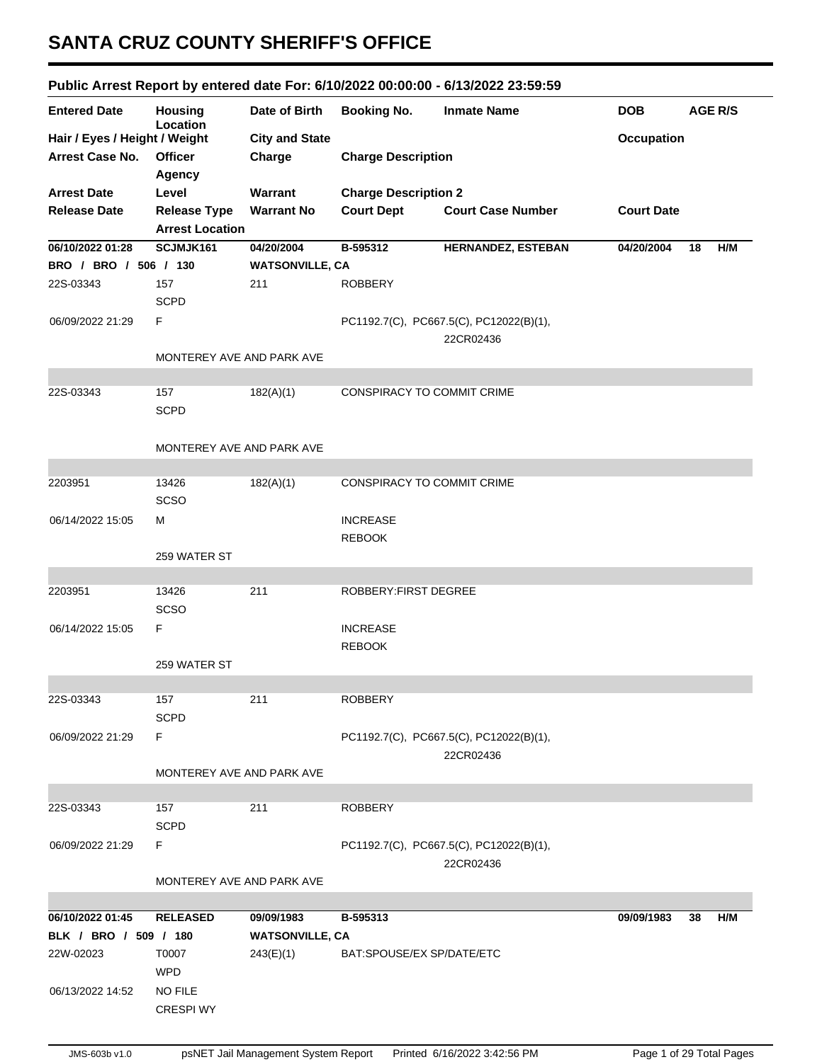## **SANTA CRUZ COUNTY SHERIFF'S OFFICE**

## **Public Arrest Report by entered date For: 6/10/2022 00:00:00 - 6/13/2022 23:59:59**

| <b>Entered Date</b>           | <b>Housing</b><br>Location | Date of Birth          | <b>Booking No.</b>          | <b>Inmate Name</b>                                   | <b>DOB</b>        | <b>AGE R/S</b> |     |
|-------------------------------|----------------------------|------------------------|-----------------------------|------------------------------------------------------|-------------------|----------------|-----|
| Hair / Eyes / Height / Weight |                            | <b>City and State</b>  |                             |                                                      | <b>Occupation</b> |                |     |
| <b>Arrest Case No.</b>        | <b>Officer</b><br>Agency   | Charge                 | <b>Charge Description</b>   |                                                      |                   |                |     |
| <b>Arrest Date</b>            | Level                      | Warrant                | <b>Charge Description 2</b> |                                                      |                   |                |     |
| <b>Release Date</b>           | <b>Release Type</b>        | <b>Warrant No</b>      | <b>Court Dept</b>           | <b>Court Case Number</b>                             | <b>Court Date</b> |                |     |
|                               | <b>Arrest Location</b>     |                        |                             |                                                      |                   |                |     |
| 06/10/2022 01:28              | SCJMJK161                  | 04/20/2004             | B-595312                    | HERNANDEZ, ESTEBAN                                   | 04/20/2004        | 18             | H/M |
| BRO / BRO / 506 / 130         |                            | <b>WATSONVILLE, CA</b> |                             |                                                      |                   |                |     |
| 22S-03343                     | 157                        | 211                    | <b>ROBBERY</b>              |                                                      |                   |                |     |
|                               | <b>SCPD</b>                |                        |                             |                                                      |                   |                |     |
| 06/09/2022 21:29              | F                          |                        |                             | PC1192.7(C), PC667.5(C), PC12022(B)(1),<br>22CR02436 |                   |                |     |
|                               | MONTEREY AVE AND PARK AVE  |                        |                             |                                                      |                   |                |     |
|                               |                            |                        |                             |                                                      |                   |                |     |
| 22S-03343                     | 157<br><b>SCPD</b>         | 182(A)(1)              | CONSPIRACY TO COMMIT CRIME  |                                                      |                   |                |     |
|                               | MONTEREY AVE AND PARK AVE  |                        |                             |                                                      |                   |                |     |
| 2203951                       | 13426                      | 182(A)(1)              | CONSPIRACY TO COMMIT CRIME  |                                                      |                   |                |     |
|                               | SCSO                       |                        |                             |                                                      |                   |                |     |
| 06/14/2022 15:05              | м                          |                        | <b>INCREASE</b>             |                                                      |                   |                |     |
|                               |                            |                        | <b>REBOOK</b>               |                                                      |                   |                |     |
|                               | 259 WATER ST               |                        |                             |                                                      |                   |                |     |
|                               |                            |                        |                             |                                                      |                   |                |     |
| 2203951                       | 13426                      | 211                    | ROBBERY: FIRST DEGREE       |                                                      |                   |                |     |
|                               | <b>SCSO</b>                |                        |                             |                                                      |                   |                |     |
| 06/14/2022 15:05              | F.                         |                        | <b>INCREASE</b>             |                                                      |                   |                |     |
|                               |                            |                        | <b>REBOOK</b>               |                                                      |                   |                |     |
|                               | 259 WATER ST               |                        |                             |                                                      |                   |                |     |
|                               |                            |                        |                             |                                                      |                   |                |     |
| 22S-03343                     | 157                        | 211                    | <b>ROBBERY</b>              |                                                      |                   |                |     |
|                               | <b>SCPD</b>                |                        |                             |                                                      |                   |                |     |
| 06/09/2022 21:29              | F.                         |                        |                             | PC1192.7(C), PC667.5(C), PC12022(B)(1),              |                   |                |     |
|                               |                            |                        |                             | 22CR02436                                            |                   |                |     |
|                               | MONTEREY AVE AND PARK AVE  |                        |                             |                                                      |                   |                |     |
|                               |                            |                        |                             |                                                      |                   |                |     |
| 22S-03343                     | 157                        | 211                    | <b>ROBBERY</b>              |                                                      |                   |                |     |
|                               | <b>SCPD</b>                |                        |                             |                                                      |                   |                |     |
| 06/09/2022 21:29              | F.                         |                        |                             | PC1192.7(C), PC667.5(C), PC12022(B)(1),<br>22CR02436 |                   |                |     |
|                               | MONTEREY AVE AND PARK AVE  |                        |                             |                                                      |                   |                |     |
| 06/10/2022 01:45              | <b>RELEASED</b>            | 09/09/1983             | B-595313                    |                                                      | 09/09/1983        | 38             | H/M |
| BLK / BRO / 509 / 180         |                            | <b>WATSONVILLE, CA</b> |                             |                                                      |                   |                |     |
| 22W-02023                     | T0007                      | 243(E)(1)              | BAT:SPOUSE/EX SP/DATE/ETC   |                                                      |                   |                |     |
|                               | <b>WPD</b>                 |                        |                             |                                                      |                   |                |     |
| 06/13/2022 14:52              | <b>NO FILE</b>             |                        |                             |                                                      |                   |                |     |
|                               | <b>CRESPI WY</b>           |                        |                             |                                                      |                   |                |     |
|                               |                            |                        |                             |                                                      |                   |                |     |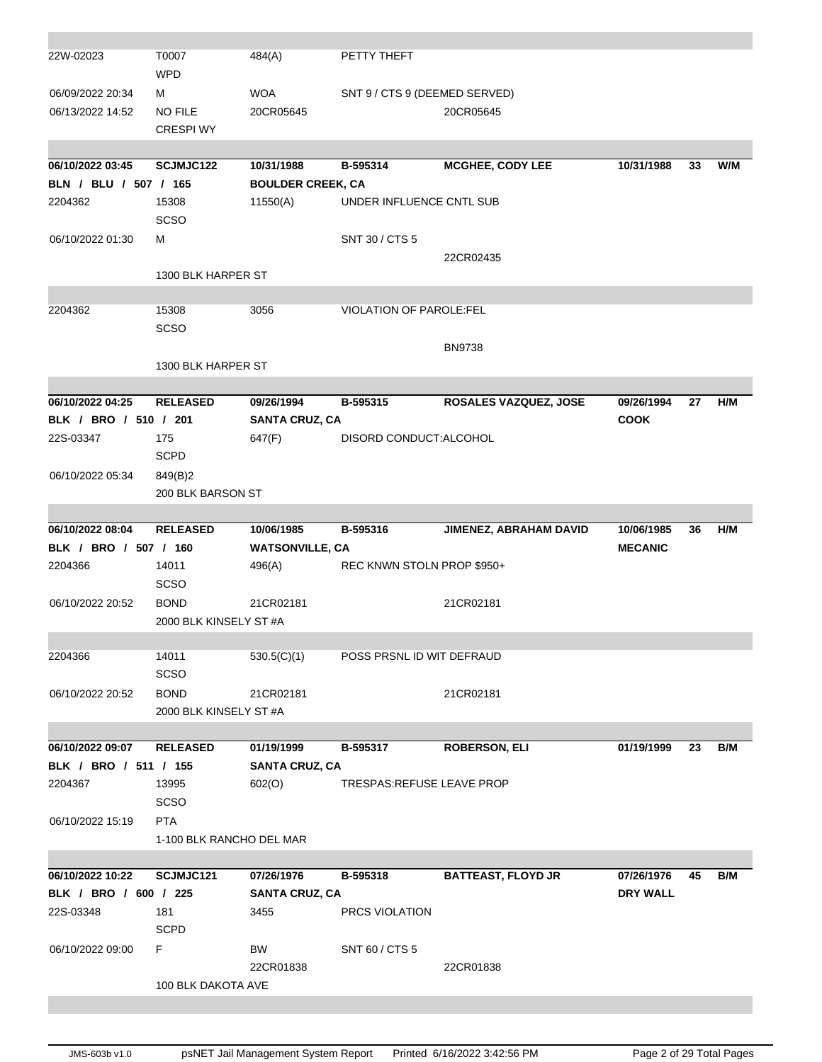| 22W-02023             | T0007<br><b>WPD</b>      | 484(A)                   | PETTY THEFT                    |                           |                 |    |     |
|-----------------------|--------------------------|--------------------------|--------------------------------|---------------------------|-----------------|----|-----|
| 06/09/2022 20:34      | м                        | <b>WOA</b>               | SNT 9 / CTS 9 (DEEMED SERVED)  |                           |                 |    |     |
| 06/13/2022 14:52      | <b>NO FILE</b>           | 20CR05645                |                                | 20CR05645                 |                 |    |     |
|                       | <b>CRESPI WY</b>         |                          |                                |                           |                 |    |     |
|                       |                          |                          |                                |                           |                 |    |     |
| 06/10/2022 03:45      | SCJMJC122                | 10/31/1988               | B-595314                       | <b>MCGHEE, CODY LEE</b>   | 10/31/1988      | 33 | W/M |
| BLN / BLU / 507 / 165 |                          | <b>BOULDER CREEK, CA</b> |                                |                           |                 |    |     |
| 2204362               | 15308                    | 11550(A)                 | UNDER INFLUENCE CNTL SUB       |                           |                 |    |     |
|                       | <b>SCSO</b>              |                          |                                |                           |                 |    |     |
| 06/10/2022 01:30      | м                        |                          | SNT 30 / CTS 5                 |                           |                 |    |     |
|                       |                          |                          |                                | 22CR02435                 |                 |    |     |
|                       | 1300 BLK HARPER ST       |                          |                                |                           |                 |    |     |
| 2204362               | 15308                    | 3056                     | <b>VIOLATION OF PAROLE:FEL</b> |                           |                 |    |     |
|                       | SCSO                     |                          |                                |                           |                 |    |     |
|                       |                          |                          |                                | <b>BN9738</b>             |                 |    |     |
|                       | 1300 BLK HARPER ST       |                          |                                |                           |                 |    |     |
|                       |                          |                          |                                |                           |                 |    |     |
| 06/10/2022 04:25      | <b>RELEASED</b>          | 09/26/1994               | B-595315                       | ROSALES VAZQUEZ, JOSE     | 09/26/1994      | 27 | H/M |
| BLK / BRO / 510 / 201 |                          | <b>SANTA CRUZ, CA</b>    |                                |                           | <b>COOK</b>     |    |     |
| 22S-03347             | 175                      | 647(F)                   | DISORD CONDUCT: ALCOHOL        |                           |                 |    |     |
|                       | <b>SCPD</b>              |                          |                                |                           |                 |    |     |
| 06/10/2022 05:34      | 849(B)2                  |                          |                                |                           |                 |    |     |
|                       | 200 BLK BARSON ST        |                          |                                |                           |                 |    |     |
|                       |                          |                          |                                |                           |                 |    |     |
| 06/10/2022 08:04      | <b>RELEASED</b>          | 10/06/1985               | B-595316                       | JIMENEZ, ABRAHAM DAVID    | 10/06/1985      | 36 | H/M |
|                       |                          |                          |                                |                           |                 |    |     |
| BLK / BRO / 507 / 160 |                          | <b>WATSONVILLE, CA</b>   |                                |                           | <b>MECANIC</b>  |    |     |
| 2204366               | 14011                    | 496(A)                   | REC KNWN STOLN PROP \$950+     |                           |                 |    |     |
|                       | <b>SCSO</b>              |                          |                                |                           |                 |    |     |
| 06/10/2022 20:52      | <b>BOND</b>              | 21CR02181                |                                | 21CR02181                 |                 |    |     |
|                       | 2000 BLK KINSELY ST #A   |                          |                                |                           |                 |    |     |
|                       |                          |                          |                                |                           |                 |    |     |
| 2204366               | 14011                    | 530.5(C)(1)              | POSS PRSNL ID WIT DEFRAUD      |                           |                 |    |     |
|                       | <b>SCSO</b>              |                          |                                |                           |                 |    |     |
| 06/10/2022 20:52      | <b>BOND</b>              | 21CR02181                |                                | 21CR02181                 |                 |    |     |
|                       | 2000 BLK KINSELY ST #A   |                          |                                |                           |                 |    |     |
|                       |                          |                          |                                |                           |                 |    |     |
| 06/10/2022 09:07      | <b>RELEASED</b>          | 01/19/1999               | B-595317                       | <b>ROBERSON, ELI</b>      | 01/19/1999      | 23 | B/M |
| BLK / BRO / 511 / 155 |                          | <b>SANTA CRUZ, CA</b>    |                                |                           |                 |    |     |
| 2204367               | 13995                    | 602(O)                   | TRESPAS:REFUSE LEAVE PROP      |                           |                 |    |     |
|                       | <b>SCSO</b>              |                          |                                |                           |                 |    |     |
| 06/10/2022 15:19      | <b>PTA</b>               |                          |                                |                           |                 |    |     |
|                       | 1-100 BLK RANCHO DEL MAR |                          |                                |                           |                 |    |     |
|                       |                          |                          |                                |                           |                 |    |     |
| 06/10/2022 10:22      | SCJMJC121                | 07/26/1976               | B-595318                       | <b>BATTEAST, FLOYD JR</b> | 07/26/1976      | 45 | B/M |
| BLK / BRO / 600 / 225 |                          | <b>SANTA CRUZ, CA</b>    |                                |                           | <b>DRY WALL</b> |    |     |
| 22S-03348             | 181                      | 3455                     | PRCS VIOLATION                 |                           |                 |    |     |
|                       | <b>SCPD</b>              |                          |                                |                           |                 |    |     |
| 06/10/2022 09:00      | F.                       | BW                       | SNT 60 / CTS 5                 |                           |                 |    |     |
|                       |                          | 22CR01838                |                                | 22CR01838                 |                 |    |     |
|                       | 100 BLK DAKOTA AVE       |                          |                                |                           |                 |    |     |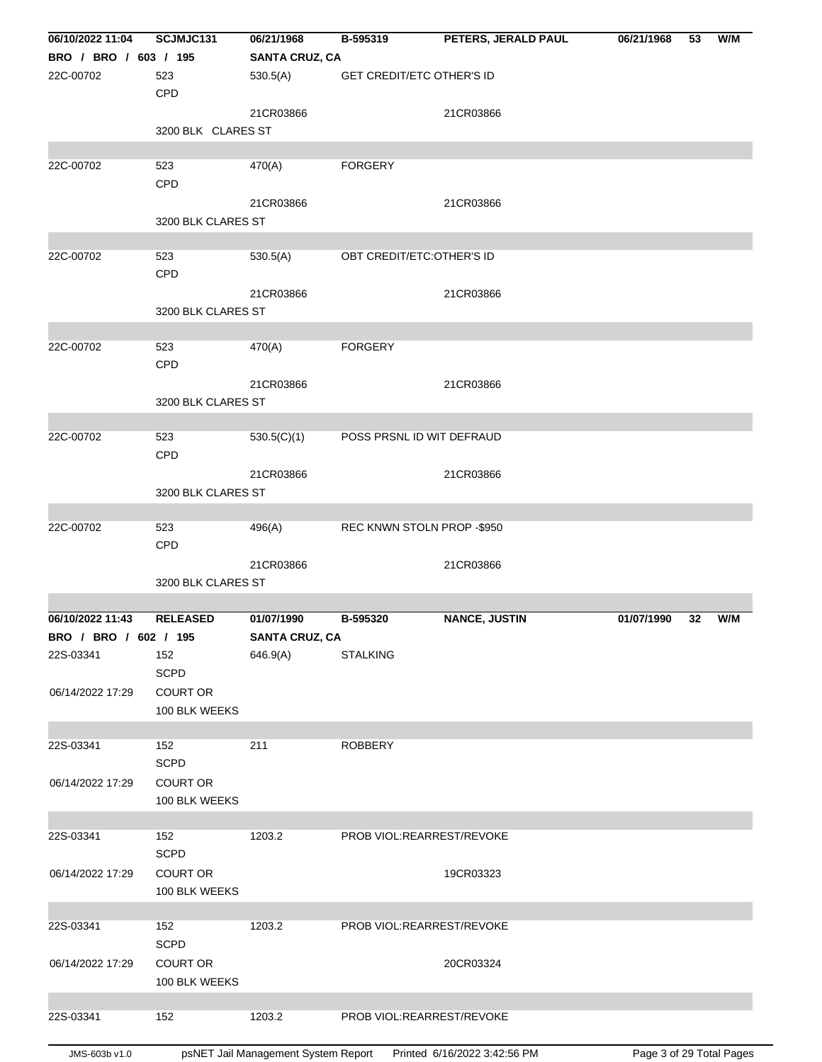| 06/10/2022 11:04      | SCJMJC131          | 06/21/1968                          | B-595319                         | PETERS, JERALD PAUL          | 06/21/1968               | 53 | W/M |
|-----------------------|--------------------|-------------------------------------|----------------------------------|------------------------------|--------------------------|----|-----|
| BRO / BRO / 603 / 195 |                    | <b>SANTA CRUZ, CA</b>               |                                  |                              |                          |    |     |
| 22C-00702             | 523                | 530.5(A)                            | <b>GET CREDIT/ETC OTHER'S ID</b> |                              |                          |    |     |
|                       | CPD                |                                     |                                  |                              |                          |    |     |
|                       |                    | 21CR03866                           |                                  | 21CR03866                    |                          |    |     |
|                       | 3200 BLK CLARES ST |                                     |                                  |                              |                          |    |     |
|                       |                    |                                     |                                  |                              |                          |    |     |
| 22C-00702             | 523                | 470(A)                              | <b>FORGERY</b>                   |                              |                          |    |     |
|                       | CPD                |                                     |                                  |                              |                          |    |     |
|                       |                    | 21CR03866                           |                                  | 21CR03866                    |                          |    |     |
|                       | 3200 BLK CLARES ST |                                     |                                  |                              |                          |    |     |
|                       |                    |                                     |                                  |                              |                          |    |     |
| 22C-00702             | 523                | 530.5(A)                            | OBT CREDIT/ETC: OTHER'S ID       |                              |                          |    |     |
|                       | CPD                |                                     |                                  |                              |                          |    |     |
|                       |                    | 21CR03866                           |                                  | 21CR03866                    |                          |    |     |
|                       | 3200 BLK CLARES ST |                                     |                                  |                              |                          |    |     |
| 22C-00702             | 523                | 470(A)                              | <b>FORGERY</b>                   |                              |                          |    |     |
|                       | CPD                |                                     |                                  |                              |                          |    |     |
|                       |                    |                                     |                                  |                              |                          |    |     |
|                       | 3200 BLK CLARES ST | 21CR03866                           |                                  | 21CR03866                    |                          |    |     |
|                       |                    |                                     |                                  |                              |                          |    |     |
| 22C-00702             | 523                | 530.5(C)(1)                         | POSS PRSNL ID WIT DEFRAUD        |                              |                          |    |     |
|                       | CPD                |                                     |                                  |                              |                          |    |     |
|                       |                    | 21CR03866                           |                                  | 21CR03866                    |                          |    |     |
|                       | 3200 BLK CLARES ST |                                     |                                  |                              |                          |    |     |
|                       |                    |                                     |                                  |                              |                          |    |     |
| 22C-00702             | 523                | 496(A)                              | REC KNWN STOLN PROP -\$950       |                              |                          |    |     |
|                       | <b>CPD</b>         |                                     |                                  |                              |                          |    |     |
|                       |                    | 21CR03866                           |                                  | 21CR03866                    |                          |    |     |
|                       | 3200 BLK CLARES ST |                                     |                                  |                              |                          |    |     |
|                       |                    |                                     |                                  |                              |                          |    |     |
| 06/10/2022 11:43      | <b>RELEASED</b>    | 01/07/1990                          | B-595320                         | <b>NANCE, JUSTIN</b>         | 01/07/1990               | 32 | W/M |
| BRO / BRO / 602 / 195 |                    | <b>SANTA CRUZ, CA</b>               |                                  |                              |                          |    |     |
| 22S-03341             | 152                | 646.9(A)                            | <b>STALKING</b>                  |                              |                          |    |     |
|                       | <b>SCPD</b>        |                                     |                                  |                              |                          |    |     |
| 06/14/2022 17:29      | <b>COURT OR</b>    |                                     |                                  |                              |                          |    |     |
|                       | 100 BLK WEEKS      |                                     |                                  |                              |                          |    |     |
|                       |                    |                                     |                                  |                              |                          |    |     |
| 22S-03341             | 152                | 211                                 | <b>ROBBERY</b>                   |                              |                          |    |     |
|                       | <b>SCPD</b>        |                                     |                                  |                              |                          |    |     |
| 06/14/2022 17:29      | <b>COURT OR</b>    |                                     |                                  |                              |                          |    |     |
|                       | 100 BLK WEEKS      |                                     |                                  |                              |                          |    |     |
|                       |                    |                                     |                                  |                              |                          |    |     |
| 22S-03341             | 152                | 1203.2                              | PROB VIOL:REARREST/REVOKE        |                              |                          |    |     |
|                       | <b>SCPD</b>        |                                     |                                  |                              |                          |    |     |
| 06/14/2022 17:29      | <b>COURT OR</b>    |                                     |                                  | 19CR03323                    |                          |    |     |
|                       | 100 BLK WEEKS      |                                     |                                  |                              |                          |    |     |
|                       |                    |                                     |                                  |                              |                          |    |     |
| 22S-03341             | 152                | 1203.2                              | PROB VIOL:REARREST/REVOKE        |                              |                          |    |     |
|                       | <b>SCPD</b>        |                                     |                                  |                              |                          |    |     |
| 06/14/2022 17:29      | <b>COURT OR</b>    |                                     |                                  | 20CR03324                    |                          |    |     |
|                       | 100 BLK WEEKS      |                                     |                                  |                              |                          |    |     |
| 22S-03341             | 152                | 1203.2                              | PROB VIOL:REARREST/REVOKE        |                              |                          |    |     |
|                       |                    |                                     |                                  |                              |                          |    |     |
| JMS-603b v1.0         |                    | psNET Jail Management System Report |                                  | Printed 6/16/2022 3:42:56 PM | Page 3 of 29 Total Pages |    |     |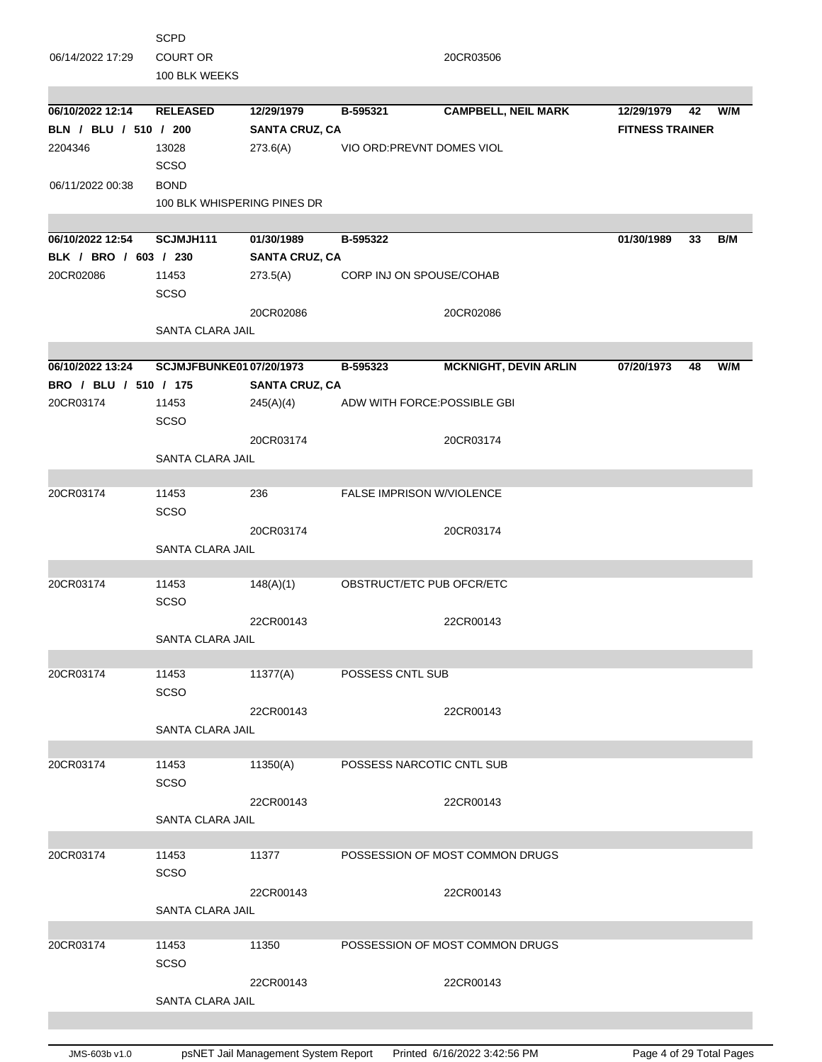|                       | <b>SCPD</b>                    |                       |                              |                                 |                        |    |     |
|-----------------------|--------------------------------|-----------------------|------------------------------|---------------------------------|------------------------|----|-----|
| 06/14/2022 17:29      | <b>COURT OR</b>                |                       |                              | 20CR03506                       |                        |    |     |
|                       | 100 BLK WEEKS                  |                       |                              |                                 |                        |    |     |
|                       |                                |                       |                              |                                 |                        |    |     |
| 06/10/2022 12:14      | <b>RELEASED</b>                | 12/29/1979            | B-595321                     | <b>CAMPBELL, NEIL MARK</b>      | 12/29/1979             | 42 | W/M |
| BLN / BLU / 510 / 200 |                                | <b>SANTA CRUZ, CA</b> |                              |                                 | <b>FITNESS TRAINER</b> |    |     |
| 2204346               | 13028                          | 273.6(A)              | VIO ORD: PREVNT DOMES VIOL   |                                 |                        |    |     |
|                       | <b>SCSO</b>                    |                       |                              |                                 |                        |    |     |
| 06/11/2022 00:38      | <b>BOND</b>                    |                       |                              |                                 |                        |    |     |
|                       | 100 BLK WHISPERING PINES DR    |                       |                              |                                 |                        |    |     |
|                       |                                |                       |                              |                                 |                        |    |     |
| 06/10/2022 12:54      | SCJMJH111                      | 01/30/1989            | B-595322                     |                                 | 01/30/1989             | 33 | B/M |
| BLK / BRO / 603 / 230 |                                | <b>SANTA CRUZ, CA</b> |                              |                                 |                        |    |     |
| 20CR02086             | 11453                          | 273.5(A)              | CORP INJ ON SPOUSE/COHAB     |                                 |                        |    |     |
|                       | <b>SCSO</b>                    |                       |                              |                                 |                        |    |     |
|                       |                                | 20CR02086             |                              | 20CR02086                       |                        |    |     |
|                       | <b>SANTA CLARA JAIL</b>        |                       |                              |                                 |                        |    |     |
|                       |                                |                       |                              |                                 |                        |    |     |
| 06/10/2022 13:24      | <b>SCJMJFBUNKE0107/20/1973</b> |                       | B-595323                     | <b>MCKNIGHT, DEVIN ARLIN</b>    | 07/20/1973             | 48 | W/M |
| BRO / BLU / 510 / 175 |                                | <b>SANTA CRUZ, CA</b> |                              |                                 |                        |    |     |
| 20CR03174             | 11453                          | 245(A)(4)             | ADW WITH FORCE: POSSIBLE GBI |                                 |                        |    |     |
|                       | <b>SCSO</b>                    |                       |                              |                                 |                        |    |     |
|                       |                                |                       |                              |                                 |                        |    |     |
|                       |                                | 20CR03174             |                              | 20CR03174                       |                        |    |     |
|                       | SANTA CLARA JAIL               |                       |                              |                                 |                        |    |     |
| 20CR03174             | 11453                          | 236                   | FALSE IMPRISON W/VIOLENCE    |                                 |                        |    |     |
|                       | SCSO                           |                       |                              |                                 |                        |    |     |
|                       |                                |                       |                              |                                 |                        |    |     |
|                       |                                | 20CR03174             |                              | 20CR03174                       |                        |    |     |
|                       | SANTA CLARA JAIL               |                       |                              |                                 |                        |    |     |
| 20CR03174             | 11453                          |                       | OBSTRUCT/ETC PUB OFCR/ETC    |                                 |                        |    |     |
|                       | <b>SCSO</b>                    | 148(A)(1)             |                              |                                 |                        |    |     |
|                       |                                |                       |                              |                                 |                        |    |     |
|                       | <b>SANTA CLARA JAIL</b>        | 22CR00143             |                              | 22CR00143                       |                        |    |     |
|                       |                                |                       |                              |                                 |                        |    |     |
| 20CR03174             | 11453                          | 11377(A)              | <b>POSSESS CNTL SUB</b>      |                                 |                        |    |     |
|                       | <b>SCSO</b>                    |                       |                              |                                 |                        |    |     |
|                       |                                | 22CR00143             |                              | 22CR00143                       |                        |    |     |
|                       | SANTA CLARA JAIL               |                       |                              |                                 |                        |    |     |
|                       |                                |                       |                              |                                 |                        |    |     |
| 20CR03174             | 11453                          | 11350(A)              | POSSESS NARCOTIC CNTL SUB    |                                 |                        |    |     |
|                       | SCSO                           |                       |                              |                                 |                        |    |     |
|                       |                                |                       |                              |                                 |                        |    |     |
|                       |                                | 22CR00143             |                              | 22CR00143                       |                        |    |     |
|                       | SANTA CLARA JAIL               |                       |                              |                                 |                        |    |     |
| 20CR03174             | 11453                          | 11377                 |                              | POSSESSION OF MOST COMMON DRUGS |                        |    |     |
|                       | SCSO                           |                       |                              |                                 |                        |    |     |
|                       |                                |                       |                              |                                 |                        |    |     |
|                       |                                | 22CR00143             |                              | 22CR00143                       |                        |    |     |
|                       | SANTA CLARA JAIL               |                       |                              |                                 |                        |    |     |
|                       |                                |                       |                              |                                 |                        |    |     |
| 20CR03174             | 11453                          | 11350                 |                              | POSSESSION OF MOST COMMON DRUGS |                        |    |     |
|                       | <b>SCSO</b>                    |                       |                              |                                 |                        |    |     |
|                       |                                | 22CR00143             |                              | 22CR00143                       |                        |    |     |
|                       | SANTA CLARA JAIL               |                       |                              |                                 |                        |    |     |
|                       |                                |                       |                              |                                 |                        |    |     |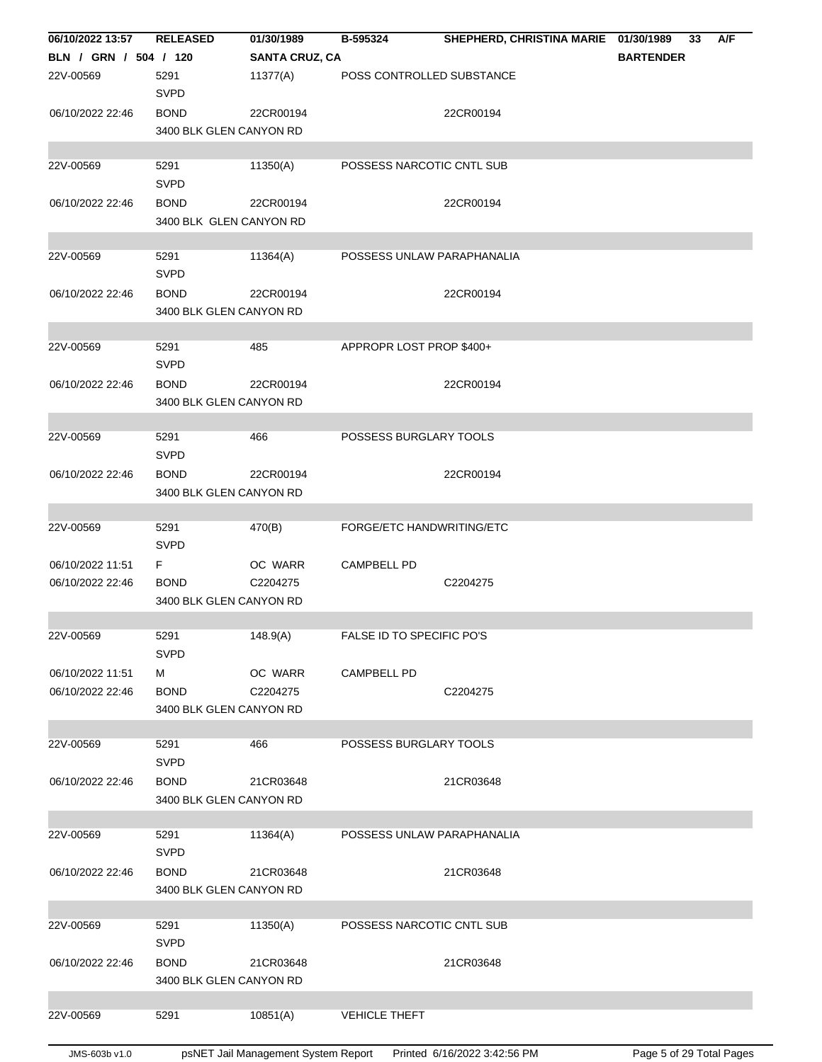| 06/10/2022 13:57      | <b>RELEASED</b>         | 01/30/1989            | B-595324                   | SHEPHERD, CHRISTINA MARIE 01/30/1989 |                  | 33 | A/F |
|-----------------------|-------------------------|-----------------------|----------------------------|--------------------------------------|------------------|----|-----|
| BLN / GRN / 504 / 120 |                         | <b>SANTA CRUZ, CA</b> |                            |                                      | <b>BARTENDER</b> |    |     |
| 22V-00569             | 5291                    | 11377(A)              | POSS CONTROLLED SUBSTANCE  |                                      |                  |    |     |
|                       | <b>SVPD</b>             |                       |                            |                                      |                  |    |     |
| 06/10/2022 22:46      | <b>BOND</b>             | 22CR00194             |                            | 22CR00194                            |                  |    |     |
|                       | 3400 BLK GLEN CANYON RD |                       |                            |                                      |                  |    |     |
|                       |                         |                       |                            |                                      |                  |    |     |
| 22V-00569             | 5291                    | 11350(A)              | POSSESS NARCOTIC CNTL SUB  |                                      |                  |    |     |
|                       | <b>SVPD</b>             |                       |                            |                                      |                  |    |     |
| 06/10/2022 22:46      | <b>BOND</b>             | 22CR00194             |                            | 22CR00194                            |                  |    |     |
|                       | 3400 BLK GLEN CANYON RD |                       |                            |                                      |                  |    |     |
|                       |                         |                       |                            |                                      |                  |    |     |
| 22V-00569             | 5291                    | 11364(A)              | POSSESS UNLAW PARAPHANALIA |                                      |                  |    |     |
|                       | <b>SVPD</b>             |                       |                            |                                      |                  |    |     |
|                       |                         |                       |                            |                                      |                  |    |     |
| 06/10/2022 22:46      | <b>BOND</b>             | 22CR00194             |                            | 22CR00194                            |                  |    |     |
|                       | 3400 BLK GLEN CANYON RD |                       |                            |                                      |                  |    |     |
|                       |                         |                       |                            |                                      |                  |    |     |
| 22V-00569             | 5291                    | 485                   | APPROPR LOST PROP \$400+   |                                      |                  |    |     |
|                       | <b>SVPD</b>             |                       |                            |                                      |                  |    |     |
| 06/10/2022 22:46      | <b>BOND</b>             | 22CR00194             |                            | 22CR00194                            |                  |    |     |
|                       | 3400 BLK GLEN CANYON RD |                       |                            |                                      |                  |    |     |
|                       |                         |                       |                            |                                      |                  |    |     |
| 22V-00569             | 5291                    | 466                   | POSSESS BURGLARY TOOLS     |                                      |                  |    |     |
|                       | <b>SVPD</b>             |                       |                            |                                      |                  |    |     |
| 06/10/2022 22:46      | <b>BOND</b>             | 22CR00194             |                            | 22CR00194                            |                  |    |     |
|                       | 3400 BLK GLEN CANYON RD |                       |                            |                                      |                  |    |     |
|                       |                         |                       |                            |                                      |                  |    |     |
| 22V-00569             | 5291                    | 470(B)                | FORGE/ETC HANDWRITING/ETC  |                                      |                  |    |     |
|                       | <b>SVPD</b>             |                       |                            |                                      |                  |    |     |
| 06/10/2022 11:51      | F.                      | OC WARR               | <b>CAMPBELL PD</b>         |                                      |                  |    |     |
| 06/10/2022 22:46      | <b>BOND</b>             | C2204275              |                            | C2204275                             |                  |    |     |
|                       | 3400 BLK GLEN CANYON RD |                       |                            |                                      |                  |    |     |
|                       |                         |                       |                            |                                      |                  |    |     |
| 22V-00569             | 5291                    | 148.9(A)              | FALSE ID TO SPECIFIC PO'S  |                                      |                  |    |     |
|                       | <b>SVPD</b>             |                       |                            |                                      |                  |    |     |
| 06/10/2022 11:51      | м                       | OC WARR               | <b>CAMPBELL PD</b>         |                                      |                  |    |     |
| 06/10/2022 22:46      | <b>BOND</b>             | C2204275              |                            | C2204275                             |                  |    |     |
|                       | 3400 BLK GLEN CANYON RD |                       |                            |                                      |                  |    |     |
|                       |                         |                       |                            |                                      |                  |    |     |
| 22V-00569             | 5291                    | 466                   | POSSESS BURGLARY TOOLS     |                                      |                  |    |     |
|                       | <b>SVPD</b>             |                       |                            |                                      |                  |    |     |
| 06/10/2022 22:46      | <b>BOND</b>             | 21CR03648             |                            | 21CR03648                            |                  |    |     |
|                       | 3400 BLK GLEN CANYON RD |                       |                            |                                      |                  |    |     |
|                       |                         |                       |                            |                                      |                  |    |     |
| 22V-00569             | 5291                    | 11364(A)              | POSSESS UNLAW PARAPHANALIA |                                      |                  |    |     |
|                       | <b>SVPD</b>             |                       |                            |                                      |                  |    |     |
| 06/10/2022 22:46      | <b>BOND</b>             | 21CR03648             |                            | 21CR03648                            |                  |    |     |
|                       | 3400 BLK GLEN CANYON RD |                       |                            |                                      |                  |    |     |
|                       |                         |                       |                            |                                      |                  |    |     |
| 22V-00569             | 5291                    | 11350(A)              | POSSESS NARCOTIC CNTL SUB  |                                      |                  |    |     |
|                       | <b>SVPD</b>             |                       |                            |                                      |                  |    |     |
| 06/10/2022 22:46      | <b>BOND</b>             | 21CR03648             |                            | 21CR03648                            |                  |    |     |
|                       | 3400 BLK GLEN CANYON RD |                       |                            |                                      |                  |    |     |
|                       |                         |                       |                            |                                      |                  |    |     |
| 22V-00569             | 5291                    | 10851(A)              | <b>VEHICLE THEFT</b>       |                                      |                  |    |     |
|                       |                         |                       |                            |                                      |                  |    |     |
|                       |                         |                       |                            |                                      |                  |    |     |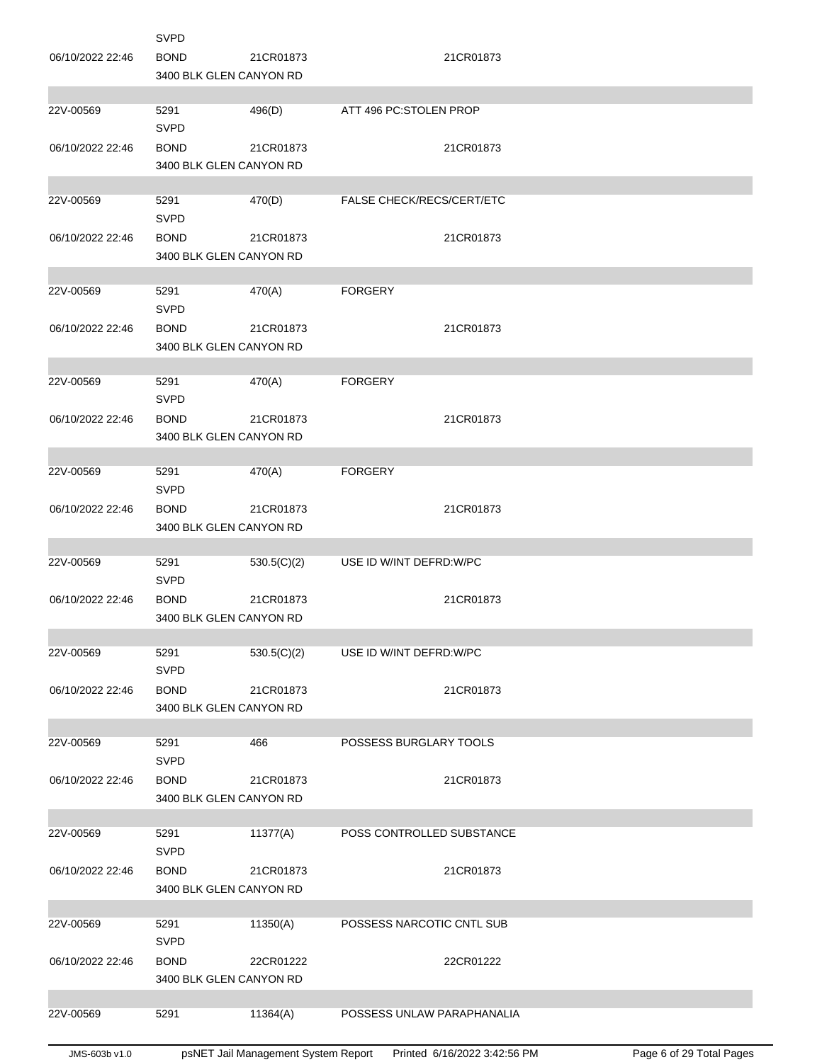|                  | <b>SVPD</b>                            |             |                            |
|------------------|----------------------------------------|-------------|----------------------------|
| 06/10/2022 22:46 | <b>BOND</b>                            | 21CR01873   | 21CR01873                  |
|                  | 3400 BLK GLEN CANYON RD                |             |                            |
|                  |                                        |             |                            |
| 22V-00569        | 5291<br><b>SVPD</b>                    | 496(D)      | ATT 496 PC:STOLEN PROP     |
| 06/10/2022 22:46 | <b>BOND</b>                            | 21CR01873   | 21CR01873                  |
|                  | 3400 BLK GLEN CANYON RD                |             |                            |
|                  |                                        |             |                            |
| 22V-00569        | 5291<br><b>SVPD</b>                    | 470(D)      | FALSE CHECK/RECS/CERT/ETC  |
| 06/10/2022 22:46 | <b>BOND</b>                            | 21CR01873   | 21CR01873                  |
|                  | 3400 BLK GLEN CANYON RD                |             |                            |
|                  |                                        |             |                            |
| 22V-00569        | 5291                                   | 470(A)      | <b>FORGERY</b>             |
|                  | <b>SVPD</b>                            |             |                            |
| 06/10/2022 22:46 | <b>BOND</b>                            | 21CR01873   | 21CR01873                  |
|                  | 3400 BLK GLEN CANYON RD                |             |                            |
|                  |                                        |             |                            |
| 22V-00569        | 5291<br><b>SVPD</b>                    | 470(A)      | <b>FORGERY</b>             |
|                  | <b>BOND</b>                            | 21CR01873   | 21CR01873                  |
| 06/10/2022 22:46 | 3400 BLK GLEN CANYON RD                |             |                            |
|                  |                                        |             |                            |
| 22V-00569        | 5291                                   | 470(A)      | <b>FORGERY</b>             |
|                  | <b>SVPD</b>                            |             |                            |
| 06/10/2022 22:46 | <b>BOND</b>                            | 21CR01873   | 21CR01873                  |
|                  | 3400 BLK GLEN CANYON RD                |             |                            |
|                  |                                        |             |                            |
|                  |                                        |             |                            |
| 22V-00569        | 5291                                   | 530.5(C)(2) | USE ID W/INT DEFRD: W/PC   |
|                  | <b>SVPD</b>                            |             |                            |
| 06/10/2022 22:46 | <b>BOND</b>                            | 21CR01873   | 21CR01873                  |
|                  | 3400 BLK GLEN CANYON RD                |             |                            |
| 22V-00569        | 5291                                   | 530.5(C)(2) | USE ID W/INT DEFRD: W/PC   |
|                  | <b>SVPD</b>                            |             |                            |
| 06/10/2022 22:46 | <b>BOND</b>                            | 21CR01873   | 21CR01873                  |
|                  | 3400 BLK GLEN CANYON RD                |             |                            |
|                  |                                        |             |                            |
| 22V-00569        | 5291                                   | 466         | POSSESS BURGLARY TOOLS     |
|                  | <b>SVPD</b>                            |             |                            |
| 06/10/2022 22:46 | <b>BOND</b><br>3400 BLK GLEN CANYON RD | 21CR01873   | 21CR01873                  |
|                  |                                        |             |                            |
| 22V-00569        | 5291                                   | 11377(A)    | POSS CONTROLLED SUBSTANCE  |
|                  | <b>SVPD</b>                            |             |                            |
| 06/10/2022 22:46 | <b>BOND</b>                            | 21CR01873   | 21CR01873                  |
|                  | 3400 BLK GLEN CANYON RD                |             |                            |
|                  |                                        |             |                            |
| 22V-00569        | 5291                                   | 11350(A)    | POSSESS NARCOTIC CNTL SUB  |
|                  | <b>SVPD</b>                            |             |                            |
| 06/10/2022 22:46 | <b>BOND</b><br>3400 BLK GLEN CANYON RD | 22CR01222   | 22CR01222                  |
|                  |                                        |             |                            |
| 22V-00569        | 5291                                   | 11364(A)    | POSSESS UNLAW PARAPHANALIA |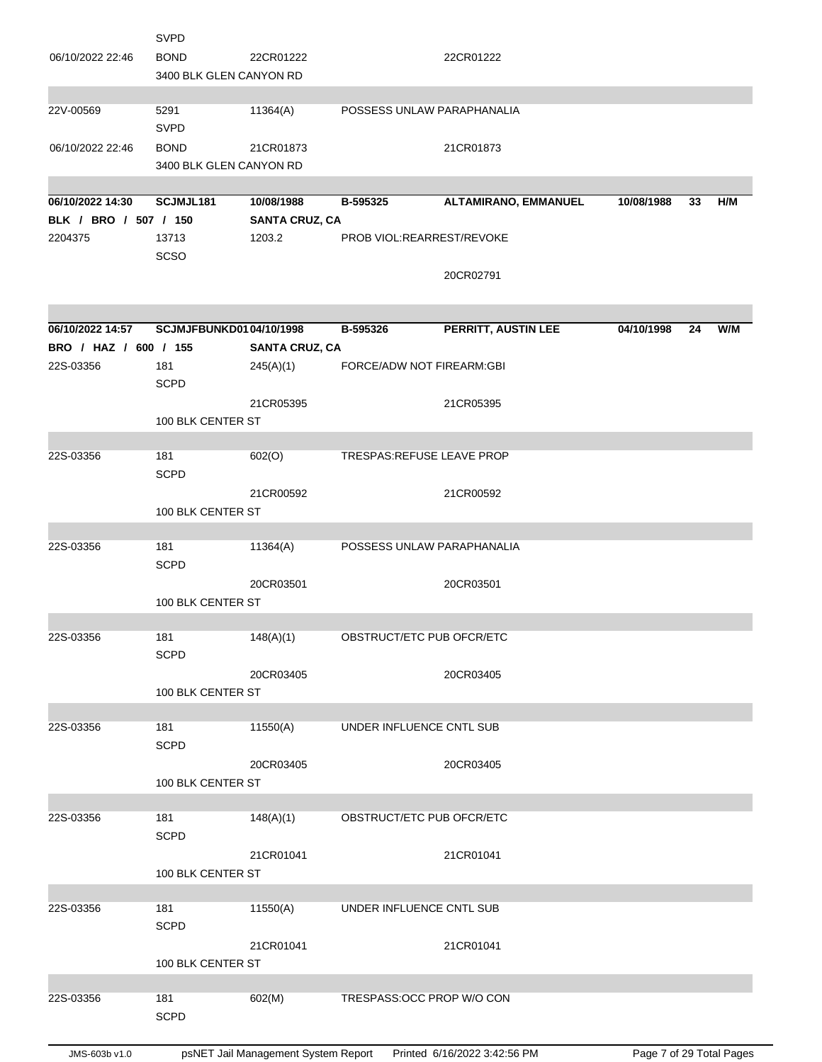|                       | <b>SVPD</b>             |                       |                            |                             |            |    |     |
|-----------------------|-------------------------|-----------------------|----------------------------|-----------------------------|------------|----|-----|
| 06/10/2022 22:46      | <b>BOND</b>             | 22CR01222             |                            | 22CR01222                   |            |    |     |
|                       | 3400 BLK GLEN CANYON RD |                       |                            |                             |            |    |     |
|                       |                         |                       |                            |                             |            |    |     |
| 22V-00569             | 5291                    | 11364(A)              | POSSESS UNLAW PARAPHANALIA |                             |            |    |     |
|                       | <b>SVPD</b>             |                       |                            |                             |            |    |     |
|                       |                         |                       |                            |                             |            |    |     |
| 06/10/2022 22:46      | <b>BOND</b>             | 21CR01873             |                            | 21CR01873                   |            |    |     |
|                       | 3400 BLK GLEN CANYON RD |                       |                            |                             |            |    |     |
|                       |                         |                       |                            |                             |            |    |     |
| 06/10/2022 14:30      | SCJMJL181               | 10/08/1988            | B-595325                   | <b>ALTAMIRANO, EMMANUEL</b> | 10/08/1988 | 33 | H/M |
| BLK / BRO / 507 / 150 |                         | <b>SANTA CRUZ, CA</b> |                            |                             |            |    |     |
| 2204375               | 13713                   | 1203.2                | PROB VIOL:REARREST/REVOKE  |                             |            |    |     |
|                       | <b>SCSO</b>             |                       |                            |                             |            |    |     |
|                       |                         |                       |                            | 20CR02791                   |            |    |     |
|                       |                         |                       |                            |                             |            |    |     |
|                       |                         |                       |                            |                             |            |    |     |
| 06/10/2022 14:57      | SCJMJFBUNKD0104/10/1998 |                       | B-595326                   | PERRITT, AUSTIN LEE         | 04/10/1998 | 24 | W/M |
| BRO / HAZ / 600 / 155 |                         | <b>SANTA CRUZ, CA</b> |                            |                             |            |    |     |
| 22S-03356             | 181                     | 245(A)(1)             | FORCE/ADW NOT FIREARM:GBI  |                             |            |    |     |
|                       | <b>SCPD</b>             |                       |                            |                             |            |    |     |
|                       |                         | 21CR05395             |                            | 21CR05395                   |            |    |     |
|                       | 100 BLK CENTER ST       |                       |                            |                             |            |    |     |
|                       |                         |                       |                            |                             |            |    |     |
| 22S-03356             | 181                     |                       | TRESPAS: REFUSE LEAVE PROP |                             |            |    |     |
|                       | <b>SCPD</b>             | 602(O)                |                            |                             |            |    |     |
|                       |                         |                       |                            |                             |            |    |     |
|                       |                         | 21CR00592             |                            | 21CR00592                   |            |    |     |
|                       | 100 BLK CENTER ST       |                       |                            |                             |            |    |     |
|                       |                         |                       |                            |                             |            |    |     |
| 22S-03356             | 181                     | 11364(A)              | POSSESS UNLAW PARAPHANALIA |                             |            |    |     |
|                       | <b>SCPD</b>             |                       |                            |                             |            |    |     |
|                       |                         | 20CR03501             |                            | 20CR03501                   |            |    |     |
|                       | 100 BLK CENTER ST       |                       |                            |                             |            |    |     |
|                       |                         |                       |                            |                             |            |    |     |
| 22S-03356             | 181                     | 148(A)(1)             | OBSTRUCT/ETC PUB OFCR/ETC  |                             |            |    |     |
|                       | <b>SCPD</b>             |                       |                            |                             |            |    |     |
|                       |                         | 20CR03405             |                            | 20CR03405                   |            |    |     |
|                       | 100 BLK CENTER ST       |                       |                            |                             |            |    |     |
|                       |                         |                       |                            |                             |            |    |     |
| 22S-03356             | 181                     | 11550(A)              | UNDER INFLUENCE CNTL SUB   |                             |            |    |     |
|                       | <b>SCPD</b>             |                       |                            |                             |            |    |     |
|                       |                         | 20CR03405             |                            | 20CR03405                   |            |    |     |
|                       | 100 BLK CENTER ST       |                       |                            |                             |            |    |     |
|                       |                         |                       |                            |                             |            |    |     |
| 22S-03356             | 181                     | 148(A)(1)             | OBSTRUCT/ETC PUB OFCR/ETC  |                             |            |    |     |
|                       | <b>SCPD</b>             |                       |                            |                             |            |    |     |
|                       |                         | 21CR01041             |                            | 21CR01041                   |            |    |     |
|                       | 100 BLK CENTER ST       |                       |                            |                             |            |    |     |
|                       |                         |                       |                            |                             |            |    |     |
| 22S-03356             | 181                     | 11550(A)              | UNDER INFLUENCE CNTL SUB   |                             |            |    |     |
|                       | <b>SCPD</b>             |                       |                            |                             |            |    |     |
|                       |                         |                       |                            |                             |            |    |     |
|                       |                         | 21CR01041             |                            | 21CR01041                   |            |    |     |
|                       | 100 BLK CENTER ST       |                       |                            |                             |            |    |     |
|                       |                         |                       |                            |                             |            |    |     |
| 22S-03356             | 181                     | 602(M)                | TRESPASS: OCC PROP W/O CON |                             |            |    |     |
|                       | <b>SCPD</b>             |                       |                            |                             |            |    |     |
|                       |                         |                       |                            |                             |            |    |     |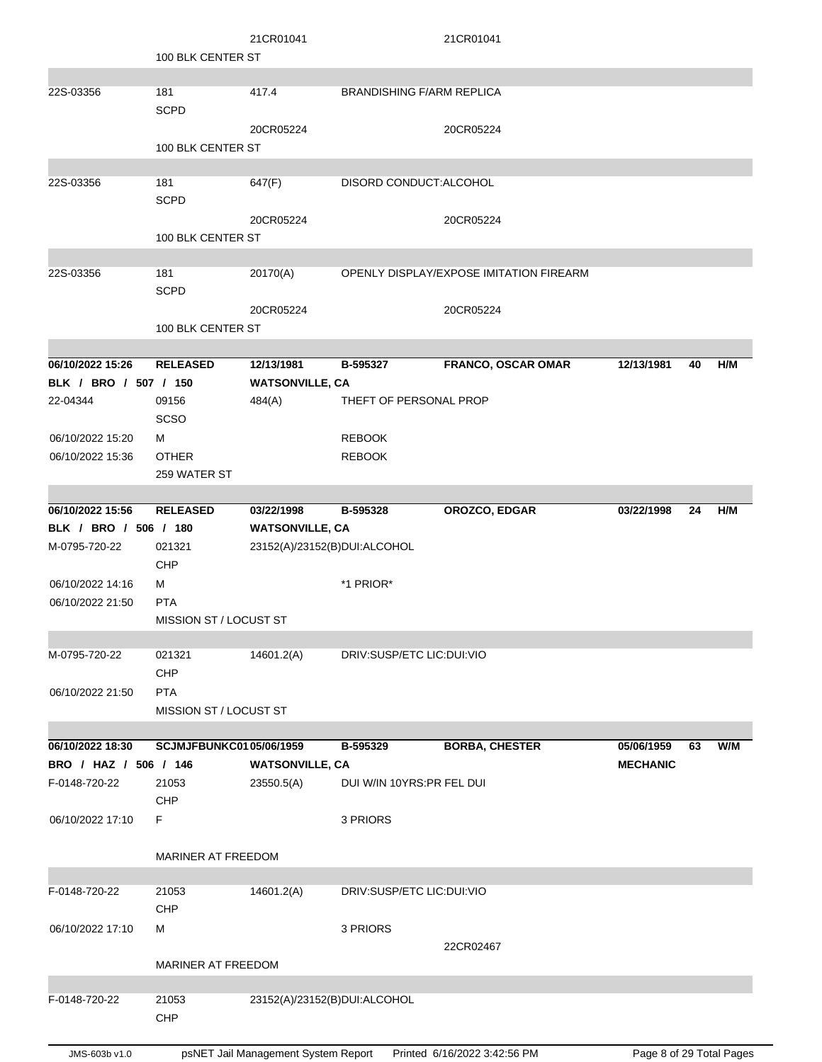|                       | 100 BLK CENTER ST                    | 21CR01041                           |                                  | 21CR01041                               |                          |    |     |
|-----------------------|--------------------------------------|-------------------------------------|----------------------------------|-----------------------------------------|--------------------------|----|-----|
| 22S-03356             | 181<br><b>SCPD</b>                   | 417.4                               | <b>BRANDISHING F/ARM REPLICA</b> |                                         |                          |    |     |
|                       | 100 BLK CENTER ST                    | 20CR05224                           |                                  | 20CR05224                               |                          |    |     |
| 22S-03356             | 181<br><b>SCPD</b>                   | 647(F)                              | DISORD CONDUCT: ALCOHOL          |                                         |                          |    |     |
|                       | 100 BLK CENTER ST                    | 20CR05224                           |                                  | 20CR05224                               |                          |    |     |
| 22S-03356             | 181<br><b>SCPD</b>                   | 20170(A)                            |                                  | OPENLY DISPLAY/EXPOSE IMITATION FIREARM |                          |    |     |
|                       | 100 BLK CENTER ST                    | 20CR05224                           |                                  | 20CR05224                               |                          |    |     |
| 06/10/2022 15:26      | <b>RELEASED</b>                      | 12/13/1981                          | B-595327                         | FRANCO, OSCAR OMAR                      | 12/13/1981               | 40 | H/M |
| BLK / BRO / 507 / 150 |                                      | <b>WATSONVILLE, CA</b>              |                                  |                                         |                          |    |     |
| 22-04344              | 09156<br>SCSO                        | 484(A)                              | THEFT OF PERSONAL PROP           |                                         |                          |    |     |
| 06/10/2022 15:20      | м                                    |                                     | <b>REBOOK</b>                    |                                         |                          |    |     |
| 06/10/2022 15:36      | <b>OTHER</b>                         |                                     | <b>REBOOK</b>                    |                                         |                          |    |     |
|                       | 259 WATER ST                         |                                     |                                  |                                         |                          |    |     |
| 06/10/2022 15:56      | <b>RELEASED</b>                      | 03/22/1998                          | B-595328                         | OROZCO, EDGAR                           | 03/22/1998               | 24 | H/M |
| BLK / BRO / 506 / 180 |                                      | <b>WATSONVILLE, CA</b>              |                                  |                                         |                          |    |     |
| M-0795-720-22         | 021321<br>CHP                        | 23152(A)/23152(B)DUI:ALCOHOL        |                                  |                                         |                          |    |     |
| 06/10/2022 14:16      | м                                    |                                     | *1 PRIOR*                        |                                         |                          |    |     |
| 06/10/2022 21:50      | <b>PTA</b><br>MISSION ST / LOCUST ST |                                     |                                  |                                         |                          |    |     |
|                       |                                      |                                     |                                  |                                         |                          |    |     |
| M-0795-720-22         | 021321<br>CHP                        | 14601.2(A)                          | DRIV:SUSP/ETC LIC:DUI:VIO        |                                         |                          |    |     |
| 06/10/2022 21:50      | <b>PTA</b><br>MISSION ST / LOCUST ST |                                     |                                  |                                         |                          |    |     |
| 06/10/2022 18:30      | <b>SCJMJFBUNKC0105/06/1959</b>       |                                     | B-595329                         | <b>BORBA, CHESTER</b>                   | 05/06/1959               | 63 | W/M |
| BRO / HAZ / 506 / 146 |                                      | <b>WATSONVILLE, CA</b>              |                                  |                                         | <b>MECHANIC</b>          |    |     |
| F-0148-720-22         | 21053<br>CHP                         | 23550.5(A)                          | DUI W/IN 10YRS:PR FEL DUI        |                                         |                          |    |     |
| 06/10/2022 17:10      | F                                    |                                     | 3 PRIORS                         |                                         |                          |    |     |
|                       | <b>MARINER AT FREEDOM</b>            |                                     |                                  |                                         |                          |    |     |
| F-0148-720-22         | 21053<br>CHP                         | 14601.2(A)                          | DRIV:SUSP/ETC LIC:DUI:VIO        |                                         |                          |    |     |
| 06/10/2022 17:10      | м                                    |                                     | 3 PRIORS                         | 22CR02467                               |                          |    |     |
|                       | MARINER AT FREEDOM                   |                                     |                                  |                                         |                          |    |     |
| F-0148-720-22         | 21053<br>CHP                         | 23152(A)/23152(B)DUI:ALCOHOL        |                                  |                                         |                          |    |     |
| JMS-603b v1.0         |                                      | psNET Jail Management System Report |                                  | Printed 6/16/2022 3:42:56 PM            | Page 8 of 29 Total Pages |    |     |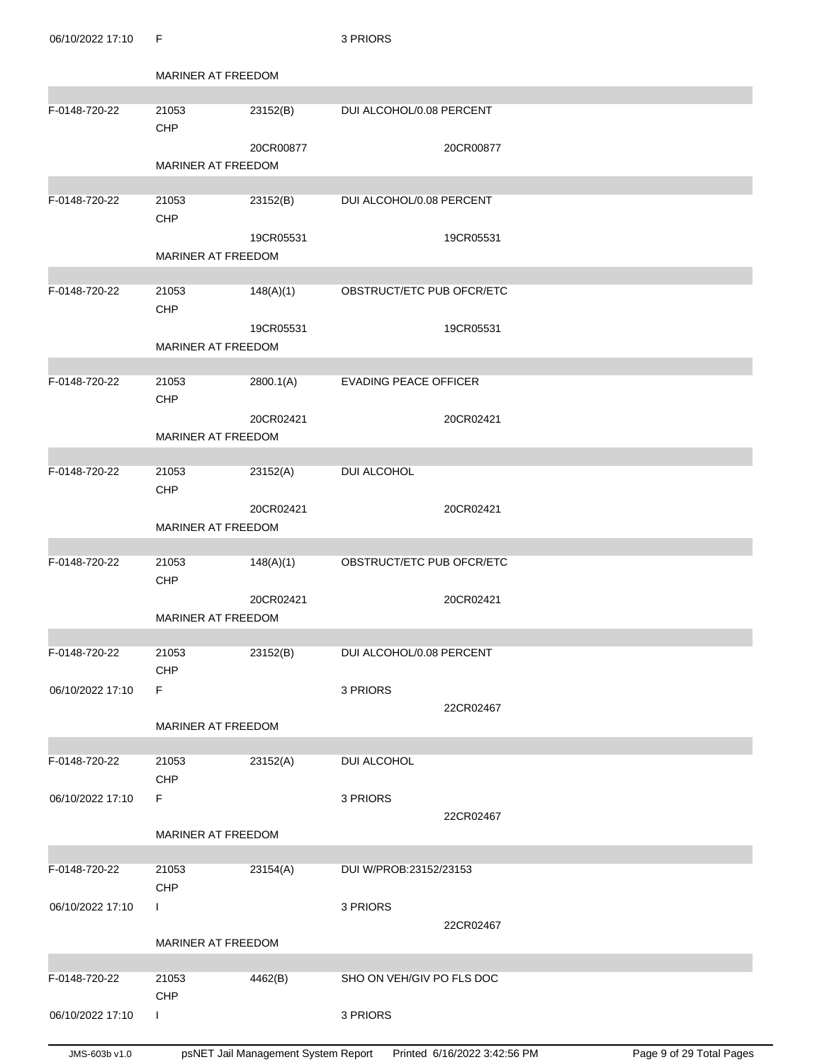06/10/2022 17:10 F 3 PRIORS

|                  | MARINER AT FREEDOM  |           |                              |           |  |
|------------------|---------------------|-----------|------------------------------|-----------|--|
|                  |                     |           |                              |           |  |
| F-0148-720-22    | 21053<br>CHP        | 23152(B)  | DUI ALCOHOL/0.08 PERCENT     |           |  |
|                  | MARINER AT FREEDOM  | 20CR00877 |                              | 20CR00877 |  |
|                  |                     |           |                              |           |  |
| F-0148-720-22    | 21053<br><b>CHP</b> | 23152(B)  | DUI ALCOHOL/0.08 PERCENT     |           |  |
|                  | MARINER AT FREEDOM  | 19CR05531 |                              | 19CR05531 |  |
|                  |                     |           |                              |           |  |
| F-0148-720-22    | 21053<br>CHP        | 148(A)(1) | OBSTRUCT/ETC PUB OFCR/ETC    |           |  |
|                  |                     | 19CR05531 |                              | 19CR05531 |  |
|                  | MARINER AT FREEDOM  |           |                              |           |  |
| F-0148-720-22    | 21053               | 2800.1(A) | <b>EVADING PEACE OFFICER</b> |           |  |
|                  | CHP                 |           |                              |           |  |
|                  |                     | 20CR02421 |                              | 20CR02421 |  |
|                  | MARINER AT FREEDOM  |           |                              |           |  |
| F-0148-720-22    | 21053               | 23152(A)  | <b>DUI ALCOHOL</b>           |           |  |
|                  | CHP                 |           |                              |           |  |
|                  | MARINER AT FREEDOM  | 20CR02421 |                              | 20CR02421 |  |
|                  |                     |           |                              |           |  |
| F-0148-720-22    | 21053<br>CHP        | 148(A)(1) | OBSTRUCT/ETC PUB OFCR/ETC    |           |  |
|                  | MARINER AT FREEDOM  | 20CR02421 |                              | 20CR02421 |  |
|                  |                     |           |                              |           |  |
| F-0148-720-22    | 21053               | 23152(B)  | DUI ALCOHOL/0.08 PERCENT     |           |  |
|                  | CHP                 |           |                              |           |  |
| 06/10/2022 17:10 | F                   |           | 3 PRIORS                     |           |  |
|                  | MARINER AT FREEDOM  |           |                              | 22CR02467 |  |
|                  |                     |           |                              |           |  |
| F-0148-720-22    | 21053<br>CHP        | 23152(A)  | DUI ALCOHOL                  |           |  |
| 06/10/2022 17:10 | F                   |           | 3 PRIORS                     |           |  |
|                  |                     |           |                              | 22CR02467 |  |
|                  | MARINER AT FREEDOM  |           |                              |           |  |
| F-0148-720-22    | 21053               | 23154(A)  | DUI W/PROB:23152/23153       |           |  |
|                  | CHP                 |           |                              |           |  |
| 06/10/2022 17:10 | L                   |           | 3 PRIORS                     | 22CR02467 |  |
|                  | MARINER AT FREEDOM  |           |                              |           |  |
|                  |                     |           |                              |           |  |
| F-0148-720-22    | 21053<br>CHP        | 4462(B)   | SHO ON VEH/GIV PO FLS DOC    |           |  |
| 06/10/2022 17:10 | L                   |           | 3 PRIORS                     |           |  |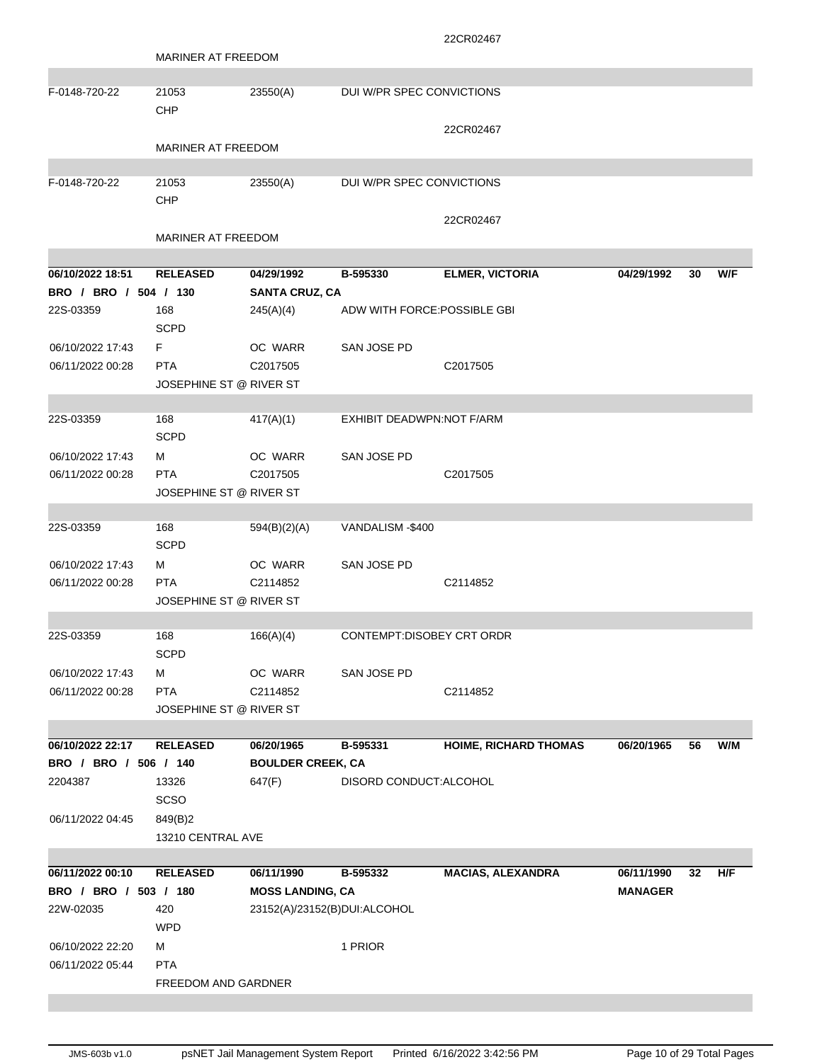|                       |                           |                              |                              | 22CR02467                    |                |    |     |
|-----------------------|---------------------------|------------------------------|------------------------------|------------------------------|----------------|----|-----|
|                       | <b>MARINER AT FREEDOM</b> |                              |                              |                              |                |    |     |
|                       |                           |                              |                              |                              |                |    |     |
| F-0148-720-22         | 21053                     | 23550(A)                     | DUI W/PR SPEC CONVICTIONS    |                              |                |    |     |
|                       | CHP                       |                              |                              |                              |                |    |     |
|                       |                           |                              |                              | 22CR02467                    |                |    |     |
|                       | <b>MARINER AT FREEDOM</b> |                              |                              |                              |                |    |     |
|                       |                           |                              |                              |                              |                |    |     |
| F-0148-720-22         | 21053                     | 23550(A)                     | DUI W/PR SPEC CONVICTIONS    |                              |                |    |     |
|                       | CHP                       |                              |                              |                              |                |    |     |
|                       |                           |                              |                              | 22CR02467                    |                |    |     |
|                       | <b>MARINER AT FREEDOM</b> |                              |                              |                              |                |    |     |
| 06/10/2022 18:51      | <b>RELEASED</b>           | 04/29/1992                   | B-595330                     | <b>ELMER, VICTORIA</b>       | 04/29/1992     | 30 | W/F |
| BRO / BRO / 504 / 130 |                           | <b>SANTA CRUZ, CA</b>        |                              |                              |                |    |     |
| 22S-03359             | 168                       | 245(A)(4)                    | ADW WITH FORCE: POSSIBLE GBI |                              |                |    |     |
|                       | <b>SCPD</b>               |                              |                              |                              |                |    |     |
| 06/10/2022 17:43      | F                         | OC WARR                      | SAN JOSE PD                  |                              |                |    |     |
| 06/11/2022 00:28      | <b>PTA</b>                | C2017505                     |                              | C2017505                     |                |    |     |
|                       | JOSEPHINE ST @ RIVER ST   |                              |                              |                              |                |    |     |
|                       |                           |                              |                              |                              |                |    |     |
| 22S-03359             | 168                       | 417(A)(1)                    | EXHIBIT DEADWPN:NOT F/ARM    |                              |                |    |     |
|                       | <b>SCPD</b>               |                              |                              |                              |                |    |     |
| 06/10/2022 17:43      | м                         | OC WARR                      | SAN JOSE PD                  |                              |                |    |     |
| 06/11/2022 00:28      | <b>PTA</b>                | C <sub>2017505</sub>         |                              | C <sub>2017505</sub>         |                |    |     |
|                       | JOSEPHINE ST @ RIVER ST   |                              |                              |                              |                |    |     |
|                       |                           |                              |                              |                              |                |    |     |
| 22S-03359             | 168                       | 594(B)(2)(A)                 | VANDALISM-\$400              |                              |                |    |     |
|                       | <b>SCPD</b>               |                              |                              |                              |                |    |     |
| 06/10/2022 17:43      | м                         | OC WARR                      | SAN JOSE PD                  |                              |                |    |     |
| 06/11/2022 00:28      | <b>PTA</b>                | C2114852                     |                              | C2114852                     |                |    |     |
|                       | JOSEPHINE ST @ RIVER ST   |                              |                              |                              |                |    |     |
|                       |                           |                              |                              |                              |                |    |     |
| 22S-03359             | 168                       | 166(A)(4)                    | CONTEMPT:DISOBEY CRT ORDR    |                              |                |    |     |
|                       | <b>SCPD</b>               |                              |                              |                              |                |    |     |
| 06/10/2022 17:43      | м                         | OC WARR                      | SAN JOSE PD                  |                              |                |    |     |
| 06/11/2022 00:28      | <b>PTA</b>                | C2114852                     |                              | C2114852                     |                |    |     |
|                       | JOSEPHINE ST @ RIVER ST   |                              |                              |                              |                |    |     |
|                       |                           |                              |                              |                              |                |    |     |
| 06/10/2022 22:17      | <b>RELEASED</b>           | 06/20/1965                   | B-595331                     | <b>HOIME, RICHARD THOMAS</b> | 06/20/1965     | 56 | W/M |
| BRO / BRO / 506 / 140 |                           | <b>BOULDER CREEK, CA</b>     |                              |                              |                |    |     |
| 2204387               | 13326                     | 647(F)                       | DISORD CONDUCT: ALCOHOL      |                              |                |    |     |
|                       | <b>SCSO</b>               |                              |                              |                              |                |    |     |
| 06/11/2022 04:45      | 849(B)2                   |                              |                              |                              |                |    |     |
|                       | 13210 CENTRAL AVE         |                              |                              |                              |                |    |     |
|                       |                           |                              |                              |                              |                |    |     |
| 06/11/2022 00:10      | <b>RELEASED</b>           | 06/11/1990                   | B-595332                     | <b>MACIAS, ALEXANDRA</b>     | 06/11/1990     | 32 | H/F |
| BRO / BRO / 503 / 180 |                           | <b>MOSS LANDING, CA</b>      |                              |                              | <b>MANAGER</b> |    |     |
| 22W-02035             | 420                       | 23152(A)/23152(B)DUI:ALCOHOL |                              |                              |                |    |     |
|                       | <b>WPD</b>                |                              |                              |                              |                |    |     |
| 06/10/2022 22:20      | м                         |                              | 1 PRIOR                      |                              |                |    |     |
| 06/11/2022 05:44      | <b>PTA</b>                |                              |                              |                              |                |    |     |
|                       | FREEDOM AND GARDNER       |                              |                              |                              |                |    |     |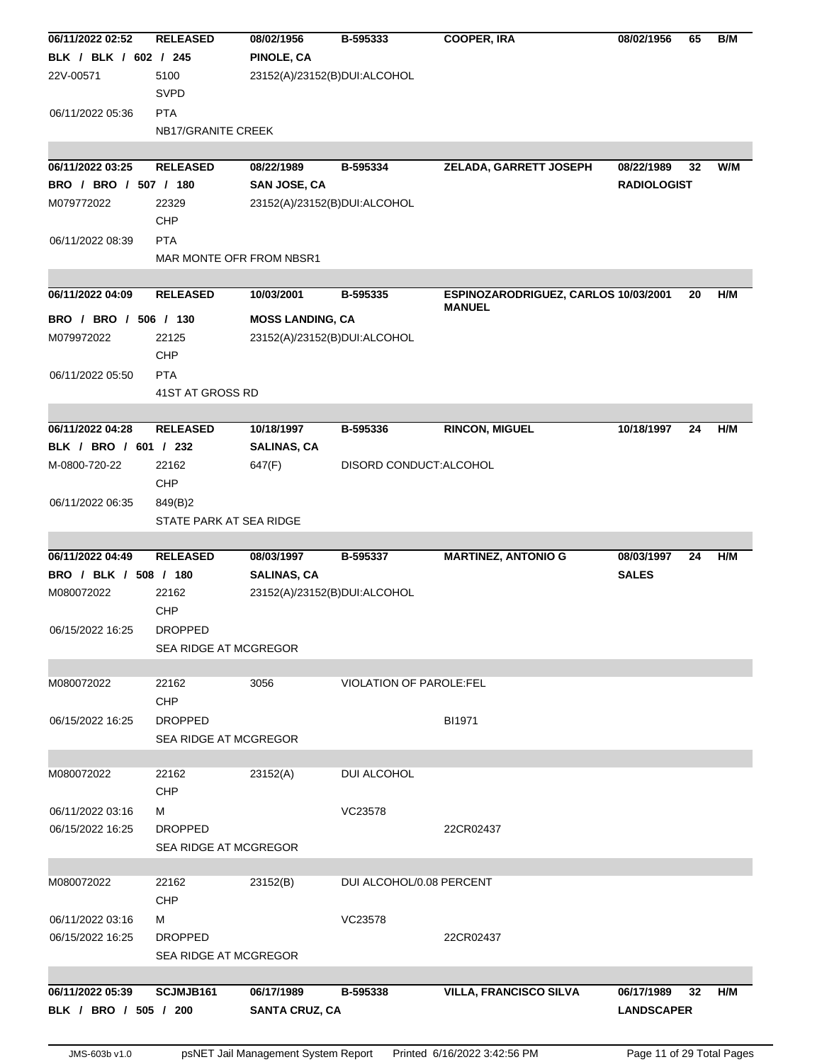|                       | <b>RELEASED</b>              | 08/02/1956                   | B-595333                 | <b>COOPER, IRA</b>                   | 08/02/1956         | 65 | B/M |
|-----------------------|------------------------------|------------------------------|--------------------------|--------------------------------------|--------------------|----|-----|
| BLK / BLK / 602 / 245 |                              | <b>PINOLE, CA</b>            |                          |                                      |                    |    |     |
| 22V-00571             | 5100<br><b>SVPD</b>          | 23152(A)/23152(B)DUI:ALCOHOL |                          |                                      |                    |    |     |
| 06/11/2022 05:36      | <b>PTA</b>                   |                              |                          |                                      |                    |    |     |
|                       | NB17/GRANITE CREEK           |                              |                          |                                      |                    |    |     |
| 06/11/2022 03:25      | <b>RELEASED</b>              | 08/22/1989                   | B-595334                 | ZELADA, GARRETT JOSEPH               | 08/22/1989         | 32 | W/M |
| BRO / BRO / 507 / 180 |                              | SAN JOSE, CA                 |                          |                                      | <b>RADIOLOGIST</b> |    |     |
| M079772022            | 22329                        | 23152(A)/23152(B)DUI:ALCOHOL |                          |                                      |                    |    |     |
|                       | CHP                          |                              |                          |                                      |                    |    |     |
| 06/11/2022 08:39      | <b>PTA</b>                   |                              |                          |                                      |                    |    |     |
|                       | MAR MONTE OFR FROM NBSR1     |                              |                          |                                      |                    |    |     |
| 06/11/2022 04:09      | <b>RELEASED</b>              | 10/03/2001                   | B-595335                 | ESPINOZARODRIGUEZ, CARLOS 10/03/2001 |                    | 20 | H/M |
|                       |                              |                              |                          | <b>MANUEL</b>                        |                    |    |     |
| BRO / BRO / 506 / 130 |                              | <b>MOSS LANDING, CA</b>      |                          |                                      |                    |    |     |
| M079972022            | 22125                        | 23152(A)/23152(B)DUI:ALCOHOL |                          |                                      |                    |    |     |
|                       | CHP                          |                              |                          |                                      |                    |    |     |
| 06/11/2022 05:50      | <b>PTA</b>                   |                              |                          |                                      |                    |    |     |
|                       | 41ST AT GROSS RD             |                              |                          |                                      |                    |    |     |
| 06/11/2022 04:28      | <b>RELEASED</b>              | 10/18/1997                   | B-595336                 | <b>RINCON, MIGUEL</b>                | 10/18/1997         | 24 | H/M |
| BLK / BRO / 601 / 232 |                              | <b>SALINAS, CA</b>           |                          |                                      |                    |    |     |
| M-0800-720-22         | 22162                        | 647(F)                       | DISORD CONDUCT: ALCOHOL  |                                      |                    |    |     |
|                       | CHP                          |                              |                          |                                      |                    |    |     |
| 06/11/2022 06:35      | 849(B)2                      |                              |                          |                                      |                    |    |     |
|                       | STATE PARK AT SEA RIDGE      |                              |                          |                                      |                    |    |     |
|                       |                              |                              |                          |                                      |                    |    |     |
| 06/11/2022 04:49      | <b>RELEASED</b>              | 08/03/1997                   | B-595337                 | <b>MARTINEZ, ANTONIO G</b>           | 08/03/1997         | 24 | H/M |
| BRO / BLK / 508 / 180 |                              | <b>SALINAS, CA</b>           |                          |                                      |                    |    |     |
|                       |                              |                              |                          |                                      | <b>SALES</b>       |    |     |
| M080072022            | 22162                        | 23152(A)/23152(B)DUI:ALCOHOL |                          |                                      |                    |    |     |
|                       | <b>CHP</b>                   |                              |                          |                                      |                    |    |     |
| 06/15/2022 16:25      | <b>DROPPED</b>               |                              |                          |                                      |                    |    |     |
|                       | <b>SEA RIDGE AT MCGREGOR</b> |                              |                          |                                      |                    |    |     |
|                       |                              |                              |                          |                                      |                    |    |     |
| M080072022            | 22162                        | 3056                         | VIOLATION OF PAROLE:FEL  |                                      |                    |    |     |
|                       | <b>CHP</b>                   |                              |                          |                                      |                    |    |     |
| 06/15/2022 16:25      | <b>DROPPED</b>               |                              |                          | BI1971                               |                    |    |     |
|                       | <b>SEA RIDGE AT MCGREGOR</b> |                              |                          |                                      |                    |    |     |
| M080072022            | 22162                        | 23152(A)                     | DUI ALCOHOL              |                                      |                    |    |     |
|                       | CHP                          |                              |                          |                                      |                    |    |     |
| 06/11/2022 03:16      | м                            |                              | VC23578                  |                                      |                    |    |     |
| 06/15/2022 16:25      | <b>DROPPED</b>               |                              |                          | 22CR02437                            |                    |    |     |
|                       | <b>SEA RIDGE AT MCGREGOR</b> |                              |                          |                                      |                    |    |     |
|                       |                              |                              |                          |                                      |                    |    |     |
| M080072022            | 22162                        | 23152(B)                     | DUI ALCOHOL/0.08 PERCENT |                                      |                    |    |     |
|                       | <b>CHP</b>                   |                              |                          |                                      |                    |    |     |
| 06/11/2022 03:16      | м                            |                              | VC23578                  |                                      |                    |    |     |
| 06/15/2022 16:25      | <b>DROPPED</b>               |                              |                          | 22CR02437                            |                    |    |     |
|                       | SEA RIDGE AT MCGREGOR        |                              |                          |                                      |                    |    |     |
| 06/11/2022 05:39      | SCJMJB161                    | 06/17/1989                   | B-595338                 | <b>VILLA, FRANCISCO SILVA</b>        | 06/17/1989         | 32 | H/M |
| BLK / BRO / 505 / 200 |                              | <b>SANTA CRUZ, CA</b>        |                          |                                      | <b>LANDSCAPER</b>  |    |     |
|                       |                              |                              |                          |                                      |                    |    |     |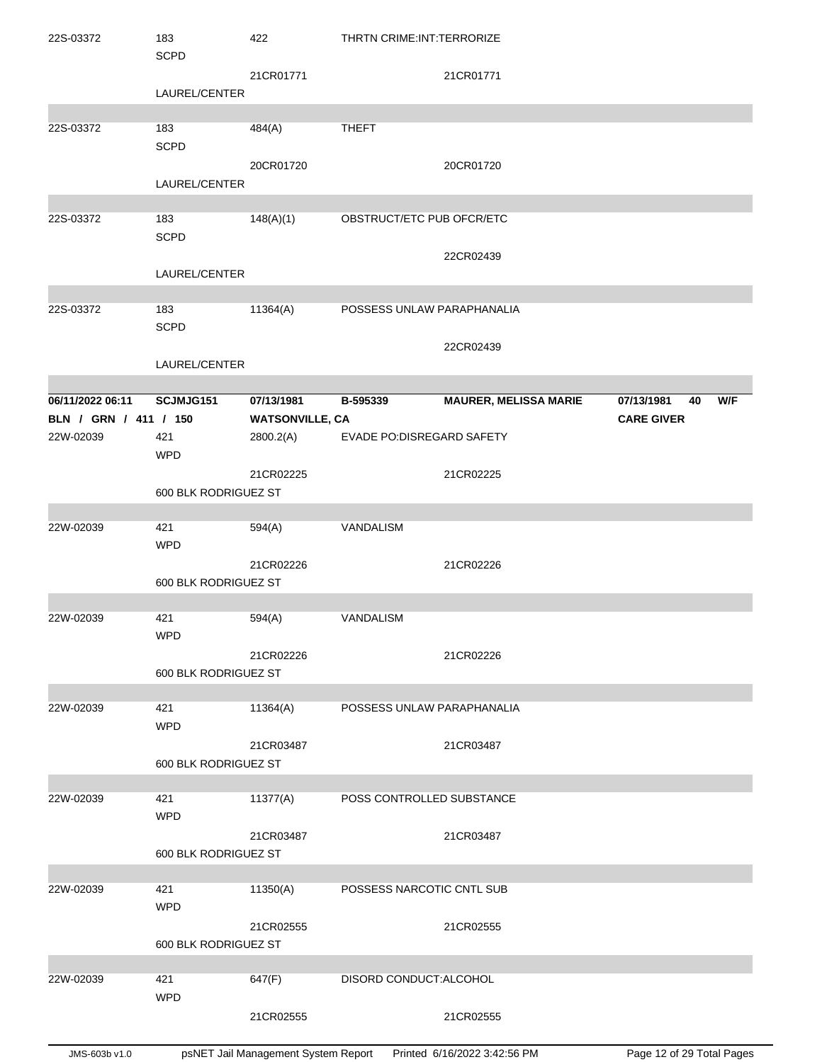| 22S-03372             | 183<br><b>SCPD</b>   | 422                    | THRTN CRIME: INT: TERRORIZE |                              |                   |     |
|-----------------------|----------------------|------------------------|-----------------------------|------------------------------|-------------------|-----|
|                       | LAUREL/CENTER        | 21CR01771              |                             | 21CR01771                    |                   |     |
|                       |                      |                        |                             |                              |                   |     |
| 22S-03372             | 183<br><b>SCPD</b>   | 484(A)                 | <b>THEFT</b>                |                              |                   |     |
|                       |                      | 20CR01720              |                             | 20CR01720                    |                   |     |
|                       | LAUREL/CENTER        |                        |                             |                              |                   |     |
|                       |                      |                        |                             |                              |                   |     |
| 22S-03372             | 183<br><b>SCPD</b>   | 148(A)(1)              | OBSTRUCT/ETC PUB OFCR/ETC   | 22CR02439                    |                   |     |
|                       | LAUREL/CENTER        |                        |                             |                              |                   |     |
|                       |                      |                        |                             |                              |                   |     |
| 22S-03372             | 183<br><b>SCPD</b>   | 11364(A)               | POSSESS UNLAW PARAPHANALIA  |                              |                   |     |
|                       | LAUREL/CENTER        |                        |                             | 22CR02439                    |                   |     |
|                       |                      |                        |                             |                              |                   |     |
| 06/11/2022 06:11      | SCJMJG151            | 07/13/1981             | B-595339                    | <b>MAURER, MELISSA MARIE</b> | 07/13/1981<br>40  | W/F |
| BLN / GRN / 411 / 150 |                      | <b>WATSONVILLE, CA</b> |                             |                              | <b>CARE GIVER</b> |     |
| 22W-02039             | 421<br><b>WPD</b>    | 2800.2(A)              | EVADE PO:DISREGARD SAFETY   |                              |                   |     |
|                       |                      | 21CR02225              |                             | 21CR02225                    |                   |     |
|                       | 600 BLK RODRIGUEZ ST |                        |                             |                              |                   |     |
|                       |                      |                        |                             |                              |                   |     |
| 22W-02039             | 421<br><b>WPD</b>    | 594(A)                 | VANDALISM                   |                              |                   |     |
|                       |                      | 21CR02226              |                             | 21CR02226                    |                   |     |
|                       | 600 BLK RODRIGUEZ ST |                        |                             |                              |                   |     |
| 22W-02039             | 421<br><b>WPD</b>    | 594(A)                 | VANDALISM                   |                              |                   |     |
|                       |                      | 21CR02226              |                             | 21CR02226                    |                   |     |
|                       | 600 BLK RODRIGUEZ ST |                        |                             |                              |                   |     |
|                       |                      |                        |                             |                              |                   |     |
| 22W-02039             | 421<br><b>WPD</b>    | 11364(A)               | POSSESS UNLAW PARAPHANALIA  |                              |                   |     |
|                       |                      | 21CR03487              |                             | 21CR03487                    |                   |     |
|                       | 600 BLK RODRIGUEZ ST |                        |                             |                              |                   |     |
|                       |                      |                        |                             |                              |                   |     |
| 22W-02039             | 421<br><b>WPD</b>    | 11377(A)               | POSS CONTROLLED SUBSTANCE   |                              |                   |     |
|                       |                      | 21CR03487              |                             | 21CR03487                    |                   |     |
|                       | 600 BLK RODRIGUEZ ST |                        |                             |                              |                   |     |
|                       |                      |                        | POSSESS NARCOTIC CNTL SUB   |                              |                   |     |
| 22W-02039             | 421<br><b>WPD</b>    | 11350(A)               |                             |                              |                   |     |
|                       | 600 BLK RODRIGUEZ ST | 21CR02555              |                             | 21CR02555                    |                   |     |
|                       |                      |                        |                             |                              |                   |     |
| 22W-02039             | 421<br><b>WPD</b>    | 647(F)                 | DISORD CONDUCT: ALCOHOL     |                              |                   |     |
|                       |                      | 21CR02555              |                             | 21CR02555                    |                   |     |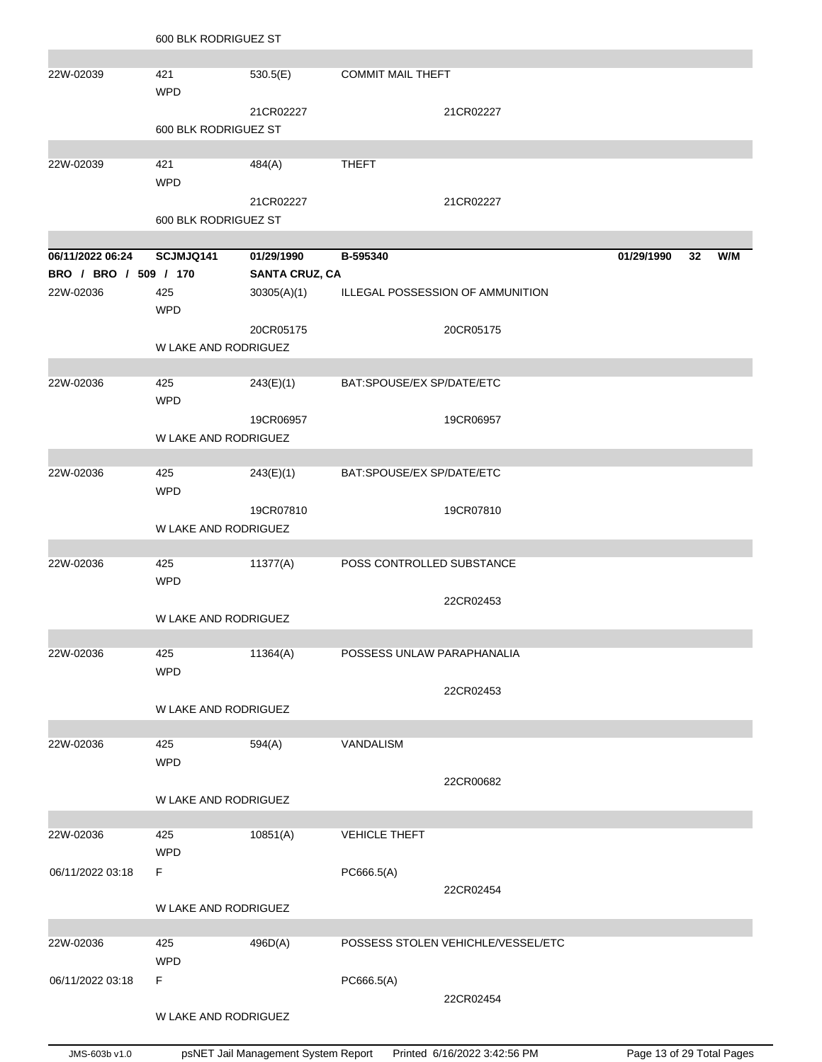|                        | 600 BLK RODRIGUEZ ST        |                       |                            |                                    |            |    |     |
|------------------------|-----------------------------|-----------------------|----------------------------|------------------------------------|------------|----|-----|
|                        |                             |                       |                            |                                    |            |    |     |
| 22W-02039              | 421                         | 530.5(E)              | <b>COMMIT MAIL THEFT</b>   |                                    |            |    |     |
|                        | <b>WPD</b>                  |                       |                            |                                    |            |    |     |
|                        |                             | 21CR02227             |                            | 21CR02227                          |            |    |     |
|                        | 600 BLK RODRIGUEZ ST        |                       |                            |                                    |            |    |     |
| 22W-02039              | 421                         | 484(A)                | <b>THEFT</b>               |                                    |            |    |     |
|                        | <b>WPD</b>                  |                       |                            |                                    |            |    |     |
|                        |                             | 21CR02227             |                            | 21CR02227                          |            |    |     |
|                        | 600 BLK RODRIGUEZ ST        |                       |                            |                                    |            |    |     |
|                        |                             |                       |                            |                                    |            |    |     |
| 06/11/2022 06:24       | SCJMJQ141                   | 01/29/1990            | B-595340                   |                                    | 01/29/1990 | 32 | W/M |
| BRO / BRO / 509 / 170  |                             | <b>SANTA CRUZ, CA</b> |                            |                                    |            |    |     |
| 22W-02036              | 425<br><b>WPD</b>           | 30305(A)(1)           |                            | ILLEGAL POSSESSION OF AMMUNITION   |            |    |     |
|                        |                             | 20CR05175             |                            | 20CR05175                          |            |    |     |
|                        | <b>W LAKE AND RODRIGUEZ</b> |                       |                            |                                    |            |    |     |
|                        |                             |                       |                            |                                    |            |    |     |
| 22W-02036              | 425<br><b>WPD</b>           | 243(E)(1)             | BAT:SPOUSE/EX SP/DATE/ETC  |                                    |            |    |     |
|                        |                             | 19CR06957             |                            | 19CR06957                          |            |    |     |
|                        | W LAKE AND RODRIGUEZ        |                       |                            |                                    |            |    |     |
|                        |                             |                       |                            |                                    |            |    |     |
| 22W-02036              | 425<br><b>WPD</b>           | 243(E)(1)             | BAT:SPOUSE/EX SP/DATE/ETC  |                                    |            |    |     |
|                        |                             | 19CR07810             |                            | 19CR07810                          |            |    |     |
|                        | W LAKE AND RODRIGUEZ        |                       |                            |                                    |            |    |     |
|                        |                             |                       |                            |                                    |            |    |     |
| 22W-02036              | 425                         | 11377(A)              | POSS CONTROLLED SUBSTANCE  |                                    |            |    |     |
|                        | <b>WPD</b>                  |                       |                            |                                    |            |    |     |
|                        |                             |                       |                            | 22CR02453                          |            |    |     |
|                        | W LAKE AND RODRIGUEZ        |                       |                            |                                    |            |    |     |
| 22W-02036              |                             |                       |                            |                                    |            |    |     |
|                        | 425<br><b>WPD</b>           | 11364(A)              | POSSESS UNLAW PARAPHANALIA |                                    |            |    |     |
|                        |                             |                       |                            | 22CR02453                          |            |    |     |
|                        | W LAKE AND RODRIGUEZ        |                       |                            |                                    |            |    |     |
|                        |                             |                       |                            |                                    |            |    |     |
| 22W-02036              | 425                         | 594(A)                | VANDALISM                  |                                    |            |    |     |
|                        | <b>WPD</b>                  |                       |                            |                                    |            |    |     |
|                        |                             |                       |                            | 22CR00682                          |            |    |     |
|                        | W LAKE AND RODRIGUEZ        |                       |                            |                                    |            |    |     |
|                        |                             |                       | <b>VEHICLE THEFT</b>       |                                    |            |    |     |
| 22W-02036              | 425<br><b>WPD</b>           | 10851(A)              |                            |                                    |            |    |     |
| 06/11/2022 03:18<br>F. |                             |                       | PC666.5(A)                 |                                    |            |    |     |
|                        |                             |                       |                            | 22CR02454                          |            |    |     |
|                        | W LAKE AND RODRIGUEZ        |                       |                            |                                    |            |    |     |
|                        |                             |                       |                            |                                    |            |    |     |
| 22W-02036              | 425                         | 496D(A)               |                            | POSSESS STOLEN VEHICHLE/VESSEL/ETC |            |    |     |
|                        | <b>WPD</b>                  |                       |                            |                                    |            |    |     |
| F.<br>06/11/2022 03:18 |                             |                       | PC666.5(A)                 |                                    |            |    |     |
|                        |                             |                       |                            | 22CR02454                          |            |    |     |
|                        | W LAKE AND RODRIGUEZ        |                       |                            |                                    |            |    |     |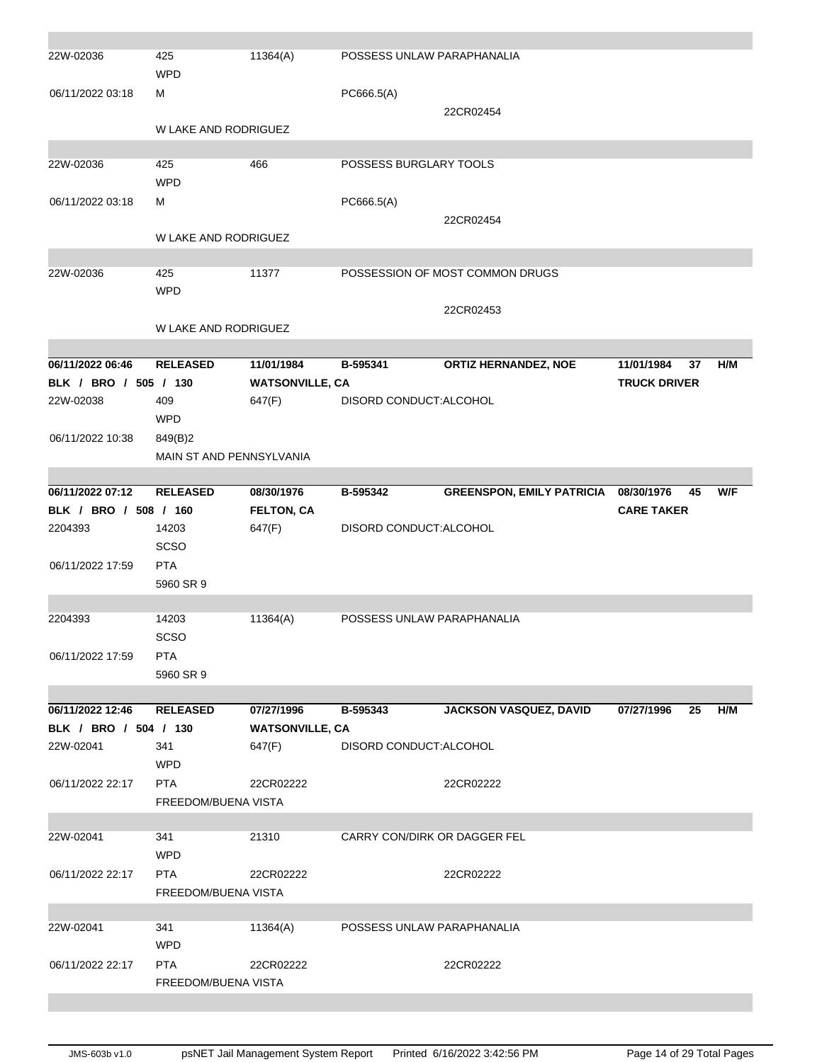| 22W-02036                          | 425<br><b>WPD</b>                        | 11364(A)               | POSSESS UNLAW PARAPHANALIA   |                                      |                     |           |  |
|------------------------------------|------------------------------------------|------------------------|------------------------------|--------------------------------------|---------------------|-----------|--|
| 06/11/2022 03:18                   | м                                        |                        | PC666.5(A)                   |                                      |                     |           |  |
|                                    | W LAKE AND RODRIGUEZ                     |                        |                              | 22CR02454                            |                     |           |  |
|                                    |                                          |                        |                              |                                      |                     |           |  |
| 22W-02036                          | 425<br><b>WPD</b>                        | 466                    | POSSESS BURGLARY TOOLS       |                                      |                     |           |  |
| 06/11/2022 03:18                   | М                                        |                        | PC666.5(A)                   |                                      |                     |           |  |
|                                    | W LAKE AND RODRIGUEZ                     |                        |                              | 22CR02454                            |                     |           |  |
|                                    |                                          |                        |                              |                                      |                     |           |  |
| 22W-02036                          | 425<br><b>WPD</b>                        | 11377                  |                              | POSSESSION OF MOST COMMON DRUGS      |                     |           |  |
|                                    |                                          |                        |                              | 22CR02453                            |                     |           |  |
|                                    | <b>W LAKE AND RODRIGUEZ</b>              |                        |                              |                                      |                     |           |  |
| 06/11/2022 06:46                   | <b>RELEASED</b>                          | 11/01/1984             | B-595341                     | <b>ORTIZ HERNANDEZ, NOE</b>          | 11/01/1984          | H/M<br>37 |  |
| BLK / BRO / 505 / 130              |                                          | <b>WATSONVILLE, CA</b> |                              |                                      | <b>TRUCK DRIVER</b> |           |  |
| 22W-02038                          | 409                                      | 647(F)                 | DISORD CONDUCT: ALCOHOL      |                                      |                     |           |  |
|                                    | <b>WPD</b>                               |                        |                              |                                      |                     |           |  |
| 06/11/2022 10:38                   | 849(B)2                                  |                        |                              |                                      |                     |           |  |
|                                    | <b>MAIN ST AND PENNSYLVANIA</b>          |                        |                              |                                      |                     |           |  |
|                                    |                                          |                        |                              |                                      |                     |           |  |
| 06/11/2022 07:12                   | <b>RELEASED</b>                          | 08/30/1976             | B-595342                     | GREENSPON, EMILY PATRICIA 08/30/1976 |                     | W/F<br>45 |  |
| BLK / BRO / 508 / 160              |                                          | <b>FELTON, CA</b>      |                              |                                      | <b>CARE TAKER</b>   |           |  |
|                                    |                                          |                        |                              |                                      |                     |           |  |
| 2204393                            | 14203                                    | 647(F)                 | DISORD CONDUCT: ALCOHOL      |                                      |                     |           |  |
|                                    | <b>SCSO</b>                              |                        |                              |                                      |                     |           |  |
| 06/11/2022 17:59                   | <b>PTA</b>                               |                        |                              |                                      |                     |           |  |
|                                    | 5960 SR 9                                |                        |                              |                                      |                     |           |  |
|                                    |                                          |                        |                              |                                      |                     |           |  |
| 2204393                            | 14203                                    | 11364(A)               | POSSESS UNLAW PARAPHANALIA   |                                      |                     |           |  |
|                                    | <b>SCSO</b>                              |                        |                              |                                      |                     |           |  |
| 06/11/2022 17:59                   | <b>PTA</b>                               |                        |                              |                                      |                     |           |  |
|                                    | 5960 SR 9                                |                        |                              |                                      |                     |           |  |
|                                    |                                          |                        |                              |                                      |                     |           |  |
| 06/11/2022 12:46                   | <b>RELEASED</b>                          | 07/27/1996             | B-595343                     | <b>JACKSON VASQUEZ, DAVID</b>        | 07/27/1996          | 25<br>H/M |  |
| BLK / BRO / 504 / 130<br>22W-02041 |                                          | <b>WATSONVILLE, CA</b> |                              |                                      |                     |           |  |
|                                    | 341<br><b>WPD</b>                        | 647(F)                 | DISORD CONDUCT: ALCOHOL      |                                      |                     |           |  |
| 06/11/2022 22:17                   | <b>PTA</b>                               |                        |                              |                                      |                     |           |  |
|                                    | <b>FREEDOM/BUENA VISTA</b>               | 22CR02222              |                              | 22CR02222                            |                     |           |  |
|                                    |                                          |                        |                              |                                      |                     |           |  |
| 22W-02041                          | 341                                      | 21310                  | CARRY CON/DIRK OR DAGGER FEL |                                      |                     |           |  |
|                                    | <b>WPD</b>                               |                        |                              |                                      |                     |           |  |
| 06/11/2022 22:17                   | <b>PTA</b>                               | 22CR02222              |                              | 22CR02222                            |                     |           |  |
|                                    | FREEDOM/BUENA VISTA                      |                        |                              |                                      |                     |           |  |
|                                    |                                          |                        |                              |                                      |                     |           |  |
| 22W-02041                          | 341                                      | 11364(A)               | POSSESS UNLAW PARAPHANALIA   |                                      |                     |           |  |
|                                    | <b>WPD</b>                               |                        |                              |                                      |                     |           |  |
| 06/11/2022 22:17                   | <b>PTA</b><br><b>FREEDOM/BUENA VISTA</b> | 22CR02222              |                              | 22CR02222                            |                     |           |  |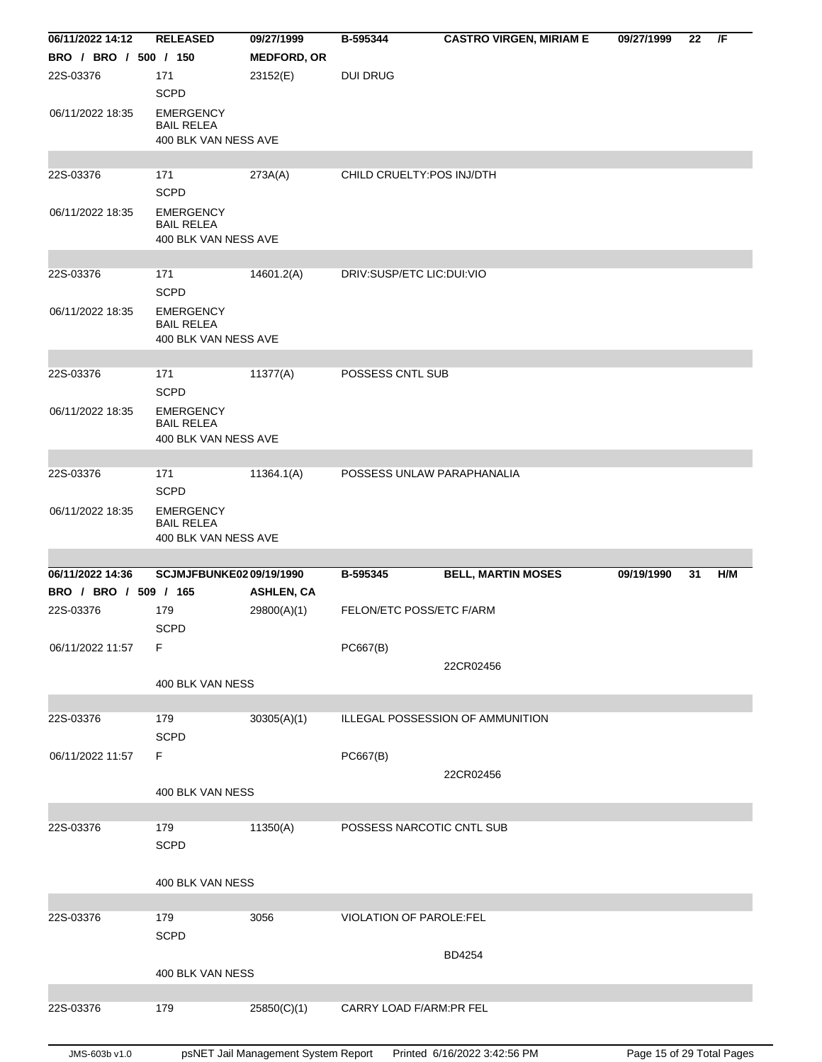| 06/11/2022 14:12      | <b>RELEASED</b>                                               | 09/27/1999                       | B-595344                   | <b>CASTRO VIRGEN, MIRIAM E</b>   | 09/27/1999 | 22 | /F  |
|-----------------------|---------------------------------------------------------------|----------------------------------|----------------------------|----------------------------------|------------|----|-----|
| BRO / BRO / 500 / 150 |                                                               | <b>MEDFORD, OR</b>               |                            |                                  |            |    |     |
| 22S-03376             | 171                                                           | 23152(E)                         | <b>DUI DRUG</b>            |                                  |            |    |     |
|                       | <b>SCPD</b>                                                   |                                  |                            |                                  |            |    |     |
| 06/11/2022 18:35      | <b>EMERGENCY</b><br><b>BAIL RELEA</b><br>400 BLK VAN NESS AVE |                                  |                            |                                  |            |    |     |
|                       |                                                               |                                  |                            |                                  |            |    |     |
| 22S-03376             | 171                                                           | 273A(A)                          | CHILD CRUELTY: POS INJ/DTH |                                  |            |    |     |
|                       | <b>SCPD</b>                                                   |                                  |                            |                                  |            |    |     |
| 06/11/2022 18:35      | <b>EMERGENCY</b><br><b>BAIL RELEA</b><br>400 BLK VAN NESS AVE |                                  |                            |                                  |            |    |     |
| 22S-03376             | 171                                                           | 14601.2(A)                       | DRIV:SUSP/ETC LIC:DUI:VIO  |                                  |            |    |     |
|                       | <b>SCPD</b>                                                   |                                  |                            |                                  |            |    |     |
| 06/11/2022 18:35      | <b>EMERGENCY</b><br><b>BAIL RELEA</b><br>400 BLK VAN NESS AVE |                                  |                            |                                  |            |    |     |
|                       |                                                               |                                  |                            |                                  |            |    |     |
| 22S-03376             | 171<br><b>SCPD</b>                                            | 11377(A)                         | POSSESS CNTL SUB           |                                  |            |    |     |
| 06/11/2022 18:35      | <b>EMERGENCY</b><br><b>BAIL RELEA</b>                         |                                  |                            |                                  |            |    |     |
|                       | 400 BLK VAN NESS AVE                                          |                                  |                            |                                  |            |    |     |
| 22S-03376             | 171                                                           | 11364.1(A)                       | POSSESS UNLAW PARAPHANALIA |                                  |            |    |     |
|                       | <b>SCPD</b>                                                   |                                  |                            |                                  |            |    |     |
| 06/11/2022 18:35      | <b>EMERGENCY</b><br><b>BAIL RELEA</b><br>400 BLK VAN NESS AVE |                                  |                            |                                  |            |    |     |
|                       |                                                               |                                  |                            |                                  |            |    |     |
|                       |                                                               |                                  |                            |                                  |            |    |     |
| 06/11/2022 14:36      | <b>SCJMJFBUNKE0209/19/1990</b>                                |                                  | B-595345                   |                                  | 09/19/1990 | 31 | H/M |
| BRO / BRO / 509 / 165 |                                                               |                                  |                            | <b>BELL, MARTIN MOSES</b>        |            |    |     |
| 22S-03376             | 179<br><b>SCPD</b>                                            | <b>ASHLEN, CA</b><br>29800(A)(1) | FELON/ETC POSS/ETC F/ARM   |                                  |            |    |     |
|                       |                                                               |                                  |                            |                                  |            |    |     |
| 06/11/2022 11:57      | F                                                             |                                  | PC667(B)                   |                                  |            |    |     |
|                       | 400 BLK VAN NESS                                              |                                  |                            | 22CR02456                        |            |    |     |
|                       |                                                               |                                  |                            |                                  |            |    |     |
| 22S-03376             | 179<br><b>SCPD</b>                                            | 30305(A)(1)                      |                            | ILLEGAL POSSESSION OF AMMUNITION |            |    |     |
|                       |                                                               |                                  |                            |                                  |            |    |     |
| 06/11/2022 11:57      | F                                                             |                                  | PC667(B)                   |                                  |            |    |     |
|                       |                                                               |                                  |                            | 22CR02456                        |            |    |     |
|                       | 400 BLK VAN NESS                                              |                                  |                            |                                  |            |    |     |
| 22S-03376             | 179                                                           |                                  | POSSESS NARCOTIC CNTL SUB  |                                  |            |    |     |
|                       | <b>SCPD</b>                                                   | 11350(A)                         |                            |                                  |            |    |     |
|                       |                                                               |                                  |                            |                                  |            |    |     |
|                       | 400 BLK VAN NESS                                              |                                  |                            |                                  |            |    |     |
|                       |                                                               |                                  |                            |                                  |            |    |     |
| 22S-03376             | 179                                                           | 3056                             | VIOLATION OF PAROLE:FEL    |                                  |            |    |     |
|                       | <b>SCPD</b>                                                   |                                  |                            |                                  |            |    |     |
|                       |                                                               |                                  |                            | BD4254                           |            |    |     |
|                       | 400 BLK VAN NESS                                              |                                  |                            |                                  |            |    |     |
| 22S-03376             | 179                                                           | 25850(C)(1)                      | CARRY LOAD F/ARM:PR FEL    |                                  |            |    |     |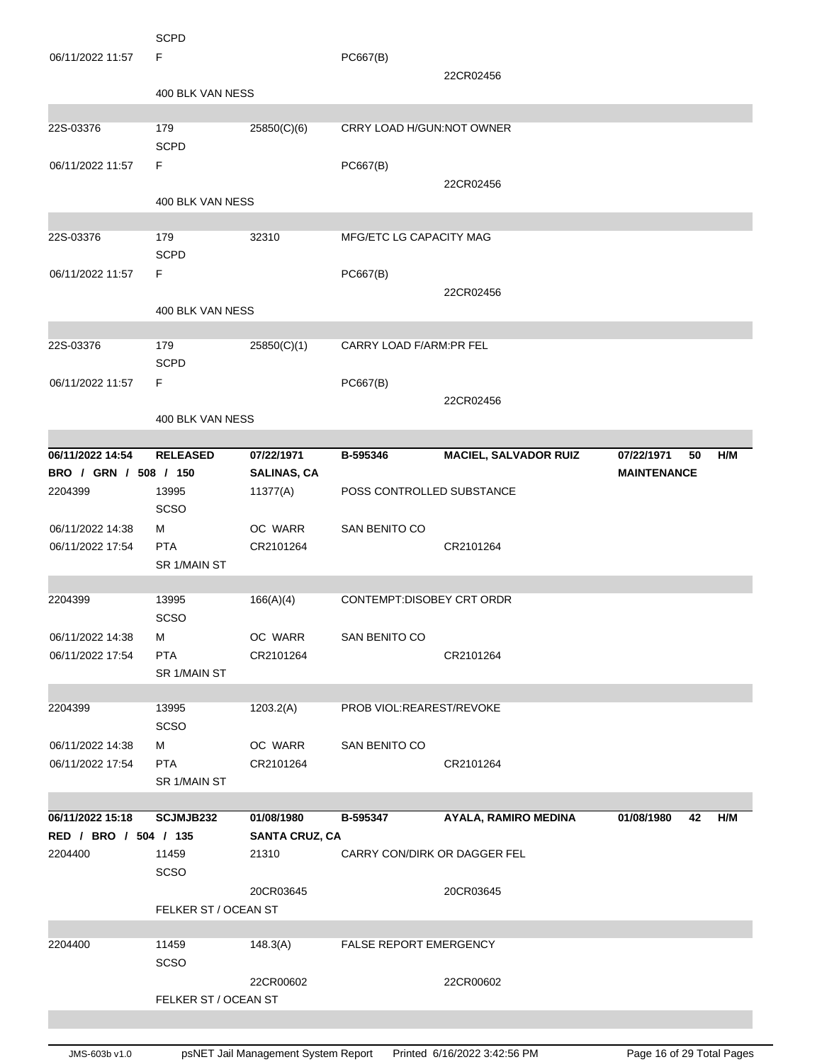| 06/11/2022 11:57      | <b>SCPD</b><br>F     |                       | PC667(B)                     |                              |                    |     |
|-----------------------|----------------------|-----------------------|------------------------------|------------------------------|--------------------|-----|
|                       |                      |                       |                              | 22CR02456                    |                    |     |
|                       | 400 BLK VAN NESS     |                       |                              |                              |                    |     |
| 22S-03376             | 179                  | 25850(C)(6)           | CRRY LOAD H/GUN:NOT OWNER    |                              |                    |     |
|                       | <b>SCPD</b>          |                       |                              |                              |                    |     |
| 06/11/2022 11:57      | F.                   |                       | PC667(B)                     |                              |                    |     |
|                       |                      |                       |                              | 22CR02456                    |                    |     |
|                       | 400 BLK VAN NESS     |                       |                              |                              |                    |     |
| 22S-03376             | 179                  | 32310                 | MFG/ETC LG CAPACITY MAG      |                              |                    |     |
|                       | <b>SCPD</b>          |                       |                              |                              |                    |     |
| 06/11/2022 11:57      | F                    |                       | PC667(B)                     |                              |                    |     |
|                       |                      |                       |                              | 22CR02456                    |                    |     |
|                       | 400 BLK VAN NESS     |                       |                              |                              |                    |     |
| 22S-03376             | 179                  | 25850(C)(1)           | CARRY LOAD F/ARM:PR FEL      |                              |                    |     |
|                       | <b>SCPD</b>          |                       |                              |                              |                    |     |
| 06/11/2022 11:57      | F                    |                       | PC667(B)                     |                              |                    |     |
|                       | 400 BLK VAN NESS     |                       |                              | 22CR02456                    |                    |     |
|                       |                      |                       |                              |                              |                    |     |
| 06/11/2022 14:54      | <b>RELEASED</b>      | 07/22/1971            | B-595346                     | <b>MACIEL, SALVADOR RUIZ</b> | 07/22/1971<br>50   | H/M |
| BRO / GRN / 508 / 150 |                      | <b>SALINAS, CA</b>    |                              |                              | <b>MAINTENANCE</b> |     |
| 2204399               | 13995<br>SCSO        | 11377(A)              | POSS CONTROLLED SUBSTANCE    |                              |                    |     |
| 06/11/2022 14:38      | м                    | OC WARR               | <b>SAN BENITO CO</b>         |                              |                    |     |
| 06/11/2022 17:54      | <b>PTA</b>           | CR2101264             |                              | CR2101264                    |                    |     |
|                       | SR 1/MAIN ST         |                       |                              |                              |                    |     |
| 2204399               | 13995                | 166(A)(4)             | CONTEMPT:DISOBEY CRT ORDR    |                              |                    |     |
|                       | <b>SCSO</b>          |                       |                              |                              |                    |     |
| 06/11/2022 14:38      | М                    | OC WARR               | SAN BENITO CO                |                              |                    |     |
| 06/11/2022 17:54      | <b>PTA</b>           | CR2101264             |                              | CR2101264                    |                    |     |
|                       | SR 1/MAIN ST         |                       |                              |                              |                    |     |
| 2204399               | 13995                | 1203.2(A)             | PROB VIOL:REAREST/REVOKE     |                              |                    |     |
|                       | SCSO                 |                       |                              |                              |                    |     |
| 06/11/2022 14:38      | М                    | OC WARR               | SAN BENITO CO                |                              |                    |     |
| 06/11/2022 17:54      | <b>PTA</b>           | CR2101264             |                              | CR2101264                    |                    |     |
|                       | SR 1/MAIN ST         |                       |                              |                              |                    |     |
| 06/11/2022 15:18      | SCJMJB232            | 01/08/1980            | B-595347                     | <b>AYALA, RAMIRO MEDINA</b>  | 01/08/1980<br>42   | H/M |
| RED / BRO / 504 / 135 |                      | <b>SANTA CRUZ, CA</b> |                              |                              |                    |     |
| 2204400               | 11459                | 21310                 | CARRY CON/DIRK OR DAGGER FEL |                              |                    |     |
|                       | SCSO                 |                       |                              |                              |                    |     |
|                       |                      | 20CR03645             |                              | 20CR03645                    |                    |     |
|                       | FELKER ST / OCEAN ST |                       |                              |                              |                    |     |
| 2204400               | 11459                | 148.3(A)              | FALSE REPORT EMERGENCY       |                              |                    |     |
|                       | SCSO                 |                       |                              |                              |                    |     |
|                       |                      | 22CR00602             |                              | 22CR00602                    |                    |     |
|                       | FELKER ST / OCEAN ST |                       |                              |                              |                    |     |
|                       |                      |                       |                              |                              |                    |     |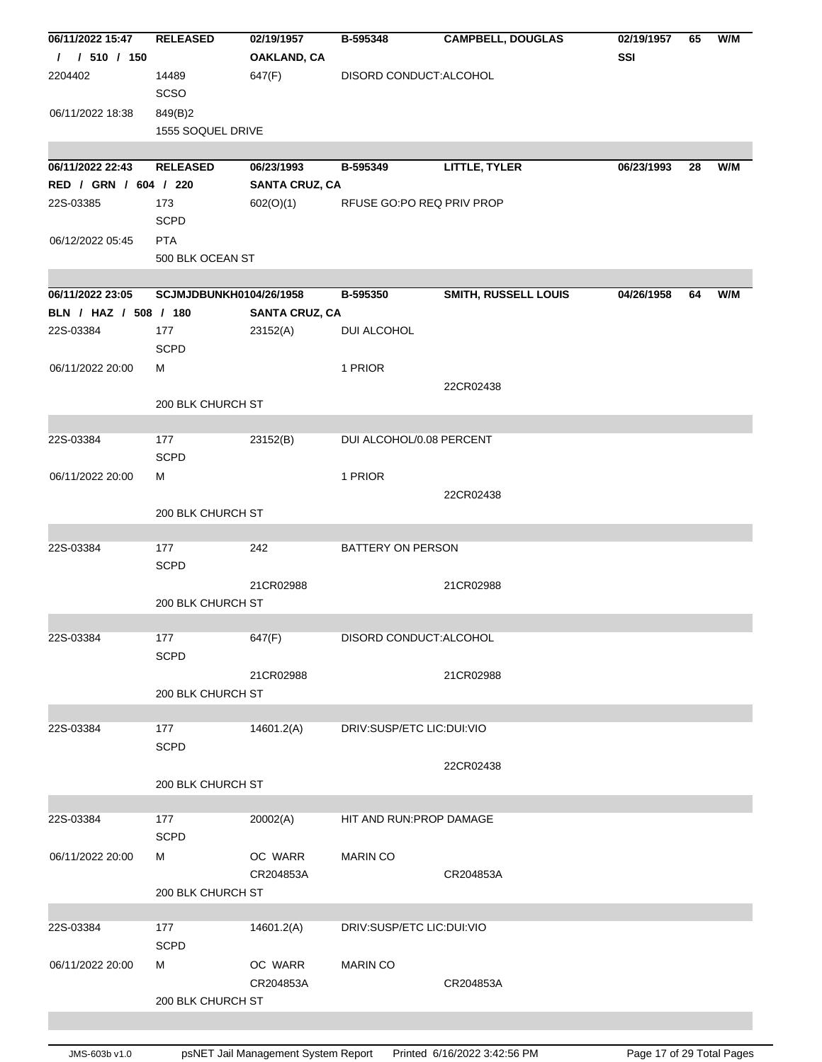| 06/11/2022 15:47      | <b>RELEASED</b>         | 02/19/1957            | B-595348                  | <b>CAMPBELL, DOUGLAS</b> | 02/19/1957 | 65 | W/M |
|-----------------------|-------------------------|-----------------------|---------------------------|--------------------------|------------|----|-----|
| / 510 / 150<br>T      |                         | OAKLAND, CA           |                           |                          | SSI        |    |     |
| 2204402               | 14489                   | 647(F)                | DISORD CONDUCT: ALCOHOL   |                          |            |    |     |
|                       | SCSO                    |                       |                           |                          |            |    |     |
| 06/11/2022 18:38      | 849(B)2                 |                       |                           |                          |            |    |     |
|                       | 1555 SOQUEL DRIVE       |                       |                           |                          |            |    |     |
|                       |                         |                       |                           |                          |            |    |     |
| 06/11/2022 22:43      | <b>RELEASED</b>         | 06/23/1993            | B-595349                  | <b>LITTLE, TYLER</b>     | 06/23/1993 | 28 | W/M |
| RED / GRN / 604 / 220 |                         | <b>SANTA CRUZ, CA</b> |                           |                          |            |    |     |
| 22S-03385             | 173                     | 602(O)(1)             | RFUSE GO:PO REQ PRIV PROP |                          |            |    |     |
|                       | <b>SCPD</b>             |                       |                           |                          |            |    |     |
| 06/12/2022 05:45      | <b>PTA</b>              |                       |                           |                          |            |    |     |
|                       | 500 BLK OCEAN ST        |                       |                           |                          |            |    |     |
| 06/11/2022 23:05      | SCJMJDBUNKH0104/26/1958 |                       | B-595350                  | SMITH, RUSSELL LOUIS     | 04/26/1958 | 64 | W/M |
| BLN / HAZ / 508 / 180 |                         | <b>SANTA CRUZ, CA</b> |                           |                          |            |    |     |
| 22S-03384             | 177                     | 23152(A)              | DUI ALCOHOL               |                          |            |    |     |
|                       | <b>SCPD</b>             |                       |                           |                          |            |    |     |
| 06/11/2022 20:00      | м                       |                       | 1 PRIOR                   |                          |            |    |     |
|                       |                         |                       |                           | 22CR02438                |            |    |     |
|                       | 200 BLK CHURCH ST       |                       |                           |                          |            |    |     |
|                       |                         |                       |                           |                          |            |    |     |
| 22S-03384             | 177                     | 23152(B)              | DUI ALCOHOL/0.08 PERCENT  |                          |            |    |     |
|                       | <b>SCPD</b>             |                       |                           |                          |            |    |     |
| 06/11/2022 20:00      | M                       |                       | 1 PRIOR                   |                          |            |    |     |
|                       |                         |                       |                           | 22CR02438                |            |    |     |
|                       | 200 BLK CHURCH ST       |                       |                           |                          |            |    |     |
|                       |                         |                       |                           |                          |            |    |     |
| 22S-03384             | 177                     | 242                   | BATTERY ON PERSON         |                          |            |    |     |
|                       | <b>SCPD</b>             |                       |                           |                          |            |    |     |
|                       |                         | 21CR02988             |                           | 21CR02988                |            |    |     |
|                       | 200 BLK CHURCH ST       |                       |                           |                          |            |    |     |
| 22S-03384             | 177                     | 647(F)                | DISORD CONDUCT: ALCOHOL   |                          |            |    |     |
|                       | <b>SCPD</b>             |                       |                           |                          |            |    |     |
|                       |                         | 21CR02988             |                           | 21CR02988                |            |    |     |
|                       | 200 BLK CHURCH ST       |                       |                           |                          |            |    |     |
|                       |                         |                       |                           |                          |            |    |     |
| 22S-03384             | 177                     | 14601.2(A)            | DRIV:SUSP/ETC LIC:DUI:VIO |                          |            |    |     |
|                       | <b>SCPD</b>             |                       |                           |                          |            |    |     |
|                       |                         |                       |                           | 22CR02438                |            |    |     |
|                       | 200 BLK CHURCH ST       |                       |                           |                          |            |    |     |
|                       |                         |                       |                           |                          |            |    |     |
| 22S-03384             | 177                     | 20002(A)              | HIT AND RUN: PROP DAMAGE  |                          |            |    |     |
|                       | <b>SCPD</b>             |                       |                           |                          |            |    |     |
| 06/11/2022 20:00      | M                       | OC WARR               | <b>MARIN CO</b>           |                          |            |    |     |
|                       |                         | CR204853A             |                           | CR204853A                |            |    |     |
|                       | 200 BLK CHURCH ST       |                       |                           |                          |            |    |     |
| 22S-03384             | 177                     | 14601.2(A)            | DRIV:SUSP/ETC LIC:DUI:VIO |                          |            |    |     |
|                       | <b>SCPD</b>             |                       |                           |                          |            |    |     |
| 06/11/2022 20:00      | M                       | OC WARR               | <b>MARIN CO</b>           |                          |            |    |     |
|                       |                         | CR204853A             |                           | CR204853A                |            |    |     |
|                       | 200 BLK CHURCH ST       |                       |                           |                          |            |    |     |
|                       |                         |                       |                           |                          |            |    |     |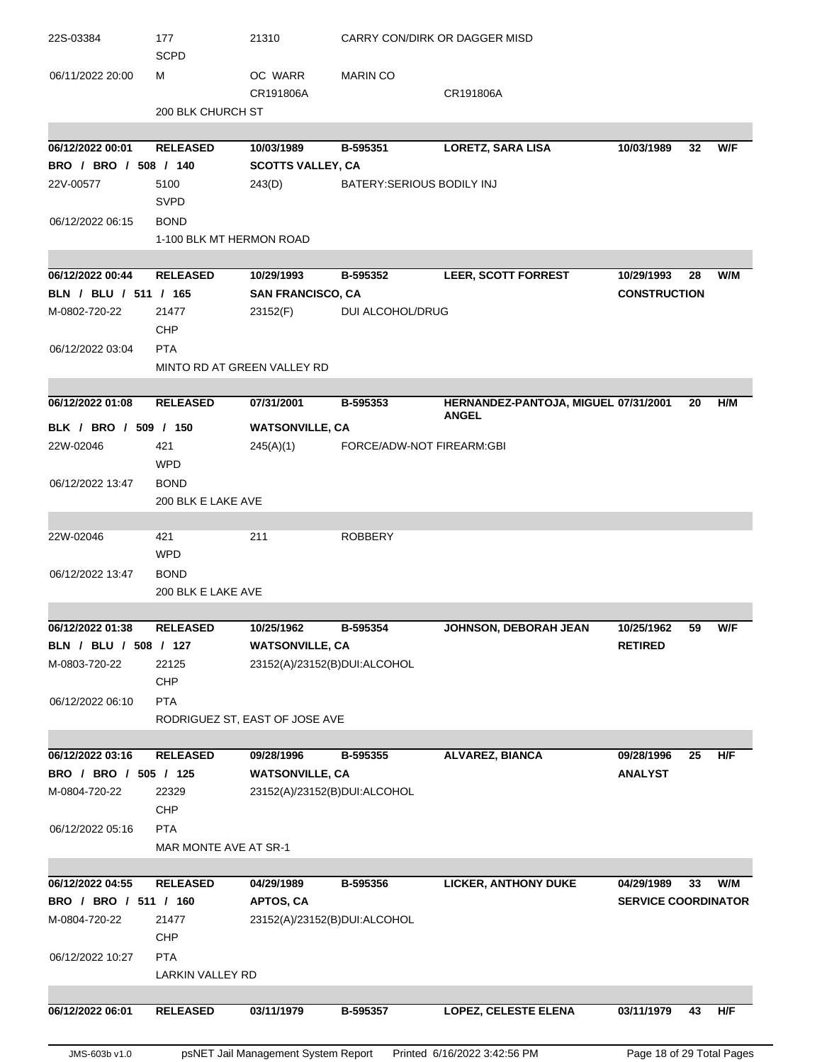| 22S-03384             | 177<br><b>SCPD</b>       | 21310                          | CARRY CON/DIRK OR DAGGER MISD |                                      |                            |    |     |
|-----------------------|--------------------------|--------------------------------|-------------------------------|--------------------------------------|----------------------------|----|-----|
| 06/11/2022 20:00      | м                        | OC WARR                        | <b>MARIN CO</b>               |                                      |                            |    |     |
|                       |                          | CR191806A                      |                               | CR191806A                            |                            |    |     |
|                       | 200 BLK CHURCH ST        |                                |                               |                                      |                            |    |     |
| 06/12/2022 00:01      | <b>RELEASED</b>          | 10/03/1989                     | B-595351                      | <b>LORETZ, SARA LISA</b>             | 10/03/1989                 | 32 | W/F |
| BRO / BRO / 508 / 140 |                          | <b>SCOTTS VALLEY, CA</b>       |                               |                                      |                            |    |     |
| 22V-00577             | 5100                     | 243(D)                         | BATERY: SERIOUS BODILY INJ    |                                      |                            |    |     |
|                       | <b>SVPD</b>              |                                |                               |                                      |                            |    |     |
| 06/12/2022 06:15      | <b>BOND</b>              |                                |                               |                                      |                            |    |     |
|                       | 1-100 BLK MT HERMON ROAD |                                |                               |                                      |                            |    |     |
|                       |                          |                                |                               |                                      |                            |    |     |
| 06/12/2022 00:44      | <b>RELEASED</b>          | 10/29/1993                     | B-595352                      | <b>LEER, SCOTT FORREST</b>           | 10/29/1993                 | 28 | W/M |
| BLN / BLU / 511 / 165 |                          | <b>SAN FRANCISCO, CA</b>       |                               |                                      | <b>CONSTRUCTION</b>        |    |     |
| M-0802-720-22         | 21477                    | 23152(F)                       | <b>DUI ALCOHOL/DRUG</b>       |                                      |                            |    |     |
|                       | <b>CHP</b>               |                                |                               |                                      |                            |    |     |
| 06/12/2022 03:04      | <b>PTA</b>               |                                |                               |                                      |                            |    |     |
|                       |                          | MINTO RD AT GREEN VALLEY RD    |                               |                                      |                            |    |     |
|                       |                          |                                |                               |                                      |                            |    |     |
| 06/12/2022 01:08      | <b>RELEASED</b>          | 07/31/2001                     | B-595353                      | HERNANDEZ-PANTOJA, MIGUEL 07/31/2001 |                            | 20 | H/M |
| BLK / BRO / 509 / 150 |                          | <b>WATSONVILLE, CA</b>         |                               | <b>ANGEL</b>                         |                            |    |     |
| 22W-02046             | 421                      | 245(A)(1)                      | FORCE/ADW-NOT FIREARM:GBI     |                                      |                            |    |     |
|                       | <b>WPD</b>               |                                |                               |                                      |                            |    |     |
| 06/12/2022 13:47      | <b>BOND</b>              |                                |                               |                                      |                            |    |     |
|                       | 200 BLK E LAKE AVE       |                                |                               |                                      |                            |    |     |
|                       |                          |                                |                               |                                      |                            |    |     |
| 22W-02046             | 421                      | 211                            | <b>ROBBERY</b>                |                                      |                            |    |     |
|                       | <b>WPD</b>               |                                |                               |                                      |                            |    |     |
| 06/12/2022 13:47      | <b>BOND</b>              |                                |                               |                                      |                            |    |     |
|                       | 200 BLK E LAKE AVE       |                                |                               |                                      |                            |    |     |
|                       |                          |                                |                               |                                      |                            |    |     |
| 06/12/2022 01:38      | <b>RELEASED</b>          | 10/25/1962                     | B-595354                      | JOHNSON, DEBORAH JEAN                | 10/25/1962                 | 59 | W/F |
| BLN / BLU / 508 / 127 |                          | <b>WATSONVILLE, CA</b>         |                               |                                      | <b>RETIRED</b>             |    |     |
| M-0803-720-22         | 22125                    | 23152(A)/23152(B)DUI:ALCOHOL   |                               |                                      |                            |    |     |
|                       | CHP                      |                                |                               |                                      |                            |    |     |
| 06/12/2022 06:10      | <b>PTA</b>               |                                |                               |                                      |                            |    |     |
|                       |                          | RODRIGUEZ ST, EAST OF JOSE AVE |                               |                                      |                            |    |     |
| 06/12/2022 03:16      | <b>RELEASED</b>          | 09/28/1996                     | B-595355                      | <b>ALVAREZ, BIANCA</b>               | 09/28/1996                 | 25 | H/F |
| BRO / BRO / 505 / 125 |                          | <b>WATSONVILLE, CA</b>         |                               |                                      | <b>ANALYST</b>             |    |     |
| M-0804-720-22         | 22329                    | 23152(A)/23152(B)DUI:ALCOHOL   |                               |                                      |                            |    |     |
|                       | <b>CHP</b>               |                                |                               |                                      |                            |    |     |
| 06/12/2022 05:16      | <b>PTA</b>               |                                |                               |                                      |                            |    |     |
|                       | MAR MONTE AVE AT SR-1    |                                |                               |                                      |                            |    |     |
|                       |                          |                                |                               |                                      |                            |    |     |
| 06/12/2022 04:55      | <b>RELEASED</b>          | 04/29/1989                     | B-595356                      | <b>LICKER, ANTHONY DUKE</b>          | 04/29/1989                 | 33 | W/M |
| BRO / BRO / 511 / 160 |                          | <b>APTOS, CA</b>               |                               |                                      | <b>SERVICE COORDINATOR</b> |    |     |
| M-0804-720-22         | 21477                    | 23152(A)/23152(B)DUI:ALCOHOL   |                               |                                      |                            |    |     |
|                       | <b>CHP</b>               |                                |                               |                                      |                            |    |     |
| 06/12/2022 10:27      | <b>PTA</b>               |                                |                               |                                      |                            |    |     |
|                       | LARKIN VALLEY RD         |                                |                               |                                      |                            |    |     |
|                       |                          |                                |                               |                                      |                            |    |     |
| 06/12/2022 06:01      | <b>RELEASED</b>          | 03/11/1979                     | B-595357                      | <b>LOPEZ, CELESTE ELENA</b>          | 03/11/1979                 | 43 | H/F |
|                       |                          |                                |                               |                                      |                            |    |     |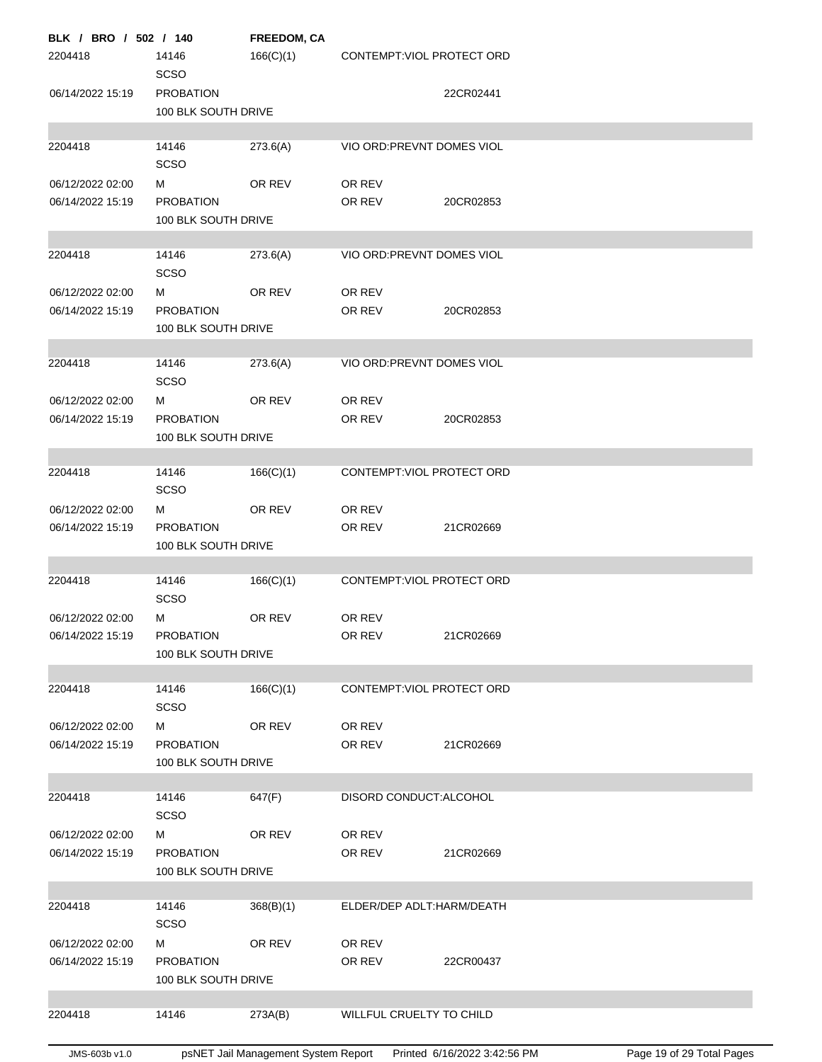| BLK / BRO / 502 / 140                |                                         | FREEDOM, CA |                            |           |
|--------------------------------------|-----------------------------------------|-------------|----------------------------|-----------|
| 2204418                              | 14146<br><b>SCSO</b>                    | 166(C)(1)   | CONTEMPT: VIOL PROTECT ORD |           |
| 06/14/2022 15:19                     | <b>PROBATION</b><br>100 BLK SOUTH DRIVE |             |                            | 22CR02441 |
|                                      |                                         |             |                            |           |
| 2204418                              | 14146<br><b>SCSO</b>                    | 273.6(A)    | VIO ORD: PREVNT DOMES VIOL |           |
| 06/12/2022 02:00                     | м                                       | OR REV      | OR REV                     |           |
| 06/14/2022 15:19                     | <b>PROBATION</b><br>100 BLK SOUTH DRIVE |             | OR REV                     | 20CR02853 |
|                                      |                                         |             |                            |           |
| 2204418                              | 14146<br><b>SCSO</b>                    | 273.6(A)    | VIO ORD: PREVNT DOMES VIOL |           |
| 06/12/2022 02:00                     | м                                       | OR REV      | OR REV                     |           |
| 06/14/2022 15:19                     | <b>PROBATION</b><br>100 BLK SOUTH DRIVE |             | OR REV                     | 20CR02853 |
|                                      |                                         |             |                            |           |
| 2204418                              | 14146<br><b>SCSO</b>                    | 273.6(A)    | VIO ORD: PREVNT DOMES VIOL |           |
| 06/12/2022 02:00                     | М                                       | OR REV      | OR REV                     |           |
| 06/14/2022 15:19                     | <b>PROBATION</b><br>100 BLK SOUTH DRIVE |             | OR REV                     | 20CR02853 |
|                                      |                                         |             |                            |           |
| 2204418                              | 14146<br><b>SCSO</b>                    | 166(C)(1)   | CONTEMPT: VIOL PROTECT ORD |           |
| 06/12/2022 02:00                     | М                                       | OR REV      | OR REV                     |           |
| 06/14/2022 15:19                     | <b>PROBATION</b><br>100 BLK SOUTH DRIVE |             | OR REV                     | 21CR02669 |
| 2204418                              | 14146                                   | 166(C)(1)   | CONTEMPT: VIOL PROTECT ORD |           |
|                                      | SCSO                                    |             |                            |           |
| 06/12/2022 02:00<br>06/14/2022 15:19 | м                                       | OR REV      | OR REV                     |           |
|                                      | <b>PROBATION</b><br>100 BLK SOUTH DRIVE |             | OR REV                     | 21CR02669 |
| 2204418                              | 14146                                   | 166(C)(1)   | CONTEMPT: VIOL PROTECT ORD |           |
|                                      | <b>SCSO</b>                             |             |                            |           |
| 06/12/2022 02:00                     | м                                       | OR REV      | OR REV                     | 21CR02669 |
| 06/14/2022 15:19                     | <b>PROBATION</b><br>100 BLK SOUTH DRIVE |             | OR REV                     |           |
| 2204418                              | 14146                                   | 647(F)      | DISORD CONDUCT: ALCOHOL    |           |
|                                      | SCSO                                    |             |                            |           |
| 06/12/2022 02:00<br>06/14/2022 15:19 | м<br><b>PROBATION</b>                   | OR REV      | OR REV<br>OR REV           | 21CR02669 |
|                                      | 100 BLK SOUTH DRIVE                     |             |                            |           |
| 2204418                              | 14146                                   | 368(B)(1)   | ELDER/DEP ADLT:HARM/DEATH  |           |
|                                      | <b>SCSO</b>                             |             |                            |           |
| 06/12/2022 02:00                     | м                                       | OR REV      | OR REV                     |           |
| 06/14/2022 15:19                     | <b>PROBATION</b><br>100 BLK SOUTH DRIVE |             | OR REV                     | 22CR00437 |
|                                      |                                         |             |                            |           |
| 2204418                              | 14146                                   | 273A(B)     | WILLFUL CRUELTY TO CHILD   |           |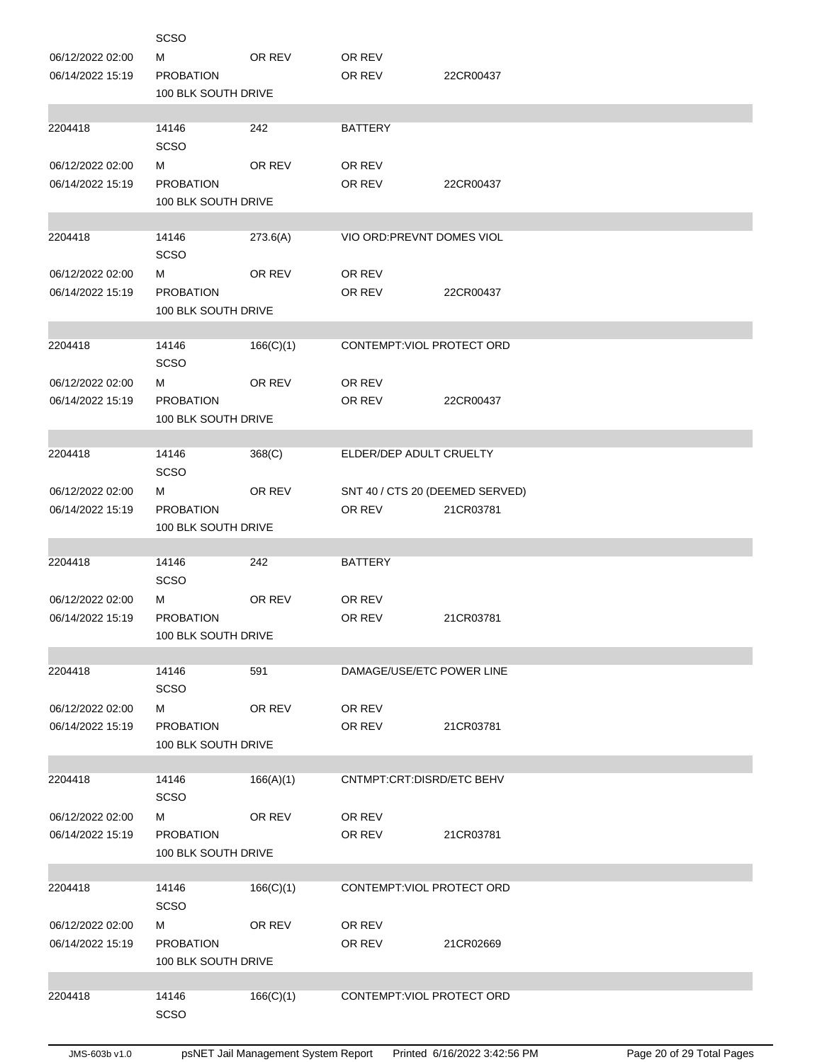|                  | <b>SCSO</b>          |           |                                 |           |
|------------------|----------------------|-----------|---------------------------------|-----------|
| 06/12/2022 02:00 | м                    | OR REV    | OR REV                          |           |
| 06/14/2022 15:19 | <b>PROBATION</b>     |           | OR REV                          | 22CR00437 |
|                  | 100 BLK SOUTH DRIVE  |           |                                 |           |
|                  |                      |           |                                 |           |
| 2204418          | 14146                | 242       | <b>BATTERY</b>                  |           |
|                  | SCSO                 |           |                                 |           |
| 06/12/2022 02:00 | М                    | OR REV    | OR REV                          |           |
| 06/14/2022 15:19 | <b>PROBATION</b>     |           | OR REV                          | 22CR00437 |
|                  | 100 BLK SOUTH DRIVE  |           |                                 |           |
| 2204418          | 14146                | 273.6(A)  | VIO ORD: PREVNT DOMES VIOL      |           |
|                  | SCSO                 |           |                                 |           |
| 06/12/2022 02:00 | М                    | OR REV    | OR REV                          |           |
| 06/14/2022 15:19 | <b>PROBATION</b>     |           | OR REV                          | 22CR00437 |
|                  | 100 BLK SOUTH DRIVE  |           |                                 |           |
|                  |                      |           |                                 |           |
| 2204418          | 14146                | 166(C)(1) | CONTEMPT: VIOL PROTECT ORD      |           |
|                  | SCSO                 |           |                                 |           |
| 06/12/2022 02:00 | М                    | OR REV    | OR REV                          |           |
| 06/14/2022 15:19 | <b>PROBATION</b>     |           | OR REV                          | 22CR00437 |
|                  | 100 BLK SOUTH DRIVE  |           |                                 |           |
|                  |                      |           |                                 |           |
| 2204418          | 14146                | 368(C)    | ELDER/DEP ADULT CRUELTY         |           |
|                  | SCSO                 |           |                                 |           |
| 06/12/2022 02:00 | М                    | OR REV    | SNT 40 / CTS 20 (DEEMED SERVED) |           |
| 06/14/2022 15:19 | <b>PROBATION</b>     |           | OR REV                          | 21CR03781 |
|                  | 100 BLK SOUTH DRIVE  |           |                                 |           |
|                  |                      |           |                                 |           |
| 2204418          | 14146<br><b>SCSO</b> | 242       | <b>BATTERY</b>                  |           |
| 06/12/2022 02:00 | М                    | OR REV    | OR REV                          |           |
| 06/14/2022 15:19 | <b>PROBATION</b>     |           | OR REV                          | 21CR03781 |
|                  | 100 BLK SOUTH DRIVE  |           |                                 |           |
|                  |                      |           |                                 |           |
| 2204418          | 14146                | 591       | DAMAGE/USE/ETC POWER LINE       |           |
|                  | <b>SCSO</b>          |           |                                 |           |
| 06/12/2022 02:00 |                      |           |                                 |           |
|                  | м                    | OR REV    | OR REV                          |           |
| 06/14/2022 15:19 | <b>PROBATION</b>     |           | OR REV                          | 21CR03781 |
|                  | 100 BLK SOUTH DRIVE  |           |                                 |           |
|                  |                      |           |                                 |           |
| 2204418          | 14146                | 166(A)(1) | CNTMPT:CRT:DISRD/ETC BEHV       |           |
|                  | <b>SCSO</b>          |           |                                 |           |
| 06/12/2022 02:00 | М                    | OR REV    | OR REV                          |           |
| 06/14/2022 15:19 | <b>PROBATION</b>     |           | OR REV                          | 21CR03781 |
|                  | 100 BLK SOUTH DRIVE  |           |                                 |           |
|                  |                      |           |                                 |           |
| 2204418          | 14146                | 166(C)(1) | CONTEMPT: VIOL PROTECT ORD      |           |
|                  | <b>SCSO</b>          |           |                                 |           |
| 06/12/2022 02:00 | М                    | OR REV    | OR REV                          |           |
| 06/14/2022 15:19 | <b>PROBATION</b>     |           | OR REV                          | 21CR02669 |
|                  | 100 BLK SOUTH DRIVE  |           |                                 |           |
| 2204418          | 14146                |           | CONTEMPT: VIOL PROTECT ORD      |           |
|                  | <b>SCSO</b>          | 166(C)(1) |                                 |           |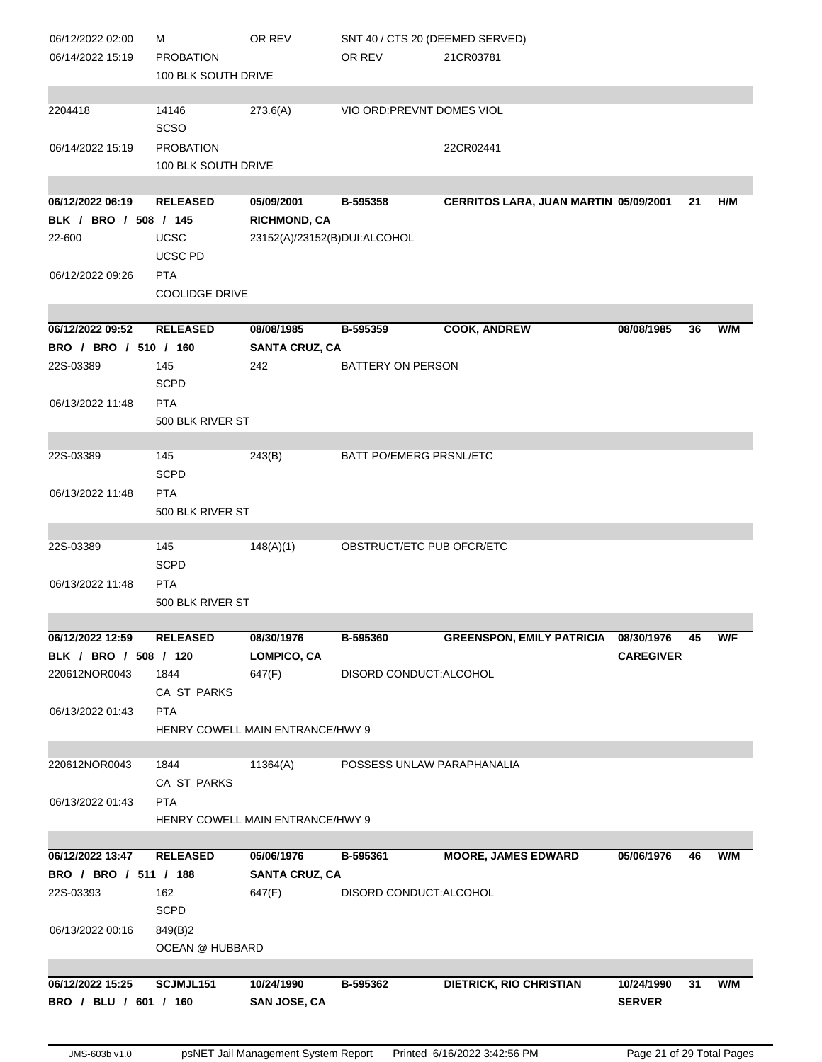| 06/12/2022 02:00      | м                     | OR REV                                  | SNT 40 / CTS 20 (DEEMED SERVED) |                                         |                  |    |     |
|-----------------------|-----------------------|-----------------------------------------|---------------------------------|-----------------------------------------|------------------|----|-----|
| 06/14/2022 15:19      | <b>PROBATION</b>      |                                         | OR REV                          | 21CR03781                               |                  |    |     |
|                       | 100 BLK SOUTH DRIVE   |                                         |                                 |                                         |                  |    |     |
|                       |                       |                                         |                                 |                                         |                  |    |     |
| 2204418               | 14146<br><b>SCSO</b>  | 273.6(A)                                | VIO ORD: PREVNT DOMES VIOL      |                                         |                  |    |     |
| 06/14/2022 15:19      | <b>PROBATION</b>      |                                         |                                 | 22CR02441                               |                  |    |     |
|                       | 100 BLK SOUTH DRIVE   |                                         |                                 |                                         |                  |    |     |
|                       |                       |                                         |                                 |                                         |                  |    |     |
| 06/12/2022 06:19      | <b>RELEASED</b>       | 05/09/2001                              | B-595358                        | CERRITOS LARA, JUAN MARTIN 05/09/2001   |                  | 21 | H/M |
| BLK / BRO / 508 / 145 |                       | <b>RICHMOND, CA</b>                     |                                 |                                         |                  |    |     |
| 22-600                | UCSC                  | 23152(A)/23152(B)DUI:ALCOHOL            |                                 |                                         |                  |    |     |
|                       | UCSC PD               |                                         |                                 |                                         |                  |    |     |
| 06/12/2022 09:26      | <b>PTA</b>            |                                         |                                 |                                         |                  |    |     |
|                       | <b>COOLIDGE DRIVE</b> |                                         |                                 |                                         |                  |    |     |
|                       |                       |                                         |                                 |                                         |                  |    |     |
| 06/12/2022 09:52      | <b>RELEASED</b>       | 08/08/1985                              | B-595359                        | <b>COOK, ANDREW</b>                     | 08/08/1985       | 36 | W/M |
| BRO / BRO / 510 / 160 |                       | <b>SANTA CRUZ, CA</b>                   |                                 |                                         |                  |    |     |
| 22S-03389             | 145                   | 242                                     | BATTERY ON PERSON               |                                         |                  |    |     |
|                       | <b>SCPD</b>           |                                         |                                 |                                         |                  |    |     |
| 06/13/2022 11:48      | <b>PTA</b>            |                                         |                                 |                                         |                  |    |     |
|                       | 500 BLK RIVER ST      |                                         |                                 |                                         |                  |    |     |
|                       |                       |                                         |                                 |                                         |                  |    |     |
| 22S-03389             | 145                   | 243(B)                                  | BATT PO/EMERG PRSNL/ETC         |                                         |                  |    |     |
|                       | <b>SCPD</b>           |                                         |                                 |                                         |                  |    |     |
| 06/13/2022 11:48      | <b>PTA</b>            |                                         |                                 |                                         |                  |    |     |
|                       | 500 BLK RIVER ST      |                                         |                                 |                                         |                  |    |     |
|                       |                       |                                         |                                 |                                         |                  |    |     |
| 22S-03389             | 145                   | 148(A)(1)                               | OBSTRUCT/ETC PUB OFCR/ETC       |                                         |                  |    |     |
|                       | <b>SCPD</b>           |                                         |                                 |                                         |                  |    |     |
| 06/13/2022 11:48      | <b>PTA</b>            |                                         |                                 |                                         |                  |    |     |
|                       | 500 BLK RIVER ST      |                                         |                                 |                                         |                  |    |     |
|                       |                       |                                         |                                 |                                         |                  |    |     |
| 06/12/2022 12:59      | <b>RELEASED</b>       | 08/30/1976                              | B-595360                        | GREENSPON, EMILY PATRICIA 08/30/1976 45 |                  |    | W/F |
| BLK / BRO / 508 / 120 |                       | <b>LOMPICO, CA</b>                      |                                 |                                         | <b>CAREGIVER</b> |    |     |
| 220612NOR0043         | 1844                  | 647(F)                                  | DISORD CONDUCT: ALCOHOL         |                                         |                  |    |     |
|                       | CA ST PARKS           |                                         |                                 |                                         |                  |    |     |
| 06/13/2022 01:43      | <b>PTA</b>            |                                         |                                 |                                         |                  |    |     |
|                       |                       | <b>HENRY COWELL MAIN ENTRANCE/HWY 9</b> |                                 |                                         |                  |    |     |
|                       |                       |                                         |                                 |                                         |                  |    |     |
| 220612NOR0043         | 1844                  | 11364(A)                                | POSSESS UNLAW PARAPHANALIA      |                                         |                  |    |     |
|                       | CA ST PARKS           |                                         |                                 |                                         |                  |    |     |
| 06/13/2022 01:43      | <b>PTA</b>            |                                         |                                 |                                         |                  |    |     |
|                       |                       | <b>HENRY COWELL MAIN ENTRANCE/HWY 9</b> |                                 |                                         |                  |    |     |
|                       |                       |                                         |                                 |                                         |                  |    |     |
| 06/12/2022 13:47      | <b>RELEASED</b>       | 05/06/1976                              | B-595361                        | <b>MOORE, JAMES EDWARD</b>              | 05/06/1976       | 46 | W/M |
| BRO / BRO / 511 / 188 |                       | <b>SANTA CRUZ, CA</b>                   |                                 |                                         |                  |    |     |
| 22S-03393             | 162                   | 647(F)                                  | DISORD CONDUCT: ALCOHOL         |                                         |                  |    |     |
|                       | <b>SCPD</b>           |                                         |                                 |                                         |                  |    |     |
| 06/13/2022 00:16      | 849(B)2               |                                         |                                 |                                         |                  |    |     |
|                       |                       |                                         |                                 |                                         |                  |    |     |
|                       | OCEAN @ HUBBARD       |                                         |                                 |                                         |                  |    |     |
| 06/12/2022 15:25      | SCJMJL151             | 10/24/1990                              | B-595362                        | <b>DIETRICK, RIO CHRISTIAN</b>          | 10/24/1990       |    | W/M |
|                       |                       |                                         |                                 |                                         |                  | 31 |     |
| BRO / BLU / 601 / 160 |                       | <b>SAN JOSE, CA</b>                     |                                 |                                         | <b>SERVER</b>    |    |     |
|                       |                       |                                         |                                 |                                         |                  |    |     |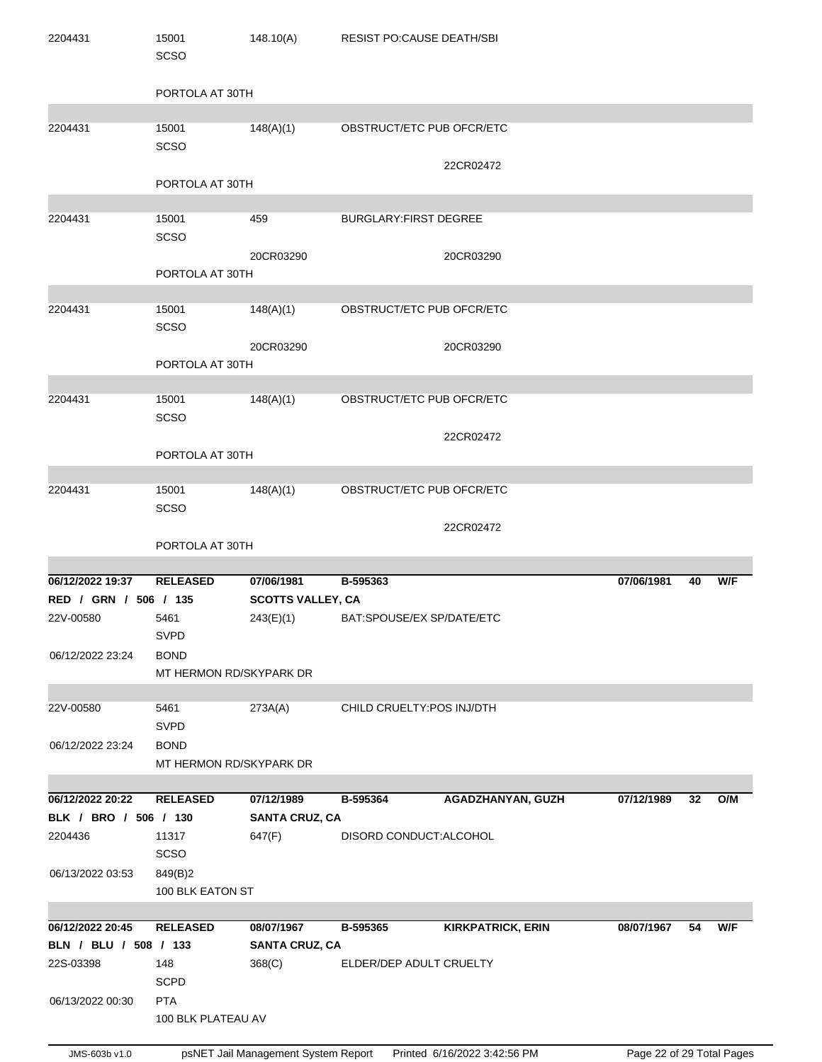| 2204431               | 15001<br>SCSO                          | 148.10(A)                | RESIST PO:CAUSE DEATH/SBI    |                          |            |    |     |
|-----------------------|----------------------------------------|--------------------------|------------------------------|--------------------------|------------|----|-----|
|                       | PORTOLA AT 30TH                        |                          |                              |                          |            |    |     |
| 2204431               | 15001<br><b>SCSO</b>                   | 148(A)(1)                | OBSTRUCT/ETC PUB OFCR/ETC    |                          |            |    |     |
|                       | PORTOLA AT 30TH                        |                          |                              | 22CR02472                |            |    |     |
| 2204431               | 15001                                  | 459                      | <b>BURGLARY:FIRST DEGREE</b> |                          |            |    |     |
|                       | SCSO                                   | 20CR03290                |                              | 20CR03290                |            |    |     |
|                       | PORTOLA AT 30TH                        |                          |                              |                          |            |    |     |
| 2204431               | 15001<br><b>SCSO</b>                   | 148(A)(1)                | OBSTRUCT/ETC PUB OFCR/ETC    |                          |            |    |     |
|                       | PORTOLA AT 30TH                        | 20CR03290                |                              | 20CR03290                |            |    |     |
| 2204431               | 15001<br>SCSO                          | 148(A)(1)                | OBSTRUCT/ETC PUB OFCR/ETC    |                          |            |    |     |
|                       |                                        |                          |                              | 22CR02472                |            |    |     |
|                       | PORTOLA AT 30TH                        |                          |                              |                          |            |    |     |
| 2204431               | 15001                                  | 148(A)(1)                | OBSTRUCT/ETC PUB OFCR/ETC    |                          |            |    |     |
|                       | <b>SCSO</b>                            |                          |                              | 22CR02472                |            |    |     |
|                       |                                        |                          |                              |                          |            |    |     |
|                       | PORTOLA AT 30TH                        |                          |                              |                          |            |    |     |
| 06/12/2022 19:37      | <b>RELEASED</b>                        | 07/06/1981               | B-595363                     |                          | 07/06/1981 | 40 | W/F |
| RED / GRN / 506 / 135 |                                        | <b>SCOTTS VALLEY, CA</b> |                              |                          |            |    |     |
| 22V-00580             | 5461<br>SVPD                           | 243(E)(1)                | BAT:SPOUSE/EX SP/DATE/ETC    |                          |            |    |     |
| 06/12/2022 23:24      | <b>BOND</b><br>MT HERMON RD/SKYPARK DR |                          |                              |                          |            |    |     |
|                       |                                        |                          |                              |                          |            |    |     |
| 22V-00580             | 5461<br><b>SVPD</b>                    | 273A(A)                  | CHILD CRUELTY: POS INJ/DTH   |                          |            |    |     |
| 06/12/2022 23:24      | <b>BOND</b>                            |                          |                              |                          |            |    |     |
|                       | MT HERMON RD/SKYPARK DR                |                          |                              |                          |            |    |     |
| 06/12/2022 20:22      | <b>RELEASED</b>                        | 07/12/1989               | B-595364                     | AGADZHANYAN, GUZH        | 07/12/1989 | 32 | O/M |
| BLK / BRO / 506 / 130 |                                        | <b>SANTA CRUZ, CA</b>    |                              |                          |            |    |     |
| 2204436               | 11317<br><b>SCSO</b>                   | 647(F)                   | DISORD CONDUCT: ALCOHOL      |                          |            |    |     |
| 06/13/2022 03:53      | 849(B)2<br>100 BLK EATON ST            |                          |                              |                          |            |    |     |
|                       |                                        |                          |                              |                          |            |    |     |
| 06/12/2022 20:45      | <b>RELEASED</b>                        | 08/07/1967               | B-595365                     | <b>KIRKPATRICK, ERIN</b> | 08/07/1967 | 54 | W/F |
| BLN / BLU / 508 / 133 |                                        | <b>SANTA CRUZ, CA</b>    |                              |                          |            |    |     |
| 22S-03398             | 148<br><b>SCPD</b>                     | 368(C)                   | ELDER/DEP ADULT CRUELTY      |                          |            |    |     |
| 06/13/2022 00:30      | <b>PTA</b><br>100 BLK PLATEAU AV       |                          |                              |                          |            |    |     |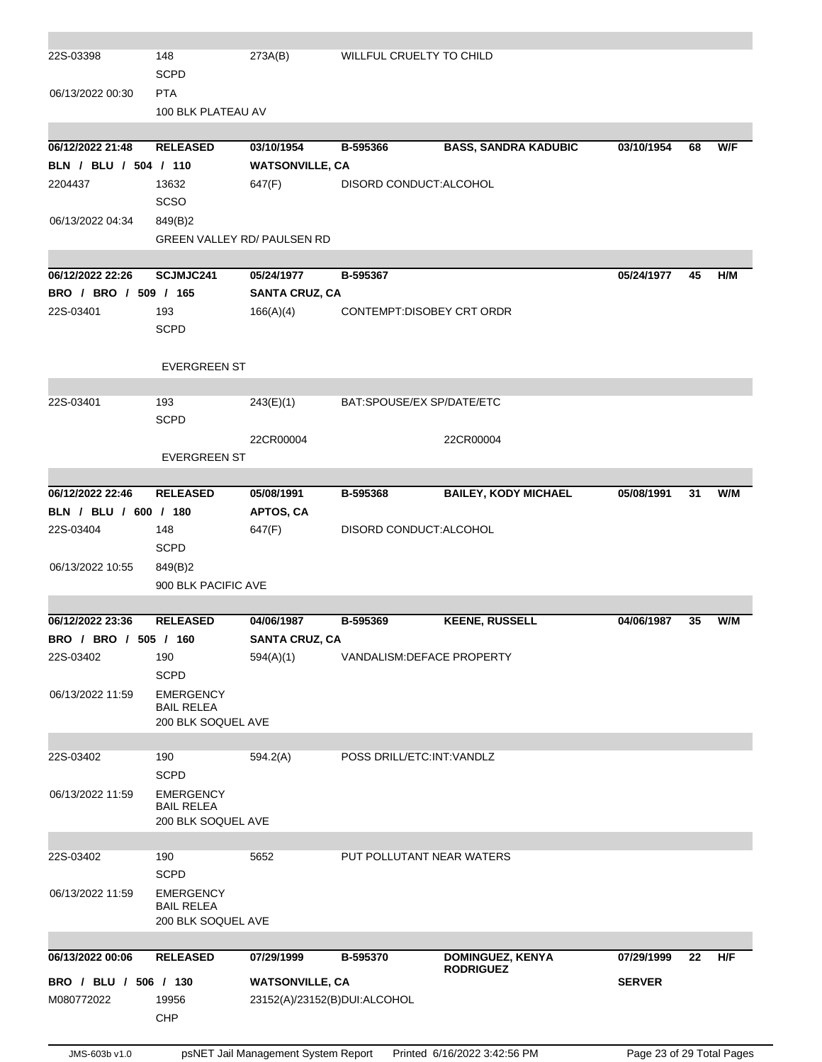| 22S-03398             | 148                                     | 273A(B)                      | WILLFUL CRUELTY TO CHILD    |                                      |               |    |     |
|-----------------------|-----------------------------------------|------------------------------|-----------------------------|--------------------------------------|---------------|----|-----|
|                       | <b>SCPD</b>                             |                              |                             |                                      |               |    |     |
| 06/13/2022 00:30      | <b>PTA</b>                              |                              |                             |                                      |               |    |     |
|                       | 100 BLK PLATEAU AV                      |                              |                             |                                      |               |    |     |
|                       |                                         |                              |                             |                                      |               |    |     |
| 06/12/2022 21:48      | <b>RELEASED</b>                         | 03/10/1954                   | B-595366                    | <b>BASS, SANDRA KADUBIC</b>          | 03/10/1954    | 68 | W/F |
| BLN / BLU / 504 / 110 |                                         | <b>WATSONVILLE, CA</b>       |                             |                                      |               |    |     |
| 2204437               | 13632                                   | 647(F)                       | DISORD CONDUCT: ALCOHOL     |                                      |               |    |     |
|                       | <b>SCSO</b>                             |                              |                             |                                      |               |    |     |
| 06/13/2022 04:34      | 849(B)2                                 |                              |                             |                                      |               |    |     |
|                       | GREEN VALLEY RD/ PAULSEN RD             |                              |                             |                                      |               |    |     |
|                       |                                         |                              |                             |                                      |               |    |     |
| 06/12/2022 22:26      | SCJMJC241                               | 05/24/1977                   | B-595367                    |                                      | 05/24/1977    | 45 | H/M |
| BRO / BRO / 509 / 165 |                                         | <b>SANTA CRUZ, CA</b>        |                             |                                      |               |    |     |
| 22S-03401             | 193                                     | 166(A)(4)                    | CONTEMPT:DISOBEY CRT ORDR   |                                      |               |    |     |
|                       | <b>SCPD</b>                             |                              |                             |                                      |               |    |     |
|                       |                                         |                              |                             |                                      |               |    |     |
|                       | <b>EVERGREEN ST</b>                     |                              |                             |                                      |               |    |     |
| 22S-03401             | 193                                     | 243(E)(1)                    | BAT:SPOUSE/EX SP/DATE/ETC   |                                      |               |    |     |
|                       | <b>SCPD</b>                             |                              |                             |                                      |               |    |     |
|                       |                                         | 22CR00004                    |                             | 22CR00004                            |               |    |     |
|                       | <b>EVERGREEN ST</b>                     |                              |                             |                                      |               |    |     |
|                       |                                         |                              |                             |                                      |               |    |     |
| 06/12/2022 22:46      | <b>RELEASED</b>                         | 05/08/1991                   | B-595368                    | <b>BAILEY, KODY MICHAEL</b>          | 05/08/1991    | 31 | W/M |
| BLN / BLU / 600 / 180 |                                         | <b>APTOS, CA</b>             |                             |                                      |               |    |     |
| 22S-03404             | 148                                     | 647(F)                       | DISORD CONDUCT: ALCOHOL     |                                      |               |    |     |
|                       | <b>SCPD</b>                             |                              |                             |                                      |               |    |     |
| 06/13/2022 10:55      | 849(B)2                                 |                              |                             |                                      |               |    |     |
|                       |                                         |                              |                             |                                      |               |    |     |
|                       | 900 BLK PACIFIC AVE                     |                              |                             |                                      |               |    |     |
| 06/12/2022 23:36      | <b>RELEASED</b>                         | 04/06/1987                   | B-595369                    | <b>KEENE, RUSSELL</b>                | 04/06/1987    | 35 | W/M |
| BRO / BRO / 505 / 160 |                                         | <b>SANTA CRUZ, CA</b>        |                             |                                      |               |    |     |
| 22S-03402             | 190                                     | 594(A)(1)                    | VANDALISM: DEFACE PROPERTY  |                                      |               |    |     |
|                       | <b>SCPD</b>                             |                              |                             |                                      |               |    |     |
| 06/13/2022 11:59      | <b>EMERGENCY</b>                        |                              |                             |                                      |               |    |     |
|                       | <b>BAIL RELEA</b>                       |                              |                             |                                      |               |    |     |
|                       | 200 BLK SOQUEL AVE                      |                              |                             |                                      |               |    |     |
|                       |                                         |                              |                             |                                      |               |    |     |
| 22S-03402             | 190                                     | 594.2(A)                     | POSS DRILL/ETC: INT: VANDLZ |                                      |               |    |     |
|                       | <b>SCPD</b>                             |                              |                             |                                      |               |    |     |
| 06/13/2022 11:59      | <b>EMERGENCY</b>                        |                              |                             |                                      |               |    |     |
|                       | <b>BAIL RELEA</b><br>200 BLK SOQUEL AVE |                              |                             |                                      |               |    |     |
|                       |                                         |                              |                             |                                      |               |    |     |
| 22S-03402             | 190                                     | 5652                         | PUT POLLUTANT NEAR WATERS   |                                      |               |    |     |
|                       | <b>SCPD</b>                             |                              |                             |                                      |               |    |     |
| 06/13/2022 11:59      | <b>EMERGENCY</b>                        |                              |                             |                                      |               |    |     |
|                       | <b>BAIL RELEA</b>                       |                              |                             |                                      |               |    |     |
|                       | 200 BLK SOQUEL AVE                      |                              |                             |                                      |               |    |     |
| 06/13/2022 00:06      | <b>RELEASED</b>                         | 07/29/1999                   | B-595370                    |                                      | 07/29/1999    | 22 | H/F |
|                       |                                         |                              |                             | DOMINGUEZ, KENYA<br><b>RODRIGUEZ</b> |               |    |     |
| BRO / BLU / 506 / 130 |                                         | <b>WATSONVILLE, CA</b>       |                             |                                      | <b>SERVER</b> |    |     |
| M080772022            | 19956                                   | 23152(A)/23152(B)DUI:ALCOHOL |                             |                                      |               |    |     |
|                       | <b>CHP</b>                              |                              |                             |                                      |               |    |     |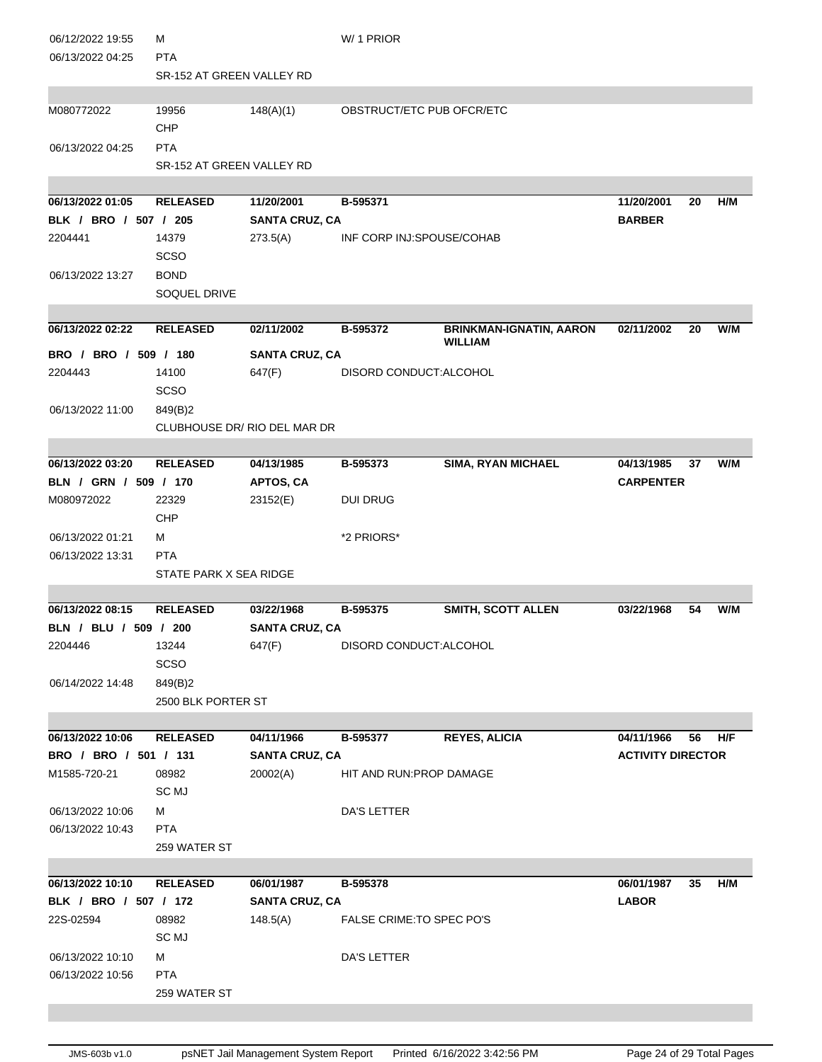| 06/12/2022 19:55<br>06/13/2022 04:25 | м<br><b>PTA</b><br>SR-152 AT GREEN VALLEY RD |                              | W/1 PRIOR                 |                                |                          |    |     |
|--------------------------------------|----------------------------------------------|------------------------------|---------------------------|--------------------------------|--------------------------|----|-----|
| M080772022                           | 19956                                        | 148(A)(1)                    | OBSTRUCT/ETC PUB OFCR/ETC |                                |                          |    |     |
|                                      | <b>CHP</b>                                   |                              |                           |                                |                          |    |     |
| 06/13/2022 04:25                     | <b>PTA</b>                                   |                              |                           |                                |                          |    |     |
|                                      | SR-152 AT GREEN VALLEY RD                    |                              |                           |                                |                          |    |     |
|                                      |                                              |                              |                           |                                |                          |    |     |
| 06/13/2022 01:05                     | <b>RELEASED</b>                              | 11/20/2001                   | B-595371                  |                                | 11/20/2001               | 20 | H/M |
| BLK / BRO / 507 / 205                |                                              | <b>SANTA CRUZ, CA</b>        |                           |                                | <b>BARBER</b>            |    |     |
| 2204441                              | 14379                                        | 273.5(A)                     | INF CORP INJ:SPOUSE/COHAB |                                |                          |    |     |
|                                      | <b>SCSO</b>                                  |                              |                           |                                |                          |    |     |
| 06/13/2022 13:27                     | <b>BOND</b>                                  |                              |                           |                                |                          |    |     |
|                                      | SOQUEL DRIVE                                 |                              |                           |                                |                          |    |     |
| 06/13/2022 02:22                     | <b>RELEASED</b>                              | 02/11/2002                   | B-595372                  | <b>BRINKMAN-IGNATIN, AARON</b> | 02/11/2002               | 20 | W/M |
|                                      |                                              |                              |                           | <b>WILLIAM</b>                 |                          |    |     |
| BRO / BRO / 509 / 180                |                                              | <b>SANTA CRUZ, CA</b>        |                           |                                |                          |    |     |
| 2204443                              | 14100                                        | 647(F)                       | DISORD CONDUCT:ALCOHOL    |                                |                          |    |     |
|                                      | <b>SCSO</b>                                  |                              |                           |                                |                          |    |     |
| 06/13/2022 11:00                     | 849(B)2                                      |                              |                           |                                |                          |    |     |
|                                      |                                              | CLUBHOUSE DR/ RIO DEL MAR DR |                           |                                |                          |    |     |
| 06/13/2022 03:20                     | <b>RELEASED</b>                              | 04/13/1985                   | B-595373                  | <b>SIMA, RYAN MICHAEL</b>      | 04/13/1985               | 37 | W/M |
| BLN / GRN / 509 / 170                |                                              | <b>APTOS, CA</b>             |                           |                                | <b>CARPENTER</b>         |    |     |
| M080972022                           | 22329                                        | 23152(E)                     | <b>DUI DRUG</b>           |                                |                          |    |     |
|                                      | <b>CHP</b>                                   |                              |                           |                                |                          |    |     |
| 06/13/2022 01:21                     | м                                            |                              | *2 PRIORS*                |                                |                          |    |     |
| 06/13/2022 13:31                     | <b>PTA</b>                                   |                              |                           |                                |                          |    |     |
|                                      | STATE PARK X SEA RIDGE                       |                              |                           |                                |                          |    |     |
|                                      |                                              |                              |                           |                                |                          |    |     |
| 06/13/2022 08:15                     | <b>RELEASED</b>                              | 03/22/1968                   | B-595375                  | <b>SMITH, SCOTT ALLEN</b>      | 03/22/1968               | 54 | W/M |
| BLN / BLU / 509 / 200                |                                              | <b>SANTA CRUZ, CA</b>        |                           |                                |                          |    |     |
| 2204446                              | 13244                                        | 647(F)                       | DISORD CONDUCT: ALCOHOL   |                                |                          |    |     |
|                                      | <b>SCSO</b>                                  |                              |                           |                                |                          |    |     |
| 06/14/2022 14:48                     | 849(B)2<br>2500 BLK PORTER ST                |                              |                           |                                |                          |    |     |
|                                      |                                              |                              |                           |                                |                          |    |     |
| 06/13/2022 10:06                     | <b>RELEASED</b>                              | 04/11/1966                   | B-595377                  | <b>REYES, ALICIA</b>           | 04/11/1966               | 56 | H/F |
| BRO / BRO / 501 / 131                |                                              | <b>SANTA CRUZ, CA</b>        |                           |                                | <b>ACTIVITY DIRECTOR</b> |    |     |
| M1585-720-21                         | 08982                                        | 20002(A)                     | HIT AND RUN: PROP DAMAGE  |                                |                          |    |     |
|                                      | SC MJ                                        |                              |                           |                                |                          |    |     |
| 06/13/2022 10:06                     | м                                            |                              | DA'S LETTER               |                                |                          |    |     |
| 06/13/2022 10:43                     | <b>PTA</b>                                   |                              |                           |                                |                          |    |     |
|                                      | 259 WATER ST                                 |                              |                           |                                |                          |    |     |
|                                      |                                              |                              |                           |                                |                          |    |     |
| 06/13/2022 10:10                     | <b>RELEASED</b>                              | 06/01/1987                   | B-595378                  |                                | 06/01/1987               | 35 | H/M |
| BLK / BRO / 507 / 172                |                                              | <b>SANTA CRUZ, CA</b>        |                           |                                | <b>LABOR</b>             |    |     |
| 22S-02594                            | 08982<br>SC MJ                               | 148.5(A)                     | FALSE CRIME: TO SPEC PO'S |                                |                          |    |     |
| 06/13/2022 10:10                     | М                                            |                              | DA'S LETTER               |                                |                          |    |     |
| 06/13/2022 10:56                     | <b>PTA</b>                                   |                              |                           |                                |                          |    |     |
|                                      | 259 WATER ST                                 |                              |                           |                                |                          |    |     |
|                                      |                                              |                              |                           |                                |                          |    |     |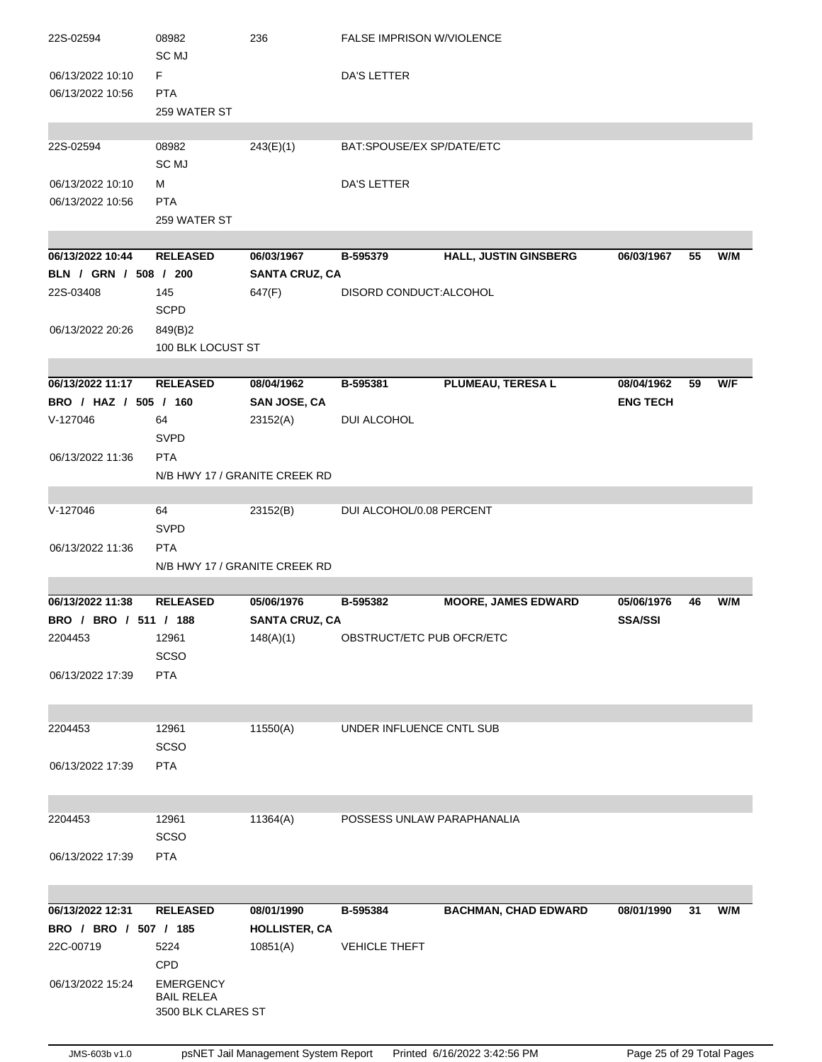| 22S-02594             | 08982                                 | 236                           | <b>FALSE IMPRISON W/VIOLENCE</b> |                             |                 |    |     |
|-----------------------|---------------------------------------|-------------------------------|----------------------------------|-----------------------------|-----------------|----|-----|
|                       | SC MJ                                 |                               |                                  |                             |                 |    |     |
| 06/13/2022 10:10      | F.                                    |                               | DA'S LETTER                      |                             |                 |    |     |
| 06/13/2022 10:56      | <b>PTA</b>                            |                               |                                  |                             |                 |    |     |
|                       | 259 WATER ST                          |                               |                                  |                             |                 |    |     |
| 22S-02594             | 08982                                 | 243(E)(1)                     | BAT:SPOUSE/EX SP/DATE/ETC        |                             |                 |    |     |
|                       | SC MJ                                 |                               |                                  |                             |                 |    |     |
| 06/13/2022 10:10      | м                                     |                               | DA'S LETTER                      |                             |                 |    |     |
| 06/13/2022 10:56      | <b>PTA</b>                            |                               |                                  |                             |                 |    |     |
|                       | 259 WATER ST                          |                               |                                  |                             |                 |    |     |
|                       |                                       |                               |                                  |                             |                 |    |     |
| 06/13/2022 10:44      | <b>RELEASED</b>                       | 06/03/1967                    | B-595379                         | HALL, JUSTIN GINSBERG       | 06/03/1967      | 55 | W/M |
| BLN / GRN / 508 / 200 |                                       | <b>SANTA CRUZ, CA</b>         |                                  |                             |                 |    |     |
| 22S-03408             | 145                                   | 647(F)                        | DISORD CONDUCT: ALCOHOL          |                             |                 |    |     |
|                       | <b>SCPD</b>                           |                               |                                  |                             |                 |    |     |
| 06/13/2022 20:26      | 849(B)2                               |                               |                                  |                             |                 |    |     |
|                       | 100 BLK LOCUST ST                     |                               |                                  |                             |                 |    |     |
|                       |                                       |                               |                                  |                             |                 |    |     |
| 06/13/2022 11:17      | <b>RELEASED</b>                       | 08/04/1962                    | B-595381                         | <b>PLUMEAU, TERESA L</b>    | 08/04/1962      | 59 | W/F |
| BRO / HAZ / 505 / 160 |                                       | <b>SAN JOSE, CA</b>           |                                  |                             | <b>ENG TECH</b> |    |     |
| V-127046              | 64<br><b>SVPD</b>                     | 23152(A)                      | DUI ALCOHOL                      |                             |                 |    |     |
| 06/13/2022 11:36      | <b>PTA</b>                            |                               |                                  |                             |                 |    |     |
|                       |                                       | N/B HWY 17 / GRANITE CREEK RD |                                  |                             |                 |    |     |
|                       |                                       |                               |                                  |                             |                 |    |     |
| V-127046              | 64                                    | 23152(B)                      | DUI ALCOHOL/0.08 PERCENT         |                             |                 |    |     |
|                       | <b>SVPD</b>                           |                               |                                  |                             |                 |    |     |
| 06/13/2022 11:36      | <b>PTA</b>                            |                               |                                  |                             |                 |    |     |
|                       | N/B HWY 17 / GRANITE CREEK RD         |                               |                                  |                             |                 |    |     |
|                       |                                       |                               |                                  |                             |                 |    |     |
| 06/13/2022 11:38      | <b>RELEASED</b>                       | 05/06/1976                    | B-595382                         | <b>MOORE, JAMES EDWARD</b>  | 05/06/1976      | 46 | W/M |
| BRO / BRO / 511 / 188 |                                       | <b>SANTA CRUZ, CA</b>         |                                  |                             | <b>SSA/SSI</b>  |    |     |
| 2204453               | 12961                                 | 148(A)(1)                     | OBSTRUCT/ETC PUB OFCR/ETC        |                             |                 |    |     |
|                       | <b>SCSO</b>                           |                               |                                  |                             |                 |    |     |
| 06/13/2022 17:39      | <b>PTA</b>                            |                               |                                  |                             |                 |    |     |
|                       |                                       |                               |                                  |                             |                 |    |     |
| 2204453               | 12961                                 | 11550(A)                      | UNDER INFLUENCE CNTL SUB         |                             |                 |    |     |
|                       | <b>SCSO</b>                           |                               |                                  |                             |                 |    |     |
| 06/13/2022 17:39      | <b>PTA</b>                            |                               |                                  |                             |                 |    |     |
|                       |                                       |                               |                                  |                             |                 |    |     |
|                       |                                       |                               |                                  |                             |                 |    |     |
| 2204453               | 12961                                 | 11364(A)                      | POSSESS UNLAW PARAPHANALIA       |                             |                 |    |     |
|                       | <b>SCSO</b>                           |                               |                                  |                             |                 |    |     |
| 06/13/2022 17:39      | <b>PTA</b>                            |                               |                                  |                             |                 |    |     |
|                       |                                       |                               |                                  |                             |                 |    |     |
|                       |                                       |                               |                                  |                             |                 |    |     |
| 06/13/2022 12:31      | <b>RELEASED</b>                       | 08/01/1990                    | B-595384                         | <b>BACHMAN, CHAD EDWARD</b> | 08/01/1990      | 31 | W/M |
| BRO / BRO / 507 / 185 |                                       | <b>HOLLISTER, CA</b>          |                                  |                             |                 |    |     |
| 22C-00719             | 5224                                  | 10851(A)                      | VEHICLE THEFT                    |                             |                 |    |     |
|                       | CPD                                   |                               |                                  |                             |                 |    |     |
| 06/13/2022 15:24      |                                       |                               |                                  |                             |                 |    |     |
|                       | <b>EMERGENCY</b><br><b>BAIL RELEA</b> |                               |                                  |                             |                 |    |     |
|                       | 3500 BLK CLARES ST                    |                               |                                  |                             |                 |    |     |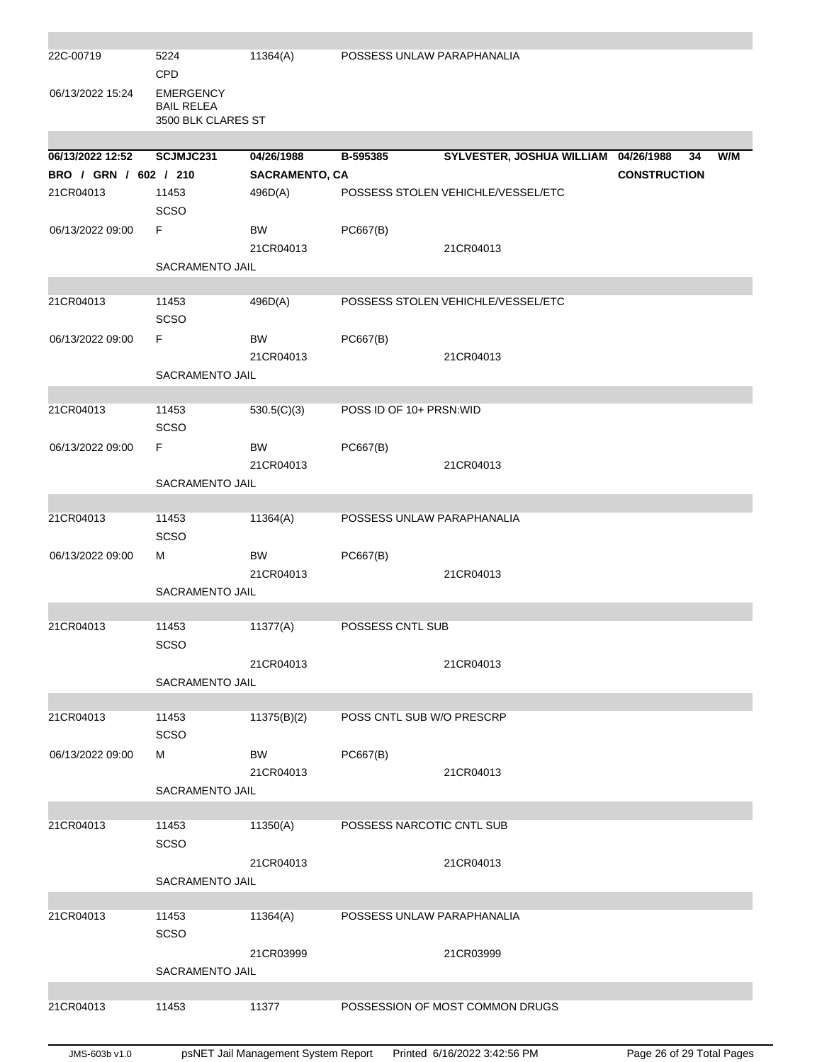| 22C-00719             | 5224<br><b>CPD</b>                                          | 11364(A)              | POSSESS UNLAW PARAPHANALIA |                                      |                     |     |
|-----------------------|-------------------------------------------------------------|-----------------------|----------------------------|--------------------------------------|---------------------|-----|
| 06/13/2022 15:24      | <b>EMERGENCY</b><br><b>BAIL RELEA</b><br>3500 BLK CLARES ST |                       |                            |                                      |                     |     |
| 06/13/2022 12:52      | SCJMJC231                                                   | 04/26/1988            | B-595385                   | SYLVESTER, JOSHUA WILLIAM 04/26/1988 | 34                  | W/M |
| BRO / GRN / 602 / 210 |                                                             | <b>SACRAMENTO, CA</b> |                            |                                      | <b>CONSTRUCTION</b> |     |
| 21CR04013             | 11453                                                       | 496D(A)               |                            | POSSESS STOLEN VEHICHLE/VESSEL/ETC   |                     |     |
|                       | <b>SCSO</b>                                                 |                       |                            |                                      |                     |     |
| 06/13/2022 09:00      | F                                                           | <b>BW</b>             | PC667(B)                   |                                      |                     |     |
|                       |                                                             | 21CR04013             |                            | 21CR04013                            |                     |     |
|                       | SACRAMENTO JAIL                                             |                       |                            |                                      |                     |     |
|                       |                                                             |                       |                            |                                      |                     |     |
| 21CR04013             | 11453<br>SCSO                                               | 496D(A)               |                            | POSSESS STOLEN VEHICHLE/VESSEL/ETC   |                     |     |
| 06/13/2022 09:00      | F                                                           | <b>BW</b>             | PC667(B)                   |                                      |                     |     |
|                       |                                                             | 21CR04013             |                            | 21CR04013                            |                     |     |
|                       | SACRAMENTO JAIL                                             |                       |                            |                                      |                     |     |
|                       |                                                             |                       |                            |                                      |                     |     |
| 21CR04013             | 11453<br><b>SCSO</b>                                        | 530.5(C)(3)           | POSS ID OF 10+ PRSN: WID   |                                      |                     |     |
| 06/13/2022 09:00      | F                                                           | <b>BW</b>             | PC667(B)                   |                                      |                     |     |
|                       |                                                             | 21CR04013             |                            | 21CR04013                            |                     |     |
|                       | SACRAMENTO JAIL                                             |                       |                            |                                      |                     |     |
|                       |                                                             |                       |                            |                                      |                     |     |
| 21CR04013             | 11453                                                       | 11364(A)              | POSSESS UNLAW PARAPHANALIA |                                      |                     |     |
|                       | <b>SCSO</b>                                                 |                       |                            |                                      |                     |     |
| 06/13/2022 09:00      | М                                                           | <b>BW</b>             | PC667(B)                   |                                      |                     |     |
|                       |                                                             | 21CR04013             |                            | 21CR04013                            |                     |     |
|                       | SACRAMENTO JAIL                                             |                       |                            |                                      |                     |     |
| 21CR04013             | 11453                                                       | 11377(A)              | POSSESS CNTL SUB           |                                      |                     |     |
|                       | SCSO                                                        |                       |                            |                                      |                     |     |
|                       |                                                             | 21CR04013             |                            | 21CR04013                            |                     |     |
|                       | SACRAMENTO JAIL                                             |                       |                            |                                      |                     |     |
|                       |                                                             |                       |                            |                                      |                     |     |
| 21CR04013             | 11453                                                       | 11375(B)(2)           | POSS CNTL SUB W/O PRESCRP  |                                      |                     |     |
|                       | <b>SCSO</b>                                                 |                       |                            |                                      |                     |     |
| 06/13/2022 09:00      | м                                                           | <b>BW</b>             | PC667(B)                   |                                      |                     |     |
|                       | <b>SACRAMENTO JAIL</b>                                      | 21CR04013             |                            | 21CR04013                            |                     |     |
|                       |                                                             |                       |                            |                                      |                     |     |
| 21CR04013             | 11453                                                       | 11350(A)              | POSSESS NARCOTIC CNTL SUB  |                                      |                     |     |
|                       | <b>SCSO</b>                                                 |                       |                            |                                      |                     |     |
|                       |                                                             | 21CR04013             |                            | 21CR04013                            |                     |     |
|                       | SACRAMENTO JAIL                                             |                       |                            |                                      |                     |     |
|                       |                                                             |                       |                            |                                      |                     |     |
| 21CR04013             | 11453                                                       | 11364(A)              | POSSESS UNLAW PARAPHANALIA |                                      |                     |     |
|                       | <b>SCSO</b>                                                 |                       |                            |                                      |                     |     |
|                       | SACRAMENTO JAIL                                             | 21CR03999             |                            | 21CR03999                            |                     |     |
|                       |                                                             |                       |                            |                                      |                     |     |
| 21CR04013             | 11453                                                       | 11377                 |                            | POSSESSION OF MOST COMMON DRUGS      |                     |     |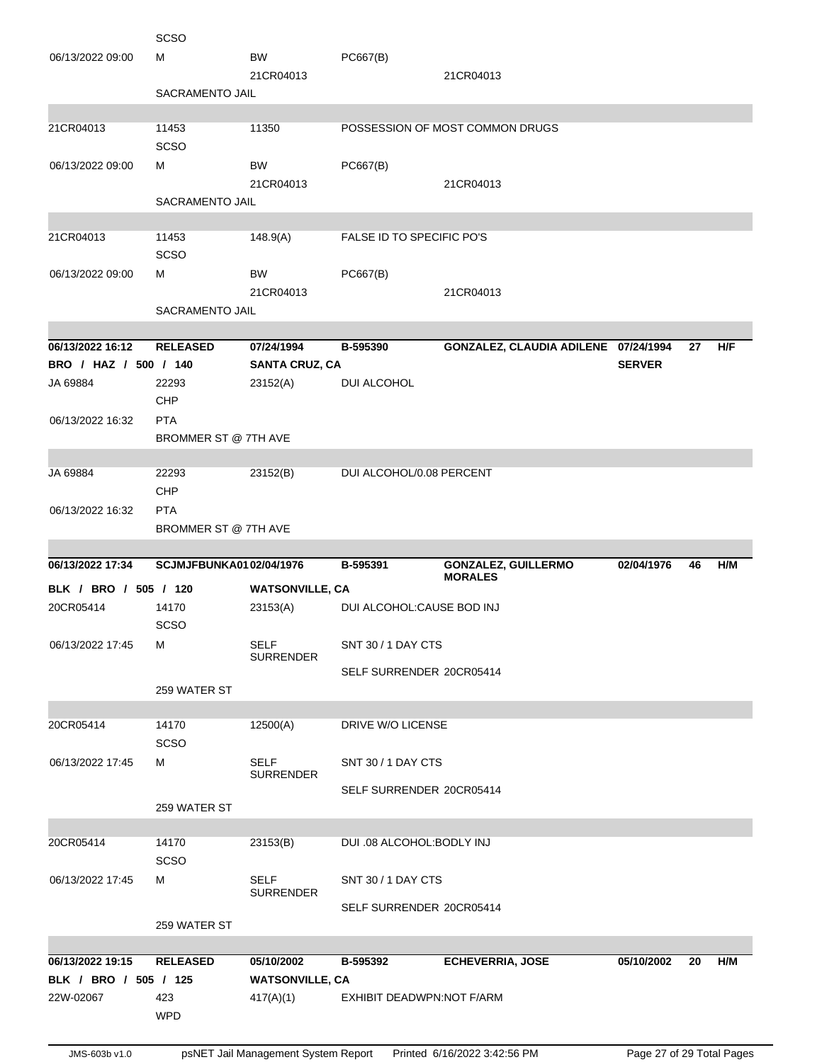|                       | <b>SCSO</b>             |                                 |                            |                                      |               |    |     |
|-----------------------|-------------------------|---------------------------------|----------------------------|--------------------------------------|---------------|----|-----|
| 06/13/2022 09:00      | м                       | <b>BW</b>                       | PC667(B)                   |                                      |               |    |     |
|                       |                         | 21CR04013                       |                            | 21CR04013                            |               |    |     |
|                       | SACRAMENTO JAIL         |                                 |                            |                                      |               |    |     |
|                       |                         |                                 |                            |                                      |               |    |     |
| 21CR04013             | 11453                   | 11350                           |                            | POSSESSION OF MOST COMMON DRUGS      |               |    |     |
|                       | <b>SCSO</b>             |                                 |                            |                                      |               |    |     |
| 06/13/2022 09:00      | м                       | BW                              | PC667(B)                   |                                      |               |    |     |
|                       |                         | 21CR04013                       |                            | 21CR04013                            |               |    |     |
|                       | <b>SACRAMENTO JAIL</b>  |                                 |                            |                                      |               |    |     |
|                       |                         |                                 |                            |                                      |               |    |     |
| 21CR04013             | 11453                   | 148.9(A)                        | FALSE ID TO SPECIFIC PO'S  |                                      |               |    |     |
|                       | <b>SCSO</b>             |                                 |                            |                                      |               |    |     |
| 06/13/2022 09:00      | м                       | BW                              | PC667(B)                   |                                      |               |    |     |
|                       |                         | 21CR04013                       |                            | 21CR04013                            |               |    |     |
|                       | <b>SACRAMENTO JAIL</b>  |                                 |                            |                                      |               |    |     |
|                       |                         |                                 |                            |                                      |               |    |     |
| 06/13/2022 16:12      | <b>RELEASED</b>         | 07/24/1994                      | B-595390                   | GONZALEZ, CLAUDIA ADILENE 07/24/1994 |               | 27 | H/F |
| BRO / HAZ / 500 / 140 |                         | <b>SANTA CRUZ, CA</b>           |                            |                                      | <b>SERVER</b> |    |     |
| JA 69884              | 22293                   | 23152(A)                        | DUI ALCOHOL                |                                      |               |    |     |
|                       | <b>CHP</b>              |                                 |                            |                                      |               |    |     |
| 06/13/2022 16:32      | <b>PTA</b>              |                                 |                            |                                      |               |    |     |
|                       | BROMMER ST @ 7TH AVE    |                                 |                            |                                      |               |    |     |
| JA 69884              | 22293                   | 23152(B)                        | DUI ALCOHOL/0.08 PERCENT   |                                      |               |    |     |
|                       | CHP                     |                                 |                            |                                      |               |    |     |
| 06/13/2022 16:32      | <b>PTA</b>              |                                 |                            |                                      |               |    |     |
|                       | BROMMER ST @ 7TH AVE    |                                 |                            |                                      |               |    |     |
|                       |                         |                                 |                            |                                      |               |    |     |
| 06/13/2022 17:34      | SCJMJFBUNKA0102/04/1976 |                                 | B-595391                   | <b>GONZALEZ, GUILLERMO</b>           | 02/04/1976    | 46 | H/M |
|                       |                         |                                 |                            |                                      |               |    |     |
|                       |                         |                                 |                            | <b>MORALES</b>                       |               |    |     |
| BLK / BRO / 505 / 120 |                         | <b>WATSONVILLE, CA</b>          |                            |                                      |               |    |     |
| 20CR05414             | 14170                   | 23153(A)                        | DUI ALCOHOL: CAUSE BOD INJ |                                      |               |    |     |
|                       | <b>SCSO</b>             |                                 |                            |                                      |               |    |     |
| 06/13/2022 17:45      | м                       | <b>SELF</b><br><b>SURRENDER</b> | SNT 30 / 1 DAY CTS         |                                      |               |    |     |
|                       |                         |                                 | SELF SURRENDER 20CR05414   |                                      |               |    |     |
|                       | 259 WATER ST            |                                 |                            |                                      |               |    |     |
|                       |                         |                                 |                            |                                      |               |    |     |
| 20CR05414             | 14170                   | 12500(A)                        | DRIVE W/O LICENSE          |                                      |               |    |     |
|                       | <b>SCSO</b>             |                                 |                            |                                      |               |    |     |
| 06/13/2022 17:45      | м                       | SELF                            | SNT 30 / 1 DAY CTS         |                                      |               |    |     |
|                       |                         | <b>SURRENDER</b>                |                            |                                      |               |    |     |
|                       | 259 WATER ST            |                                 | SELF SURRENDER 20CR05414   |                                      |               |    |     |
|                       |                         |                                 |                            |                                      |               |    |     |
| 20CR05414             | 14170                   | 23153(B)                        | DUI .08 ALCOHOL: BODLY INJ |                                      |               |    |     |
|                       | SCSO                    |                                 |                            |                                      |               |    |     |
| 06/13/2022 17:45      | м                       | <b>SELF</b>                     | SNT 30 / 1 DAY CTS         |                                      |               |    |     |
|                       |                         | <b>SURRENDER</b>                |                            |                                      |               |    |     |
|                       |                         |                                 | SELF SURRENDER 20CR05414   |                                      |               |    |     |
|                       | 259 WATER ST            |                                 |                            |                                      |               |    |     |
| 06/13/2022 19:15      | <b>RELEASED</b>         | 05/10/2002                      | B-595392                   |                                      |               | 20 | H/M |
| BLK / BRO / 505 / 125 |                         |                                 |                            | <b>ECHEVERRIA, JOSE</b>              | 05/10/2002    |    |     |
| 22W-02067             | 423                     | <b>WATSONVILLE, CA</b>          | EXHIBIT DEADWPN:NOT F/ARM  |                                      |               |    |     |
|                       | <b>WPD</b>              | 417(A)(1)                       |                            |                                      |               |    |     |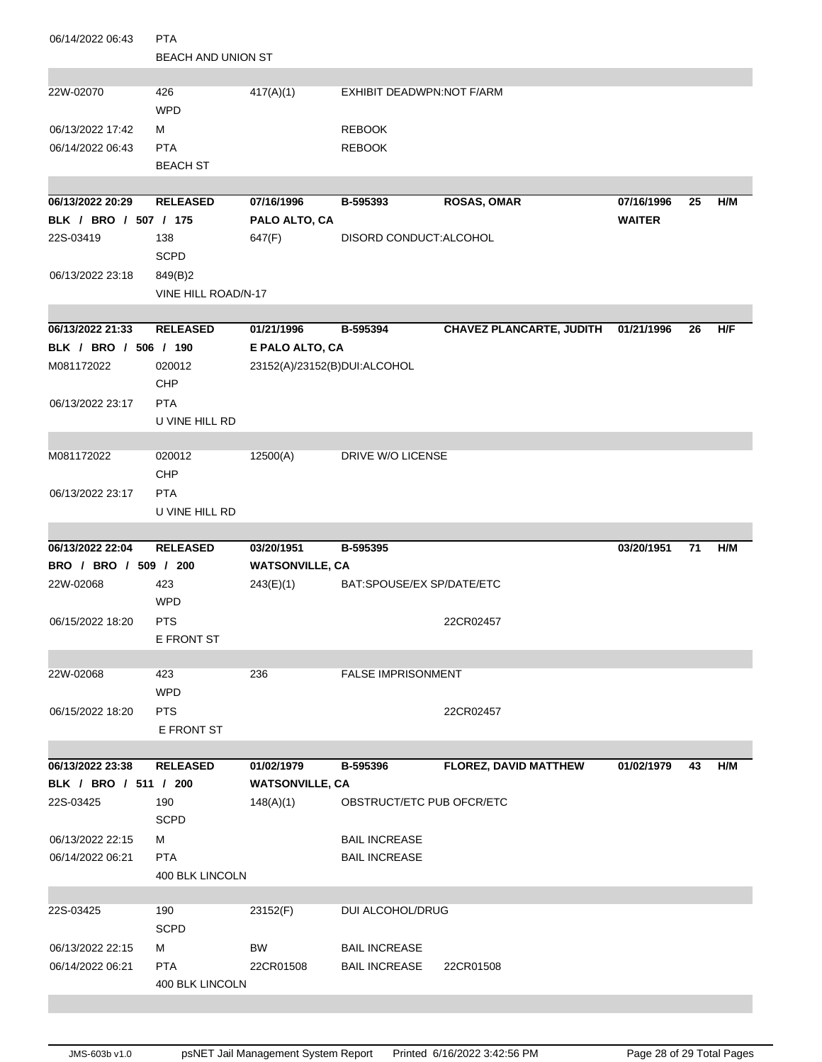| 06/14/2022 06:43                          | <b>PTA</b>                    |                              |                           |                                     |               |    |     |
|-------------------------------------------|-------------------------------|------------------------------|---------------------------|-------------------------------------|---------------|----|-----|
|                                           | <b>BEACH AND UNION ST</b>     |                              |                           |                                     |               |    |     |
|                                           |                               |                              |                           |                                     |               |    |     |
| 22W-02070                                 | 426                           | 417(A)(1)                    | EXHIBIT DEADWPN:NOT F/ARM |                                     |               |    |     |
|                                           | <b>WPD</b>                    |                              |                           |                                     |               |    |     |
| 06/13/2022 17:42                          | м                             |                              | <b>REBOOK</b>             |                                     |               |    |     |
| 06/14/2022 06:43                          | <b>PTA</b>                    |                              | <b>REBOOK</b>             |                                     |               |    |     |
|                                           | <b>BEACH ST</b>               |                              |                           |                                     |               |    |     |
|                                           |                               |                              |                           |                                     |               |    |     |
| 06/13/2022 20:29                          | <b>RELEASED</b>               | 07/16/1996                   | B-595393                  | <b>ROSAS, OMAR</b>                  | 07/16/1996    | 25 | H/M |
| BLK / BRO / 507 / 175                     |                               | PALO ALTO, CA                |                           |                                     | <b>WAITER</b> |    |     |
| 22S-03419                                 | 138                           | 647(F)                       | DISORD CONDUCT:ALCOHOL    |                                     |               |    |     |
|                                           | <b>SCPD</b>                   |                              |                           |                                     |               |    |     |
| 06/13/2022 23:18                          | 849(B)2                       |                              |                           |                                     |               |    |     |
|                                           | VINE HILL ROAD/N-17           |                              |                           |                                     |               |    |     |
|                                           |                               |                              |                           |                                     |               |    |     |
| 06/13/2022 21:33<br>BLK / BRO / 506 / 190 | <b>RELEASED</b>               | 01/21/1996                   | B-595394                  | CHAVEZ PLANCARTE, JUDITH 01/21/1996 |               | 26 | H/F |
| M081172022                                |                               | E PALO ALTO, CA              |                           |                                     |               |    |     |
|                                           | 020012<br>CHP                 | 23152(A)/23152(B)DUI:ALCOHOL |                           |                                     |               |    |     |
| 06/13/2022 23:17                          | <b>PTA</b>                    |                              |                           |                                     |               |    |     |
|                                           | U VINE HILL RD                |                              |                           |                                     |               |    |     |
|                                           |                               |                              |                           |                                     |               |    |     |
| M081172022                                | 020012                        | 12500(A)                     | DRIVE W/O LICENSE         |                                     |               |    |     |
|                                           | <b>CHP</b>                    |                              |                           |                                     |               |    |     |
| 06/13/2022 23:17                          | <b>PTA</b>                    |                              |                           |                                     |               |    |     |
|                                           | U VINE HILL RD                |                              |                           |                                     |               |    |     |
|                                           |                               |                              |                           |                                     |               |    |     |
|                                           |                               |                              |                           |                                     |               |    |     |
| 06/13/2022 22:04                          | <b>RELEASED</b>               | 03/20/1951                   | B-595395                  |                                     | 03/20/1951    | 71 | H/M |
| BRO / BRO / 509 / 200                     |                               | <b>WATSONVILLE, CA</b>       |                           |                                     |               |    |     |
| 22W-02068                                 | 423                           | 243(E)(1)                    | BAT:SPOUSE/EX SP/DATE/ETC |                                     |               |    |     |
|                                           | <b>WPD</b>                    |                              |                           |                                     |               |    |     |
| 06/15/2022 18:20                          | <b>PTS</b>                    |                              |                           | 22CR02457                           |               |    |     |
|                                           | E FRONT ST                    |                              |                           |                                     |               |    |     |
|                                           |                               |                              |                           |                                     |               |    |     |
| 22W-02068                                 | 423                           | 236                          | <b>FALSE IMPRISONMENT</b> |                                     |               |    |     |
|                                           | <b>WPD</b>                    |                              |                           |                                     |               |    |     |
| 06/15/2022 18:20                          | <b>PTS</b>                    |                              |                           | 22CR02457                           |               |    |     |
|                                           | E FRONT ST                    |                              |                           |                                     |               |    |     |
|                                           |                               |                              |                           |                                     |               |    |     |
| 06/13/2022 23:38                          | <b>RELEASED</b>               | 01/02/1979                   | B-595396                  | <b>FLOREZ, DAVID MATTHEW</b>        | 01/02/1979    | 43 | H/M |
| BLK / BRO / 511 / 200                     |                               | <b>WATSONVILLE, CA</b>       |                           |                                     |               |    |     |
| 22S-03425                                 | 190                           | 148(A)(1)                    | OBSTRUCT/ETC PUB OFCR/ETC |                                     |               |    |     |
|                                           | <b>SCPD</b>                   |                              |                           |                                     |               |    |     |
| 06/13/2022 22:15                          | м                             |                              | <b>BAIL INCREASE</b>      |                                     |               |    |     |
| 06/14/2022 06:21                          | <b>PTA</b>                    |                              | <b>BAIL INCREASE</b>      |                                     |               |    |     |
|                                           | 400 BLK LINCOLN               |                              |                           |                                     |               |    |     |
|                                           |                               |                              |                           |                                     |               |    |     |
| 22S-03425                                 | 190                           | 23152(F)                     | <b>DUI ALCOHOL/DRUG</b>   |                                     |               |    |     |
|                                           | <b>SCPD</b>                   |                              |                           |                                     |               |    |     |
| 06/13/2022 22:15                          | м                             | <b>BW</b>                    | <b>BAIL INCREASE</b>      |                                     |               |    |     |
| 06/14/2022 06:21                          | <b>PTA</b><br>400 BLK LINCOLN | 22CR01508                    | <b>BAIL INCREASE</b>      | 22CR01508                           |               |    |     |